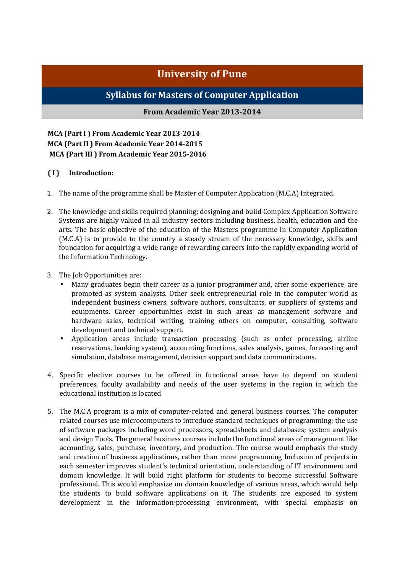# **University of Pune**

# **Syllabus for Masters of Computer Application**

# **From Academic Year 2013-2014**

**MCA (Part I ) From Academic Year 2013-2014 MCA (Part II ) From Academic Year 2014-2015 MCA (Part III ) From Academic Year 2015-2016** 

# **( I ) Introduction:**

- 1. The name of the programme shall be Master of Computer Application (M.C.A) Integrated.
- 2. The knowledge and skills required planning; designing and build Complex Application Software Systems are highly valued in all industry sectors including business, health, education and the arts. The basic objective of the education of the Masters programme in Computer Application (M.C.A) is to provide to the country a steady stream of the necessary knowledge, skills and foundation for acquiring a wide range of rewarding careers into the rapidly expanding world of the Information Technology.
- 3. The Job Opportunities are:
	- Many graduates begin their career as a junior programmer and, after some experience, are promoted as system analysts. Other seek entrepreneurial role in the computer world as independent business owners, software authors, consultants, or suppliers of systems and equipments. Career opportunities exist in such areas as management software and hardware sales, technical writing, training others on computer, consulting, software development and technical support.
	- Application areas include transaction processing (such as order processing, airline reservations, banking system), accounting functions, sales analysis, games, forecasting and simulation, database management, decision support and data communications.
- 4. Specific elective courses to be offered in functional areas have to depend on student preferences, faculty availability and needs of the user systems in the region in which the educational institution is located
- 5. The M.C.A program is a mix of computer-related and general business courses. The computer related courses use microcomputers to introduce standard techniques of programming; the use of software packages including word processors, spreadsheets and databases; system analysis and design Tools. The general business courses include the functional areas of management like accounting, sales, purchase, inventory, and production. The course would emphasis the study and creation of business applications, rather than more programming Inclusion of projects in each semester improves student's technical orientation, understanding of IT environment and domain knowledge. It will build right platform for students to become successful Software professional. This would emphasize on domain knowledge of various areas, which would help the students to build software applications on it. The students are exposed to system development in the information-processing environment, with special emphasis on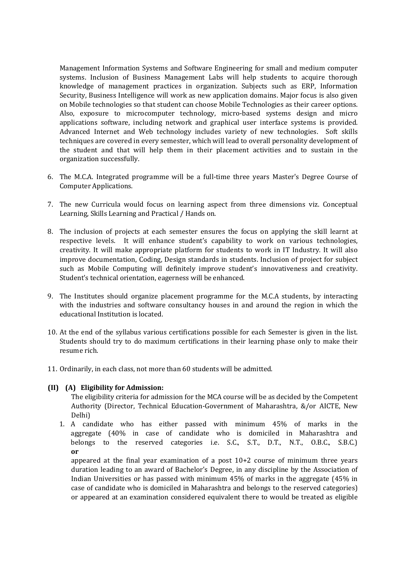Management Information Systems and Software Engineering for small and medium computer systems. Inclusion of Business Management Labs will help students to acquire thorough knowledge of management practices in organization. Subjects such as ERP, Information Security, Business Intelligence will work as new application domains. Major focus is also given on Mobile technologies so that student can choose Mobile Technologies as their career options. Also, exposure to microcomputer technology, micro-based systems design and micro applications software, including network and graphical user interface systems is provided. Advanced Internet and Web technology includes variety of new technologies. Soft skills techniques are covered in every semester, which will lead to overall personality development of the student and that will help them in their placement activities and to sustain in the organization successfully.

- 6. The M.C.A. Integrated programme will be a full-time three years Master's Degree Course of Computer Applications.
- 7. The new Curricula would focus on learning aspect from three dimensions viz. Conceptual Learning, Skills Learning and Practical / Hands on.
- 8. The inclusion of projects at each semester ensures the focus on applying the skill learnt at respective levels. It will enhance student's capability to work on various technologies, creativity. It will make appropriate platform for students to work in IT Industry. It will also improve documentation, Coding, Design standards in students. Inclusion of project for subject such as Mobile Computing will definitely improve student's innovativeness and creativity. Student's technical orientation, eagerness will be enhanced.
- 9. The Institutes should organize placement programme for the M.C.A students, by interacting with the industries and software consultancy houses in and around the region in which the educational Institution is located.
- 10. At the end of the syllabus various certifications possible for each Semester is given in the list. Students should try to do maximum certifications in their learning phase only to make their resume rich.
- 11. Ordinarily, in each class, not more than 60 students will be admitted.

#### **(II) (A) Eligibility for Admission:**

The eligibility criteria for admission for the MCA course will be as decided by the Competent Authority (Director, Technical Education-Government of Maharashtra, &/or AICTE, New Delhi)

1. A candidate who has either passed with minimum 45% of marks in the aggregate (40% in case of candidate who is domiciled in Maharashtra and belongs to the reserved categories i.e. S.C., S.T., D.T., N.T., O.B.C., S.B.C.) **or** 

appeared at the final year examination of a post  $10+2$  course of minimum three years duration leading to an award of Bachelor's Degree, in any discipline by the Association of Indian Universities or has passed with minimum 45% of marks in the aggregate (45% in case of candidate who is domiciled in Maharashtra and belongs to the reserved categories) or appeared at an examination considered equivalent there to would be treated as eligible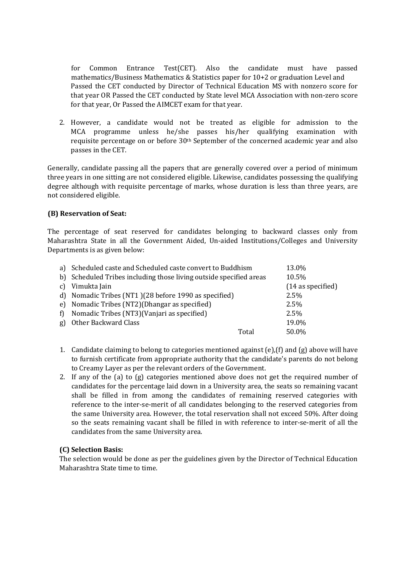for Common Entrance Test(CET). Also the candidate must have passed mathematics/Business Mathematics & Statistics paper for 10+2 or graduation Level and Passed the CET conducted by Director of Technical Education MS with nonzero score for that year OR Passed the CET conducted by State level MCA Association with non-zero score for that year, Or Passed the AIMCET exam for that year.

2. However, a candidate would not be treated as eligible for admission to the MCA programme unless he/she passes his/her qualifying examination with requisite percentage on or before 30th September of the concerned academic year and also passes in the CET.

Generally, candidate passing all the papers that are generally covered over a period of minimum three years in one sitting are not considered eligible. Likewise, candidates possessing the qualifying degree although with requisite percentage of marks, whose duration is less than three years, are not considered eligible.

#### **(B) Reservation of Seat:**

The percentage of seat reserved for candidates belonging to backward classes only from Maharashtra State in all the Government Aided, Un-aided Institutions/Colleges and University Departments is as given below:

|               | a) Scheduled caste and Scheduled caste convert to Buddhism         |       | 13.0%               |
|---------------|--------------------------------------------------------------------|-------|---------------------|
|               | b) Scheduled Tribes including those living outside specified areas |       | 10.5%               |
| $\mathcal{C}$ | Vimukta Jain                                                       |       | $(14$ as specified) |
|               | d) Nomadic Tribes (NT1) (28 before 1990 as specified)              |       | 2.5%                |
|               | e) Nomadic Tribes (NT2) (Dhangar as specified)                     |       | $2.5\%$             |
| f)            | Nomadic Tribes (NT3) (Vanjari as specified)                        |       | $2.5\%$             |
| g)            | Other Backward Class                                               |       | 19.0%               |
|               |                                                                    | Total | 50.0%               |

- 1. Candidate claiming to belong to categories mentioned against (e),(f) and (g) above will have to furnish certificate from appropriate authority that the candidate's parents do not belong to Creamy Layer as per the relevant orders of the Government.
- 2. If any of the (a) to (g) categories mentioned above does not get the required number of candidates for the percentage laid down in a University area, the seats so remaining vacant shall be filled in from among the candidates of remaining reserved categories with reference to the inter-se-merit of all candidates belonging to the reserved categories from the same University area. However, the total reservation shall not exceed 50%. After doing so the seats remaining vacant shall be filled in with reference to inter-se-merit of all the candidates from the same University area.

#### **(C) Selection Basis:**

The selection would be done as per the guidelines given by the Director of Technical Education Maharashtra State time to time.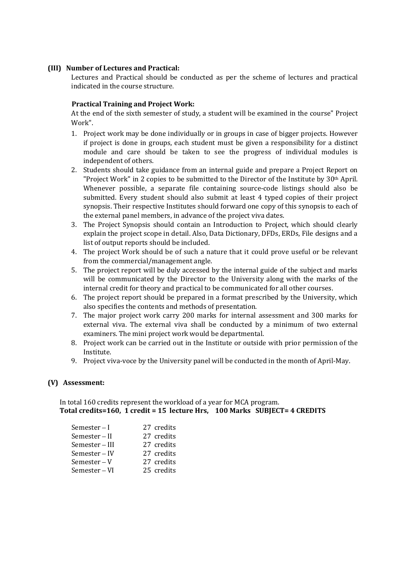### **(III) Number of Lectures and Practical:**

Lectures and Practical should be conducted as per the scheme of lectures and practical indicated in the course structure.

#### **Practical Training and Project Work:**

At the end of the sixth semester of study, a student will be examined in the course" Project Work".

- 1. Project work may be done individually or in groups in case of bigger projects. However if project is done in groups, each student must be given a responsibility for a distinct module and care should be taken to see the progress of individual modules is independent of others.
- 2. Students should take guidance from an internal guide and prepare a Project Report on "Project Work" in 2 copies to be submitted to the Director of the Institute by 30th April. Whenever possible, a separate file containing source-code listings should also be submitted. Every student should also submit at least 4 typed copies of their project synopsis. Their respective Institutes should forward one copy of this synopsis to each of the external panel members, in advance of the project viva dates.
- 3. The Project Synopsis should contain an Introduction to Project, which should clearly explain the project scope in detail. Also, Data Dictionary, DFDs, ERDs, File designs and a list of output reports should be included.
- 4. The project Work should be of such a nature that it could prove useful or be relevant from the commercial/management angle.
- 5. The project report will be duly accessed by the internal guide of the subject and marks will be communicated by the Director to the University along with the marks of the internal credit for theory and practical to be communicated for all other courses.
- 6. The project report should be prepared in a format prescribed by the University, which also specifies the contents and methods of presentation.
- 7. The major project work carry 200 marks for internal assessment and 300 marks for external viva. The external viva shall be conducted by a minimum of two external examiners. The mini project work would be departmental.
- 8. Project work can be carried out in the Institute or outside with prior permission of the Institute.
- 9. Project viva-voce by the University panel will be conducted in the month of April-May.

#### **(V) Assessment:**

In total 160 credits represent the workload of a year for MCA program. **Total credits=160, 1 credit = 15 lecture Hrs, 100 Marks SUBJECT= 4 CREDITS** 

| Semester $-I$  | 27 credits |
|----------------|------------|
| Semester – II  | 27 credits |
| Semester – III | 27 credits |
| Semester-IV    | 27 credits |
| $Semester-V$   | 27 credits |
| Semester – VI  | 25 credits |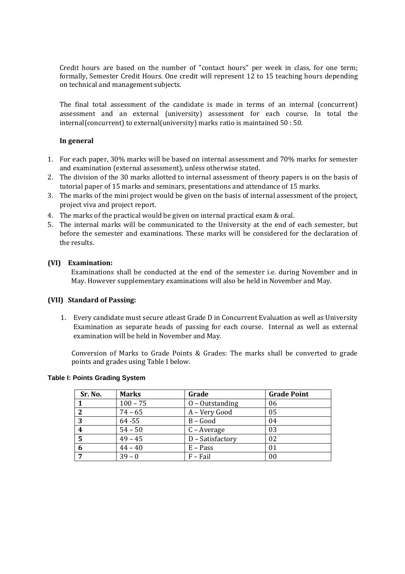Credit hours are based on the number of "contact hours" per week in class, for one term; formally, Semester Credit Hours. One credit will represent 12 to 15 teaching hours depending on technical and management subjects.

The final total assessment of the candidate is made in terms of an internal (concurrent) assessment and an external (university) assessment for each course. In total the internal(concurrent) to external(university) marks ratio is maintained 50 : 50.

#### **In general**

- 1. For each paper, 30% marks will be based on internal assessment and 70% marks for semester and examination (external assessment), unless otherwise stated.
- 2. The division of the 30 marks allotted to internal assessment of theory papers is on the basis of tutorial paper of 15 marks and seminars, presentations and attendance of 15 marks.
- 3. The marks of the mini project would be given on the basis of internal assessment of the project, project viva and project report.
- 4. The marks of the practical would be given on internal practical exam & oral.
- 5. The internal marks will be communicated to the University at the end of each semester, but before the semester and examinations. These marks will be considered for the declaration of the results.

#### **(VI) Examination:**

Examinations shall be conducted at the end of the semester i.e. during November and in May. However supplementary examinations will also be held in November and May.

#### **(VII) Standard of Passing:**

1. Every candidate must secure atleast Grade D in Concurrent Evaluation as well as University Examination as separate heads of passing for each course. Internal as well as external examination will be held in November and May.

Conversion of Marks to Grade Points & Grades: The marks shall be converted to grade points and grades using Table I below.

#### **Table I: Points Grading System**

| Sr. No.     | <b>Marks</b> | Grade             | <b>Grade Point</b> |
|-------------|--------------|-------------------|--------------------|
|             | $100 - 75$   | $0 -$ Outstanding | 06                 |
| $\mathbf 2$ | $74 - 65$    | A - Very Good     | 05                 |
| 3           | $64 - 55$    | $B - Good$        | 04                 |
| 4           | $54 - 50$    | C – Average       | 03                 |
| 5           | $49 - 45$    | D - Satisfactory  | 02                 |
| 6           | $44 - 40$    | $E - Pass$        | 01                 |
|             | $39 - 0$     | $F$ – Fail        | 00                 |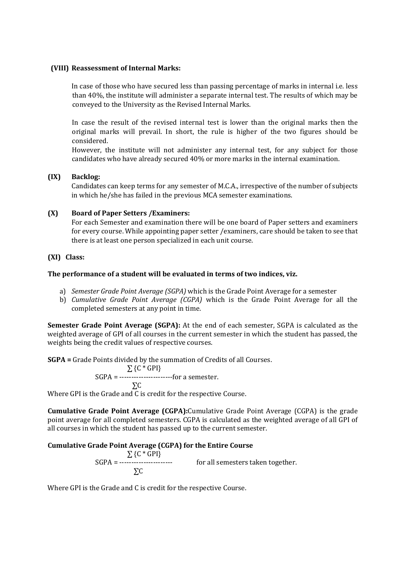#### **(VIII) Reassessment of Internal Marks:**

In case of those who have secured less than passing percentage of marks in internal i.e. less than 40%, the institute will administer a separate internal test. The results of which may be conveyed to the University as the Revised Internal Marks.

In case the result of the revised internal test is lower than the original marks then the original marks will prevail. In short, the rule is higher of the two figures should be considered.

However, the institute will not administer any internal test, for any subject for those candidates who have already secured 40% or more marks in the internal examination.

# **(IX) Backlog:**

Candidates can keep terms for any semester of M.C.A., irrespective of the number of subjects in which he/she has failed in the previous MCA semester examinations.

# **(X) Board of Paper Setters /Examiners:**

For each Semester and examination there will be one board of Paper setters and examiners for every course. While appointing paper setter /examiners, care should be taken to see that there is at least one person specialized in each unit course.

#### **(XI) Class:**

#### **The performance of a student will be evaluated in terms of two indices, viz.**

- a) *Semester Grade Point Average (SGPA)* which is the Grade Point Average for a semester
- b) *Cumulative Grade Point Average (CGPA)* which is the Grade Point Average for all the completed semesters at any point in time.

**Semester Grade Point Average (SGPA):** At the end of each semester, SGPA is calculated as the weighted average of GPI of all courses in the current semester in which the student has passed, the weights being the credit values of respective courses.

**SGPA =** Grade Points divided by the summation of Credits of all Courses.

$$
\Sigma \text{ {C * GPI}}
$$

$$
SGPA =
$$
 ~~-----~~ *...* ~~...~~ *for a semester.*

 ∑C Where GPI is the Grade and C is credit for the respective Course.

**Cumulative Grade Point Average (CGPA):**Cumulative Grade Point Average (CGPA) is the grade point average for all completed semesters. CGPA is calculated as the weighted average of all GPI of all courses in which the student has passed up to the current semester.

# **Cumulative Grade Point Average (CGPA) for the Entire Course**

 $\sum$  {C \* GPI} SGPA = ---------------------- for all semesters taken together. ∑C

Where GPI is the Grade and C is credit for the respective Course.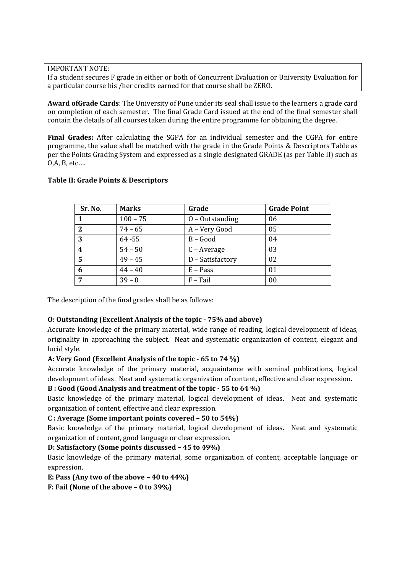IMPORTANT NOTE:

If a student secures F grade in either or both of Concurrent Evaluation or University Evaluation for a particular course his /her credits earned for that course shall be ZERO.

**Award ofGrade Cards**: The University of Pune under its seal shall issue to the learners a grade card on completion of each semester. The final Grade Card issued at the end of the final semester shall contain the details of all courses taken during the entire programme for obtaining the degree.

**Final Grades:** After calculating the SGPA for an individual semester and the CGPA for entire programme, the value shall be matched with the grade in the Grade Points & Descriptors Table as per the Points Grading System and expressed as a single designated GRADE (as per Table II) such as O,A, B, etc….

# **Sr. No. Marks Grade Grade Point 1** 100 – 75 **O** – Outstanding 106 **2**  $\begin{array}{|c|c|c|c|c|} \hline 74 - 65 & A - Very Good & 05 \\ \hline \end{array}$ **3**  $\begin{array}{|c|c|c|c|c|} \hline 64 - 55 & \quad \text{B} - Good & \quad \text{04} \ \hline \end{array}$ **4** 54 – 50 C – Average 03 **5**  $\begin{array}{|c|c|c|c|c|} \hline 49 & -45 & \text{D} - 5 \text{atis} \text{factor} \end{array}$  02 **6**  $\begin{array}{|c|c|c|c|c|} \hline 44 - 40 & \hline & E - \text{Pass} & 01 \\\hline \end{array}$ **7**  $\begin{array}{|c|c|c|c|c|} \hline \text{39 - 0} & \text{F - Fall} & \text{00} \ \hline \end{array}$

# **Table II: Grade Points & Descriptors**

The description of the final grades shall be as follows:

# **O: Outstanding (Excellent Analysis of the topic - 75% and above)**

Accurate knowledge of the primary material, wide range of reading, logical development of ideas, originality in approaching the subject. Neat and systematic organization of content, elegant and lucid style.

# **A: Very Good (Excellent Analysis of the topic - 65 to 74 %)**

Accurate knowledge of the primary material, acquaintance with seminal publications, logical development of ideas. Neat and systematic organization of content, effective and clear expression.

# **B : Good (Good Analysis and treatment of the topic - 55 to 64 %)**

Basic knowledge of the primary material, logical development of ideas. Neat and systematic organization of content, effective and clear expression.

# **C : Average (Some important points covered – 50 to 54%)**

Basic knowledge of the primary material, logical development of ideas. Neat and systematic organization of content, good language or clear expression.

# **D: Satisfactory (Some points discussed – 45 to 49%)**

Basic knowledge of the primary material, some organization of content, acceptable language or expression.

# **E: Pass (Any two of the above – 40 to 44%)**

**F: Fail (None of the above – 0 to 39%)**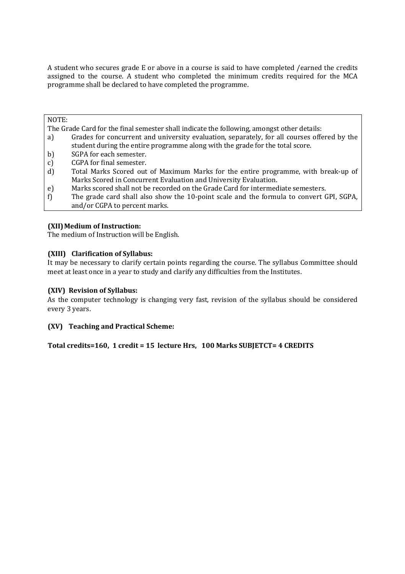A student who secures grade E or above in a course is said to have completed /earned the credits assigned to the course. A student who completed the minimum credits required for the MCA programme shall be declared to have completed the programme.

#### NOTE:

The Grade Card for the final semester shall indicate the following, amongst other details:

- a) Grades for concurrent and university evaluation, separately, for all courses offered by the student during the entire programme along with the grade for the total score.
- b) SGPA for each semester.
- c) CGPA for final semester.
- d) Total Marks Scored out of Maximum Marks for the entire programme, with break-up of Marks Scored in Concurrent Evaluation and University Evaluation.
- e) Marks scored shall not be recorded on the Grade Card for intermediate semesters.
- f) The grade card shall also show the 10-point scale and the formula to convert GPI, SGPA, and/or CGPA to percent marks.

#### **(XII) Medium of Instruction:**

The medium of Instruction will be English.

#### **(XIII) Clarification of Syllabus:**

It may be necessary to clarify certain points regarding the course. The syllabus Committee should meet at least once in a year to study and clarify any difficulties from the Institutes.

### **(XIV) Revision of Syllabus:**

As the computer technology is changing very fast, revision of the syllabus should be considered every 3 years.

#### **(XV) Teaching and Practical Scheme:**

**Total credits=160, 1 credit = 15 lecture Hrs, 100 Marks SUBJETCT= 4 CREDITS**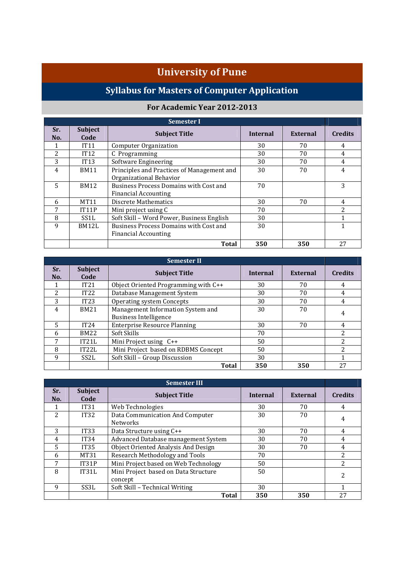# **University of Pune**

# **Syllabus for Masters of Computer Application**

# **For Academic Year 2012-2013**

|                | <b>Semester I</b>      |                                                                       |                 |                 |                |  |
|----------------|------------------------|-----------------------------------------------------------------------|-----------------|-----------------|----------------|--|
| Sr.<br>No.     | <b>Subject</b><br>Code | <b>Subject Title</b>                                                  | <b>Internal</b> | <b>External</b> | <b>Credits</b> |  |
|                | IT11                   | <b>Computer Organization</b>                                          | 30              | 70              | 4              |  |
| $\overline{c}$ | IT12                   | C Programming                                                         | 30              | 70              | 4              |  |
| 3              | IT13                   | Software Engineering                                                  | 30              | 70              | 4              |  |
| 4              | <b>BM11</b>            | Principles and Practices of Management and<br>Organizational Behavior | 30              | 70              | 4              |  |
| 5              | <b>BM12</b>            | Business Process Domains with Cost and<br>Financial Accounting        | 70              |                 | 3              |  |
| 6              | <b>MT11</b>            | <b>Discrete Mathematics</b>                                           | 30<br>70        |                 |                |  |
| 7              | IT11P                  | Mini project using C                                                  | 70              |                 | $\overline{c}$ |  |
| 8              | SS1L                   | Soft Skill - Word Power, Business English<br>30                       |                 |                 |                |  |
| 9              | BM12L                  | Business Process Domains with Cost and<br>Financial Accounting        | 1               |                 |                |  |
|                |                        | <b>Total</b>                                                          | 350             | 350             | 27             |  |

| <b>Semester II</b> |                        |                                                 |                 |                |                |  |
|--------------------|------------------------|-------------------------------------------------|-----------------|----------------|----------------|--|
| Sr.<br>No.         | <b>Subject</b><br>Code | <b>Subject Title</b>                            | <b>Internal</b> | External       | <b>Credits</b> |  |
|                    | IT21                   | Object Oriented Programming with C++            | 30              | 70             | 4              |  |
| $\overline{2}$     | IT22                   | Database Management System                      | 30              | 70             | 4              |  |
| 3                  | IT23                   | <b>Operating system Concepts</b>                | 4               |                |                |  |
| 4                  | <b>BM21</b>            | Management Information System and<br>30<br>70   |                 |                |                |  |
|                    |                        | <b>Business Intelligence</b>                    |                 |                | 4              |  |
| 5                  | IT24                   | <b>Enterprise Resource Planning</b><br>30<br>70 |                 |                | 4              |  |
| 6                  | <b>BM22</b>            | Soft Skills<br>70                               |                 | $\overline{c}$ |                |  |
| 7                  | IT21L                  | Mini Project using C++<br>50                    |                 | $\overline{c}$ |                |  |
| 8                  | IT22L                  | Mini Project based on RDBMS Concept<br>50       |                 | $\overline{2}$ |                |  |
| 9                  | SS <sub>2</sub> L      | Soft Skill - Group Discussion                   |                 |                |                |  |
|                    |                        | <b>Total</b>                                    | 350             | 350            | 27             |  |

| <b>Semester III</b> |                        |                                                       |                                    |                |    |  |
|---------------------|------------------------|-------------------------------------------------------|------------------------------------|----------------|----|--|
| Sr.<br>No.          | <b>Subject</b><br>Code | <b>Subject Title</b>                                  | <b>Internal</b><br><b>External</b> |                |    |  |
|                     | <b>IT31</b>            | Web Technologies                                      | 30                                 | 70             | 4  |  |
| 2                   | IT32                   | Data Communication And Computer<br><b>Networks</b>    | 4                                  |                |    |  |
| 3                   | <b>IT33</b>            | Data Structure using C++                              | 4                                  |                |    |  |
| 4                   | IT34                   | Advanced Database management System<br>70<br>30       |                                    | 4              |    |  |
| 5                   | <b>IT35</b>            | Object Oriented Analysis And Design<br>70<br>30       |                                    | 4              |    |  |
| 6                   | MT31                   | Research Methodology and Tools<br>70                  |                                    | $\overline{c}$ |    |  |
| 7                   | IT31P                  | Mini Project based on Web Technology<br>50            |                                    | $\overline{c}$ |    |  |
| 8                   | IT31L                  | Mini Project based on Data Structure<br>50<br>concept |                                    | 2              |    |  |
| 9                   | SS3L                   | Soft Skill - Technical Writing<br>30                  |                                    |                |    |  |
|                     |                        | <b>Total</b>                                          | 350                                | 350            | 27 |  |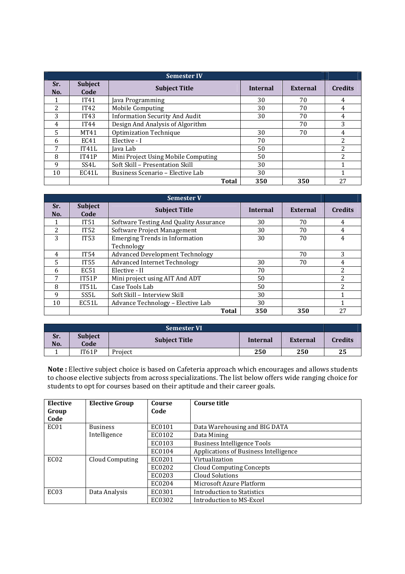|                | <b>Semester IV</b>     |                                           |                 |                 |                |  |  |
|----------------|------------------------|-------------------------------------------|-----------------|-----------------|----------------|--|--|
| Sr.<br>No.     | <b>Subject</b><br>Code | <b>Subject Title</b>                      | <b>Internal</b> | <b>External</b> | <b>Credits</b> |  |  |
|                | IT41                   | Java Programming                          | 30              | 70              | 4              |  |  |
| $\overline{c}$ | IT42                   | <b>Mobile Computing</b>                   | 30              | 70              | 4              |  |  |
| 3              | IT43                   | <b>Information Security And Audit</b>     | 70              | 4               |                |  |  |
| 4              | IT44                   | Design And Analysis of Algorithm          |                 | 70              | 3              |  |  |
| 5              | MT41                   | Optimization Technique                    | 30              | 70              | 4              |  |  |
| 6              | EC41                   | 70<br>Elective - I                        |                 |                 | 2              |  |  |
| ⇁              | IT41L                  | 50<br>Java Lab                            |                 |                 | $\overline{c}$ |  |  |
| 8              | IT41P                  | Mini Project Using Mobile Computing<br>50 |                 | $\overline{c}$  |                |  |  |
| 9              | SS4L                   | Soft Skill - Presentation Skill<br>30     |                 |                 |                |  |  |
| 10             | EC41L                  | 30<br>Business Scenario - Elective Lab    |                 |                 |                |  |  |
|                |                        | Total                                     | 350             | 350             | 27             |  |  |

| <b>Semester V</b> |                        |                                                     |                 |                 |                |  |
|-------------------|------------------------|-----------------------------------------------------|-----------------|-----------------|----------------|--|
| Sr.<br>No.        | <b>Subject</b><br>Code | <b>Subject Title</b>                                | <b>Internal</b> | <b>External</b> | <b>Credits</b> |  |
|                   | IT <sub>51</sub>       | Software Testing And Quality Assurance              | 30              | 70              | 4              |  |
| 2                 | IT52                   | Software Project Management                         | 70              | 4               |                |  |
| 3                 | <b>IT53</b>            | <b>Emerging Trends in Information</b><br>Technology | 30              | 70              | 4              |  |
| 4                 | IT54                   | <b>Advanced Development Technology</b>              |                 | 70              | 3              |  |
| 5                 | <b>IT55</b>            | <b>Advanced Internet Technology</b>                 | 30              | 70              | 4              |  |
| 6                 | EC51                   | Elective - II                                       | 70              |                 | 2              |  |
| 7                 | IT51P                  | Mini project using AIT And ADT<br>50                |                 |                 | $\overline{c}$ |  |
| 8                 | IT51L                  | Case Tools Lab<br>50                                |                 | 2               |                |  |
| 9                 | SS5L                   | Soft Skill - Interview Skill<br>30                  |                 |                 |                |  |
| 10                | EC51L                  | Advance Technology - Elective Lab<br>30             |                 |                 |                |  |
|                   |                        | Total                                               | 350             | 350             | 27             |  |

| <b>Semester VI</b> |                        |                      |          |                 |                |
|--------------------|------------------------|----------------------|----------|-----------------|----------------|
| Sr.<br>No.         | <b>Subject</b><br>Code | <b>Subject Title</b> | Internal | <b>External</b> | <b>Credits</b> |
|                    | IT61P                  | Project              | 250      | 250             | 25             |

**Note :** Elective subject choice is based on Cafeteria approach which encourages and allows students to choose elective subjects from across specializations. The list below offers wide ranging choice for students to opt for courses based on their aptitude and their career goals.

| Elective<br>Group | <b>Elective Group</b> | Course<br>Code | Course title                          |
|-------------------|-----------------------|----------------|---------------------------------------|
| Code              |                       |                |                                       |
| EC <sub>01</sub>  | <b>Business</b>       | EC0101         | Data Warehousing and BIG DATA         |
|                   | Intelligence          | EC0102         | Data Mining                           |
|                   |                       | EC0103         | <b>Business Intelligence Tools</b>    |
|                   |                       | EC0104         | Applications of Business Intelligence |
| EC <sub>02</sub>  | Cloud Computing       | EC0201         | Virtualization                        |
|                   |                       | EC0202         | Cloud Computing Concepts              |
|                   |                       | EC0203         | <b>Cloud Solutions</b>                |
|                   |                       | EC0204         | Microsoft Azure Platform              |
| EC <sub>03</sub>  | Data Analysis         | EC0301         | Introduction to Statistics            |
|                   |                       | EC0302         | Introduction to MS-Excel              |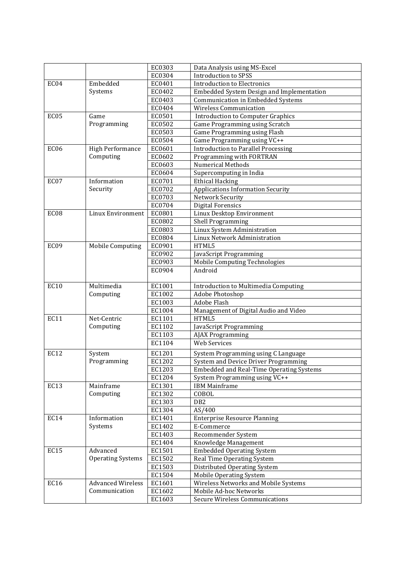|                  |                          | EC0303           | Data Analysis using MS-Excel                    |
|------------------|--------------------------|------------------|-------------------------------------------------|
|                  |                          | EC0304           | <b>Introduction to SPSS</b>                     |
| EC04             | Embedded                 | EC0401           | <b>Introduction to Electronics</b>              |
|                  | Systems                  | EC0402           | Embedded System Design and Implementation       |
|                  |                          | EC0403           | Communication in Embedded Systems               |
|                  |                          | EC0404           | <b>Wireless Communication</b>                   |
| EC05             | Game                     | EC0501           | <b>Introduction to Computer Graphics</b>        |
|                  | Programming              | EC0502           | Game Programming using Scratch                  |
|                  |                          | EC0503           | Game Programming using Flash                    |
|                  |                          | EC0504           | Game Programming using VC++                     |
| EC <sub>06</sub> | <b>High Performance</b>  | EC0601           | <b>Introduction to Parallel Processing</b>      |
|                  | Computing                | EC0602           | Programming with FORTRAN                        |
|                  |                          | EC0603           | Numerical Methods                               |
|                  |                          | EC0604           | Supercomputing in India                         |
| EC07             | Information              | EC0701           | <b>Ethical Hacking</b>                          |
|                  | Security                 | EC0702           | <b>Applications Information Security</b>        |
|                  |                          | EC0703           | Network Security                                |
|                  |                          | EC0704           | <b>Digital Forensics</b>                        |
| EC08             | Linux Environment        | EC0801           | Linux Desktop Environment                       |
|                  |                          | EC0802           | Shell Programming                               |
|                  |                          | EC0803           | Linux System Administration                     |
|                  |                          | EC0804           | Linux Network Administration                    |
| EC09             | <b>Mobile Computing</b>  | EC0901           | HTML5                                           |
|                  |                          | EC0902           | JavaScript Programming                          |
|                  |                          | EC0903           | Mobile Computing Technologies                   |
|                  |                          | EC0904           | Android                                         |
|                  |                          |                  |                                                 |
| <b>EC10</b>      | Multimedia               | EC1001           | Introduction to Multimedia Computing            |
|                  | Computing                | EC1002           | Adobe Photoshop                                 |
|                  |                          | EC1003           | <b>Adobe Flash</b>                              |
| <b>EC11</b>      | Net-Centric              | EC1004<br>EC1101 | Management of Digital Audio and Video<br>HTML5  |
|                  | Computing                | EC1102           |                                                 |
|                  |                          | EC1103           | JavaScript Programming                          |
|                  |                          | EC1104           | AJAX Programming<br><b>Web Services</b>         |
|                  |                          |                  |                                                 |
| EC12             | System                   | EC1201           | System Programming using C Language             |
|                  | Programming              | EC1202           | System and Device Driver Programming            |
|                  |                          | EC1203           | <b>Embedded and Real-Time Operating Systems</b> |
|                  |                          | EC1204           | System Programming using VC++                   |
| EC13             | Mainframe                | EC1301           | <b>IBM Mainframe</b>                            |
|                  | Computing                | EC1302           | COBOL                                           |
|                  |                          | EC1303           | DB <sub>2</sub>                                 |
| EC14             | Information              | EC1304           | AS/400                                          |
|                  |                          | EC1401           | <b>Enterprise Resource Planning</b>             |
|                  | Systems                  | EC1402           | E-Commerce                                      |
|                  |                          | EC1403           | Recommender System                              |
|                  | Advanced                 | EC1404           | Knowledge Management                            |
| EC15             |                          | EC1501           | <b>Embedded Operating System</b>                |
|                  | <b>Operating Systems</b> | EC1502           | Real Time Operating System                      |
|                  |                          | EC1503           | Distributed Operating System                    |
| <b>EC16</b>      | <b>Advanced Wireless</b> | EC1504           | <b>Mobile Operating System</b>                  |
|                  | Communication            | EC1601           | Wireless Networks and Mobile Systems            |
|                  |                          | EC1602           | Mobile Ad-hoc Networks                          |
|                  |                          | EC1603           | <b>Secure Wireless Communications</b>           |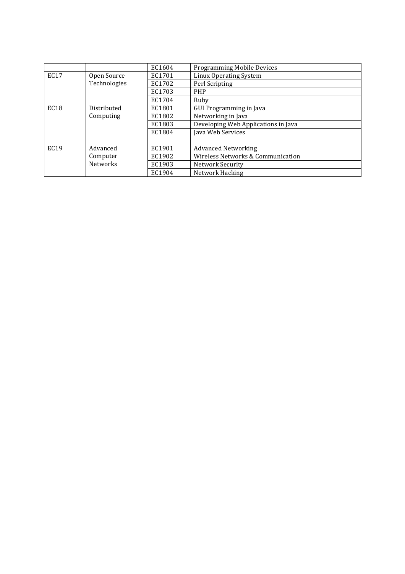|                  |                 | EC1604 | <b>Programming Mobile Devices</b>   |
|------------------|-----------------|--------|-------------------------------------|
| <b>EC17</b>      | Open Source     | EC1701 | Linux Operating System              |
|                  | Technologies    | EC1702 | Perl Scripting                      |
|                  |                 | EC1703 | <b>PHP</b>                          |
|                  |                 | EC1704 | Ruby                                |
| EC18             | Distributed     | EC1801 | GUI Programming in Java             |
|                  | Computing       | EC1802 | Networking in Java                  |
|                  |                 | EC1803 | Developing Web Applications in Java |
|                  |                 | EC1804 | Java Web Services                   |
|                  |                 |        |                                     |
| EC <sub>19</sub> | Advanced        | EC1901 | <b>Advanced Networking</b>          |
|                  | Computer        | EC1902 | Wireless Networks & Communication   |
|                  | <b>Networks</b> | EC1903 | Network Security                    |
|                  |                 | EC1904 | Network Hacking                     |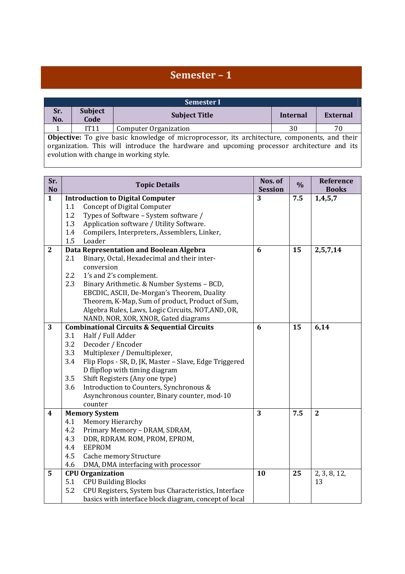# **Semester – 1**

i

l,

| <b>Semester I</b>                                                                                                                                                                                                                      |                        |                              |          |          |  |  |  |
|----------------------------------------------------------------------------------------------------------------------------------------------------------------------------------------------------------------------------------------|------------------------|------------------------------|----------|----------|--|--|--|
| Sr.<br>No.                                                                                                                                                                                                                             | <b>Subject</b><br>Code | <b>Subject Title</b>         | Internal | External |  |  |  |
|                                                                                                                                                                                                                                        | IT <sub>11</sub>       | <b>Computer Organization</b> | 30       | 70       |  |  |  |
| Objective: To give basic knowledge of microprocessor, its architecture, components, and their<br>organization. This will introduce the hardware and upcoming processor architecture and its<br>evolution with change in working style. |                        |                              |          |          |  |  |  |

| Sr.<br><b>No</b>        |     | <b>Topic Details</b>                                    | Nos. of<br><b>Session</b> | $\frac{0}{0}$ | Reference<br><b>Books</b> |
|-------------------------|-----|---------------------------------------------------------|---------------------------|---------------|---------------------------|
| $\mathbf{1}$            |     | <b>Introduction to Digital Computer</b>                 | 3                         | 7.5           | 1,4,5,7                   |
|                         | 1.1 | <b>Concept of Digital Computer</b>                      |                           |               |                           |
|                         | 1.2 | Types of Software - System software /                   |                           |               |                           |
|                         | 1.3 | Application software / Utility Software.                |                           |               |                           |
|                         | 1.4 | Compilers, Interpreters, Assemblers, Linker,            |                           |               |                           |
|                         | 1.5 | Loader                                                  |                           |               |                           |
| $\overline{2}$          |     | Data Representation and Boolean Algebra                 | 6                         | 15            | 2,5,7,14                  |
|                         | 2.1 | Binary, Octal, Hexadecimal and their inter-             |                           |               |                           |
|                         |     | conversion                                              |                           |               |                           |
|                         | 2.2 | 1's and 2's complement.                                 |                           |               |                           |
|                         | 2.3 | Binary Arithmetic. & Number Systems - BCD,              |                           |               |                           |
|                         |     | EBCDIC, ASCII, De-Morgan's Theorem, Duality             |                           |               |                           |
|                         |     | Theorem, K-Map, Sum of product, Product of Sum,         |                           |               |                           |
|                         |     | Algebra Rules, Laws, Logic Circuits, NOT, AND, OR,      |                           |               |                           |
|                         |     | NAND, NOR, XOR, XNOR, Gated diagrams                    |                           |               |                           |
| 3                       |     | <b>Combinational Circuits &amp; Sequential Circuits</b> | 6                         | 15            | 6,14                      |
|                         | 3.1 | Half / Full Adder                                       |                           |               |                           |
|                         | 3.2 | Decoder / Encoder                                       |                           |               |                           |
|                         | 3.3 | Multiplexer / Demultiplexer,                            |                           |               |                           |
|                         | 3.4 | Flip Flops - SR, D, JK, Master - Slave, Edge Triggered  |                           |               |                           |
|                         |     | D flipflop with timing diagram                          |                           |               |                           |
|                         | 3.5 | Shift Registers (Any one type)                          |                           |               |                           |
|                         | 3.6 | Introduction to Counters, Synchronous &                 |                           |               |                           |
|                         |     | Asynchronous counter, Binary counter, mod-10            |                           |               |                           |
|                         |     | counter                                                 |                           |               |                           |
| $\overline{\mathbf{4}}$ |     | <b>Memory System</b>                                    | 3                         | 7.5           | $\overline{2}$            |
|                         | 4.1 | Memory Hierarchy                                        |                           |               |                           |
|                         | 4.2 | Primary Memory - DRAM, SDRAM,                           |                           |               |                           |
|                         | 4.3 | DDR, RDRAM. ROM, PROM, EPROM,                           |                           |               |                           |
|                         | 4.4 | <b>EEPROM</b>                                           |                           |               |                           |
|                         | 4.5 | <b>Cache memory Structure</b>                           |                           |               |                           |
|                         | 4.6 | DMA, DMA interfacing with processor                     |                           |               |                           |
| 5                       |     | <b>CPU Organization</b>                                 | 10                        | 25            | 2, 3, 8, 12,              |
|                         | 5.1 | <b>CPU Building Blocks</b>                              |                           |               | 13                        |
|                         | 5.2 | CPU Registers, System bus Characteristics, Interface    |                           |               |                           |
|                         |     | basics with interface block diagram, concept of local   |                           |               |                           |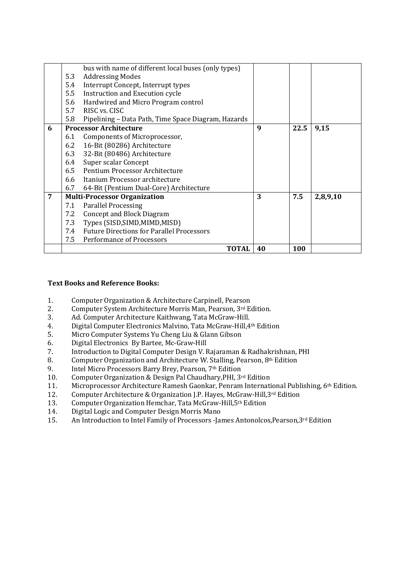|   |     | bus with name of different local buses (only types) |    |      |          |
|---|-----|-----------------------------------------------------|----|------|----------|
|   | 5.3 | <b>Addressing Modes</b>                             |    |      |          |
|   | 5.4 | Interrupt Concept, Interrupt types                  |    |      |          |
|   | 5.5 | Instruction and Execution cycle                     |    |      |          |
|   | 5.6 | Hardwired and Micro Program control                 |    |      |          |
|   | 5.7 | RISC vs. CISC                                       |    |      |          |
|   | 5.8 | Pipelining - Data Path, Time Space Diagram, Hazards |    |      |          |
| 6 |     | <b>Processor Architecture</b>                       | 9  | 22.5 | 9,15     |
|   | 6.1 | Components of Microprocessor,                       |    |      |          |
|   | 6.2 | 16-Bit (80286) Architecture                         |    |      |          |
|   | 6.3 | 32-Bit (80486) Architecture                         |    |      |          |
|   | 6.4 | Super scalar Concept                                |    |      |          |
|   |     | 6.5 Pentium Processor Architecture                  |    |      |          |
|   |     | 6.6 Itanium Processor architecture                  |    |      |          |
|   | 6.7 | 64-Bit (Pentium Dual-Core) Architecture             |    |      |          |
| 7 |     | <b>Multi-Processor Organization</b>                 | 3  | 7.5  | 2,8,9,10 |
|   | 7.1 | <b>Parallel Processing</b>                          |    |      |          |
|   | 7.2 | <b>Concept and Block Diagram</b>                    |    |      |          |
|   | 7.3 | Types (SISD, SIMD, MIMD, MISD)                      |    |      |          |
|   | 7.4 | <b>Future Directions for Parallel Processors</b>    |    |      |          |
|   | 7.5 | Performance of Processors                           |    |      |          |
|   |     | TOTAL                                               | 40 | 100  |          |

### **Text Books and Reference Books:**

- 1. Computer Organization & Architecture Carpinell, Pearson
- 2. Computer System Architecture Morris Man, Pearson, 3rd Edition.
- 3. Ad. Computer Architecture Kaithwang, Tata McGraw-Hill.<br>4 Digital Computer Electronics Malvino Tata McGraw-Hill 4
- 4. Digital Computer Electronics Malvino, Tata McGraw-Hill,4th Edition
- 5. Micro Computer Systems Yu Cheng Liu & Glann Gibson
- 6. Digital Electronics By Bartee, Mc-Graw-Hill
- 7. Introduction to Digital Computer Design V. Rajaraman & Radhakrishnan, PHI
- 8. Computer Organization and Architecture W. Stalling, Pearson, 8th Edition
- 9. Intel Micro Processors Barry Brey, Pearson, 7th Edition
- 10. Computer Organization & Design Pal Chaudhary,PHI, 3rd Edition
- 11. Microprocessor Architecture Ramesh Gaonkar, Penram International Publishing, 6<sup>th</sup> Edition.<br>12. Computer Architecture & Organization I.P. Haves. McGraw-Hill.<sup>3rd</sup> Edition
- 12. Computer Architecture & Organization J.P. Hayes, McGraw-Hill,3rd Edition
- 13. Computer Organization Hemchar, Tata McGraw-Hill,5th Edition
- 14. Digital Logic and Computer Design Morris Mano
- 15. An Introduction to Intel Family of Processors -James Antonolcos, Pearson, 3rd Edition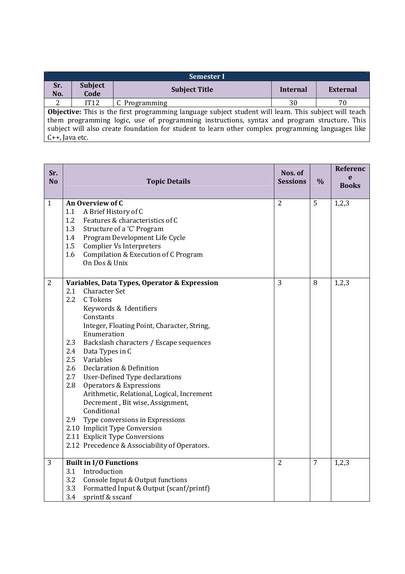| Semester I                                                                                                                                                                                                                                                                                                                               |                        |                      |          |                 |  |  |
|------------------------------------------------------------------------------------------------------------------------------------------------------------------------------------------------------------------------------------------------------------------------------------------------------------------------------------------|------------------------|----------------------|----------|-----------------|--|--|
| Sr.<br>No.                                                                                                                                                                                                                                                                                                                               | <b>Subject</b><br>Code | <b>Subject Title</b> | Internal | <b>External</b> |  |  |
| 2                                                                                                                                                                                                                                                                                                                                        | IT12                   | C Programming        | 30       | 70              |  |  |
| <b>Objective:</b> This is the first programming language subject student will learn. This subject will teach<br>them programming logic, use of programming instructions, syntax and program structure. This<br>subject will also create foundation for student to learn other complex programming languages like<br>$C_{++}$ , Java etc. |                        |                      |          |                 |  |  |

| Sr.<br>N <sub>o</sub> | <b>Topic Details</b>                                                                                                                                                                                                                                                                                                                                                                                                                                                                                                                                                                                                                                                                          | Nos. of<br><b>Sessions</b> | $\frac{0}{0}$ | Referenc<br>e<br><b>Books</b> |
|-----------------------|-----------------------------------------------------------------------------------------------------------------------------------------------------------------------------------------------------------------------------------------------------------------------------------------------------------------------------------------------------------------------------------------------------------------------------------------------------------------------------------------------------------------------------------------------------------------------------------------------------------------------------------------------------------------------------------------------|----------------------------|---------------|-------------------------------|
| $\mathbf{1}$          | An Overview of C<br>A Brief History of C<br>1.1<br>1.2<br>Features & characteristics of C<br>1.3<br>Structure of a 'C' Program<br>Program Development Life Cycle<br>1.4<br>1.5<br><b>Complier Vs Interpreters</b><br>1.6<br>Compilation & Execution of C Program<br>On Dos & Unix                                                                                                                                                                                                                                                                                                                                                                                                             | $\overline{2}$             | 5             | 1,2,3                         |
| $\overline{2}$        | Variables, Data Types, Operator & Expression<br>2.1<br><b>Character Set</b><br>$2.2\phantom{0}$<br>C Tokens<br>Keywords & Identifiers<br>Constants<br>Integer, Floating Point, Character, String,<br>Enumeration<br>2.3<br>Backslash characters / Escape sequences<br>2.4<br>Data Types in C<br>2.5<br>Variables<br>2.6<br>Declaration & Definition<br>2.7<br>User-Defined Type declarations<br>2.8<br>Operators & Expressions<br>Arithmetic, Relational, Logical, Increment<br>Decrement, Bit wise, Assignment,<br>Conditional<br>2.9<br>Type conversions in Expressions<br>2.10 Implicit Type Conversion<br>2.11 Explicit Type Conversions<br>2.12 Precedence & Associability of Operators. | 3                          | 8             | 1,2,3                         |
| 3                     | <b>Built in I/O Functions</b><br>Introduction<br>3.1<br>3.2<br>Console Input & Output functions<br>3.3<br>Formatted Input & Output (scanf/printf)<br>3.4<br>sprintf & sscanf                                                                                                                                                                                                                                                                                                                                                                                                                                                                                                                  | $\overline{2}$             | 7             | 1,2,3                         |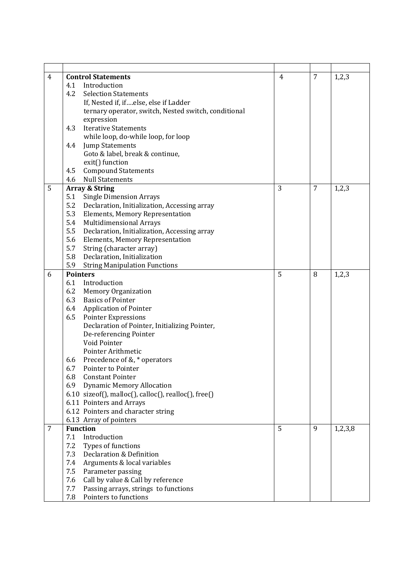| $\overline{4}$ | <b>Control Statements</b>                              | 4 | $\overline{7}$ | 1,2,3   |
|----------------|--------------------------------------------------------|---|----------------|---------|
|                | 4.1<br>Introduction                                    |   |                |         |
|                | <b>Selection Statements</b><br>4.2                     |   |                |         |
|                | If, Nested if, ifelse, else if Ladder                  |   |                |         |
|                | ternary operator, switch, Nested switch, conditional   |   |                |         |
|                | expression                                             |   |                |         |
|                | 4.3<br><b>Iterative Statements</b>                     |   |                |         |
|                | while loop, do-while loop, for loop                    |   |                |         |
|                | 4.4<br><b>Jump Statements</b>                          |   |                |         |
|                | Goto & label, break & continue,                        |   |                |         |
|                | exit() function                                        |   |                |         |
|                | <b>Compound Statements</b><br>4.5                      |   |                |         |
|                | <b>Null Statements</b><br>4.6                          |   |                |         |
| 5              | <b>Array &amp; String</b>                              | 3 | 7              | 1,2,3   |
|                | 5.1<br><b>Single Dimension Arrays</b>                  |   |                |         |
|                | 5.2<br>Declaration, Initialization, Accessing array    |   |                |         |
|                | 5.3<br>Elements, Memory Representation                 |   |                |         |
|                | 5.4<br><b>Multidimensional Arrays</b>                  |   |                |         |
|                | 5.5<br>Declaration, Initialization, Accessing array    |   |                |         |
|                | 5.6<br><b>Elements, Memory Representation</b>          |   |                |         |
|                | 5.7<br>String (character array)                        |   |                |         |
|                | 5.8<br>Declaration, Initialization                     |   |                |         |
|                | 5.9<br><b>String Manipulation Functions</b>            |   |                |         |
| 6              | <b>Pointers</b>                                        | 5 | 8              | 1,2,3   |
|                | Introduction<br>6.1                                    |   |                |         |
|                | 6.2<br><b>Memory Organization</b>                      |   |                |         |
|                | 6.3<br><b>Basics of Pointer</b>                        |   |                |         |
|                | <b>Application of Pointer</b><br>6.4                   |   |                |         |
|                | 6.5<br><b>Pointer Expressions</b>                      |   |                |         |
|                | Declaration of Pointer, Initializing Pointer,          |   |                |         |
|                | De-referencing Pointer                                 |   |                |         |
|                | Void Pointer                                           |   |                |         |
|                | Pointer Arithmetic                                     |   |                |         |
|                | Precedence of &, * operators<br>6.6                    |   |                |         |
|                | 6.7<br>Pointer to Pointer                              |   |                |         |
|                | 6.8<br><b>Constant Pointer</b>                         |   |                |         |
|                | <b>Dynamic Memory Allocation</b><br>6.9                |   |                |         |
|                | $6.10$ sizeof(), malloc(), calloc(), realloc(), free() |   |                |         |
|                | 6.11 Pointers and Arrays                               |   |                |         |
|                | 6.12 Pointers and character string                     |   |                |         |
|                | 6.13 Array of pointers                                 |   |                |         |
| $\overline{7}$ | <b>Function</b>                                        | 5 | 9              | 1,2,3,8 |
|                | Introduction<br>7.1                                    |   |                |         |
|                | Types of functions<br>7.2                              |   |                |         |
|                | Declaration & Definition<br>7.3                        |   |                |         |
|                | Arguments & local variables<br>7.4                     |   |                |         |
|                | 7.5<br>Parameter passing                               |   |                |         |
|                | Call by value & Call by reference<br>7.6               |   |                |         |
|                | 7.7<br>Passing arrays, strings to functions            |   |                |         |
|                | 7.8<br>Pointers to functions                           |   |                |         |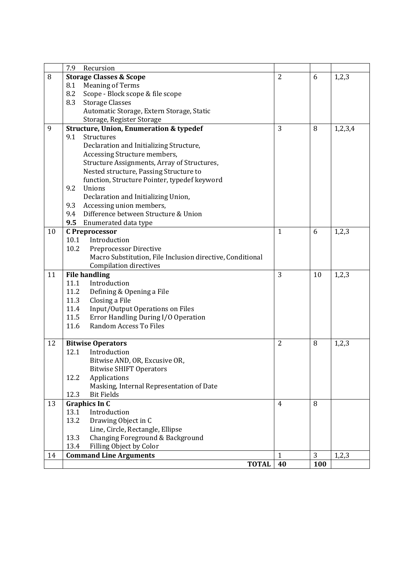|    | 7.9<br>Recursion                                                      |                |     |         |
|----|-----------------------------------------------------------------------|----------------|-----|---------|
| 8  | <b>Storage Classes &amp; Scope</b>                                    | $\overline{2}$ | 6   | 1,2,3   |
|    | 8.1<br><b>Meaning of Terms</b>                                        |                |     |         |
|    | 8.2<br>Scope - Block scope & file scope                               |                |     |         |
|    | 8.3<br><b>Storage Classes</b>                                         |                |     |         |
|    | Automatic Storage, Extern Storage, Static                             |                |     |         |
|    | Storage, Register Storage                                             |                |     |         |
| 9  | <b>Structure, Union, Enumeration &amp; typedef</b>                    | 3              | 8   | 1,2,3,4 |
|    | 9.1<br>Structures                                                     |                |     |         |
|    | Declaration and Initializing Structure,                               |                |     |         |
|    | Accessing Structure members,                                          |                |     |         |
|    | Structure Assignments, Array of Structures,                           |                |     |         |
|    | Nested structure, Passing Structure to                                |                |     |         |
|    | function, Structure Pointer, typedef keyword                          |                |     |         |
|    | 9.2<br>Unions                                                         |                |     |         |
|    | Declaration and Initializing Union,                                   |                |     |         |
|    | 9.3<br>Accessing union members,                                       |                |     |         |
|    | Difference between Structure & Union<br>9.4                           |                |     |         |
|    | 9.5<br>Enumerated data type                                           |                |     |         |
| 10 | <b>C</b> Preprocessor                                                 | $\mathbf{1}$   | 6   | 1,2,3   |
|    | 10.1<br>Introduction                                                  |                |     |         |
|    | 10.2<br>Preprocessor Directive                                        |                |     |         |
|    | Macro Substitution, File Inclusion directive, Conditional             |                |     |         |
|    | Compilation directives                                                |                |     |         |
| 11 | <b>File handling</b>                                                  | 3              | 10  | 1,2,3   |
|    | 11.1<br>Introduction                                                  |                |     |         |
|    | 11.2<br>Defining & Opening a File                                     |                |     |         |
|    | 11.3<br>Closing a File<br>11.4                                        |                |     |         |
|    | Input/Output Operations on Files<br>11.5                              |                |     |         |
|    | Error Handling During I/O Operation<br>11.6<br>Random Access To Files |                |     |         |
|    |                                                                       |                |     |         |
| 12 | <b>Bitwise Operators</b>                                              | $\overline{2}$ | 8   | 1,2,3   |
|    | Introduction<br>12.1                                                  |                |     |         |
|    | Bitwise AND, OR, Excusive OR,                                         |                |     |         |
|    | <b>Bitwise SHIFT Operators</b>                                        |                |     |         |
|    | 12.2<br>Applications                                                  |                |     |         |
|    | Masking, Internal Representation of Date                              |                |     |         |
|    | 12.3<br><b>Bit Fields</b>                                             |                |     |         |
| 13 | <b>Graphics In C</b>                                                  | $\overline{4}$ | 8   |         |
|    | 13.1<br>Introduction                                                  |                |     |         |
|    | 13.2<br>Drawing Object in C                                           |                |     |         |
|    | Line, Circle, Rectangle, Ellipse                                      |                |     |         |
|    | Changing Foreground & Background<br>13.3                              |                |     |         |
|    | Filling Object by Color<br>13.4                                       |                |     |         |
| 14 | <b>Command Line Arguments</b>                                         | $\mathbf{1}$   | 3   | 1,2,3   |
|    | <b>TOTAL</b>                                                          | 40             | 100 |         |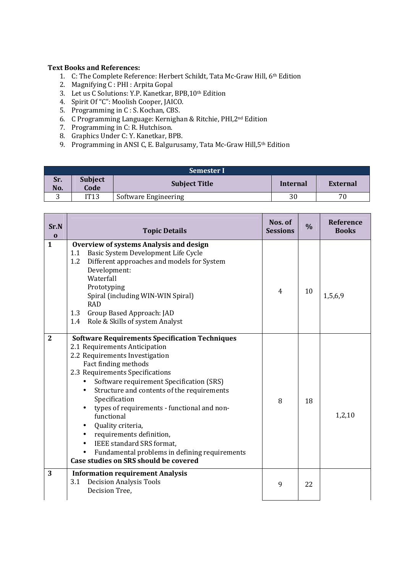#### **Text Books and References:**

- 1. C: The Complete Reference: Herbert Schildt, Tata Mc-Graw Hill, 6th Edition
- 2. Magnifying C : PHI : Arpita Gopal
- 3. Let us C Solutions: Y.P. Kanetkar, BPB, 10<sup>th</sup> Edition
- 4. Spirit Of "C": Moolish Cooper, JAICO.
- 5. Programming in C : S. Kochan, CBS.
- 6. C Programming Language: Kernighan & Ritchie, PHI,2nd Edition
- 7. Programming in C: R. Hutchison.
- 8. Graphics Under C: Y. Kanetkar, BPB.
- 9. Programming in ANSI C, E. Balgurusamy, Tata Mc-Graw Hill,5th Edition

|            | Semester I             |                      |          |          |  |  |
|------------|------------------------|----------------------|----------|----------|--|--|
| Sr.<br>No. | <b>Subject</b><br>Code | <b>Subject Title</b> | Internal | External |  |  |
| ັ          | IT13                   | Software Engineering | 30       | 70       |  |  |

| Sr.N<br>$\bf{0}$ | <b>Topic Details</b>                                                                                                                                                                                                                                                                                                                                                                                                                                                                                                                                                                                        | Nos. of<br><b>Sessions</b> | $\frac{0}{0}$ | Reference<br><b>Books</b> |
|------------------|-------------------------------------------------------------------------------------------------------------------------------------------------------------------------------------------------------------------------------------------------------------------------------------------------------------------------------------------------------------------------------------------------------------------------------------------------------------------------------------------------------------------------------------------------------------------------------------------------------------|----------------------------|---------------|---------------------------|
| $\mathbf{1}$     | <b>Overview of systems Analysis and design</b><br>Basic System Development Life Cycle<br>1.1<br>Different approaches and models for System<br>1.2<br>Development:<br>Waterfall<br>Prototyping<br>Spiral (including WIN-WIN Spiral)<br><b>RAD</b><br>1.3<br>Group Based Approach: JAD<br>Role & Skills of system Analyst<br>1.4                                                                                                                                                                                                                                                                              | 4                          | 10            | 1,5,6,9                   |
| $\overline{2}$   | <b>Software Requirements Specification Techniques</b><br>2.1 Requirements Anticipation<br>2.2 Requirements Investigation<br>Fact finding methods<br>2.3 Requirements Specifications<br>Software requirement Specification (SRS)<br>$\bullet$<br>Structure and contents of the requirements<br>$\bullet$<br>Specification<br>types of requirements - functional and non-<br>functional<br>Quality criteria,<br>$\bullet$<br>requirements definition,<br>$\bullet$<br><b>IEEE</b> standard SRS format.<br>$\bullet$<br>Fundamental problems in defining requirements<br>Case studies on SRS should be covered | 8                          | 18            | 1,2,10                    |
| 3                | <b>Information requirement Analysis</b><br><b>Decision Analysis Tools</b><br>3.1<br>Decision Tree,                                                                                                                                                                                                                                                                                                                                                                                                                                                                                                          | 9                          | 22            |                           |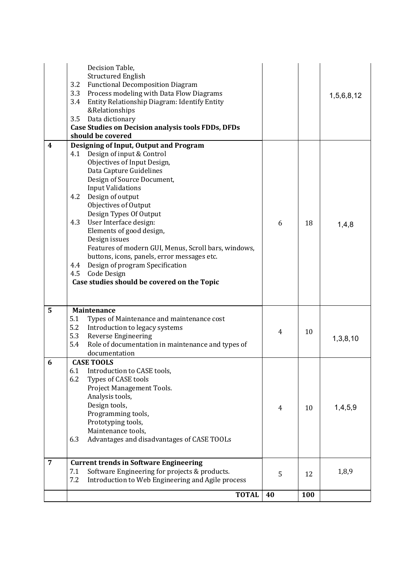|                | <b>TOTAL</b>                                                                                                                                                                                                                                                                                                                                                                                                                                                                                                                                                                    | 40 | 100 |            |
|----------------|---------------------------------------------------------------------------------------------------------------------------------------------------------------------------------------------------------------------------------------------------------------------------------------------------------------------------------------------------------------------------------------------------------------------------------------------------------------------------------------------------------------------------------------------------------------------------------|----|-----|------------|
| $\overline{7}$ | <b>Current trends in Software Engineering</b><br>Software Engineering for projects & products.<br>7.1<br>7.2<br>Introduction to Web Engineering and Agile process                                                                                                                                                                                                                                                                                                                                                                                                               | 5  | 12  | 1,8,9      |
| 6              | <b>CASE TOOLS</b><br>6.1<br>Introduction to CASE tools,<br>6.2<br>Types of CASE tools<br>Project Management Tools.<br>Analysis tools,<br>Design tools,<br>Programming tools,<br>Prototyping tools,<br>Maintenance tools,<br>Advantages and disadvantages of CASE TOOLs<br>6.3                                                                                                                                                                                                                                                                                                   | 4  | 10  | 1,4,5,9    |
| 5              | Maintenance<br>5.1<br>Types of Maintenance and maintenance cost<br>5.2<br>Introduction to legacy systems<br>5.3<br>Reverse Engineering<br>5.4<br>Role of documentation in maintenance and types of<br>documentation                                                                                                                                                                                                                                                                                                                                                             | 4  | 10  | 1,3,8,10   |
| 4              | Designing of Input, Output and Program<br>Design of input & Control<br>4.1<br>Objectives of Input Design,<br>Data Capture Guidelines<br>Design of Source Document,<br><b>Input Validations</b><br>Design of output<br>4.2<br>Objectives of Output<br>Design Types Of Output<br>User Interface design:<br>4.3<br>Elements of good design,<br>Design issues<br>Features of modern GUI, Menus, Scroll bars, windows,<br>buttons, icons, panels, error messages etc.<br>Design of program Specification<br>4.4<br>4.5<br>Code Design<br>Case studies should be covered on the Topic | 6  | 18  | 1,4,8      |
|                | Decision Table,<br><b>Structured English</b><br><b>Functional Decomposition Diagram</b><br>3.2<br>3.3<br>Process modeling with Data Flow Diagrams<br>3.4<br>Entity Relationship Diagram: Identify Entity<br>&Relationships<br>Data dictionary<br>3.5<br><b>Case Studies on Decision analysis tools FDDs, DFDs</b><br>should be covered                                                                                                                                                                                                                                          |    |     | 1,5,6,8,12 |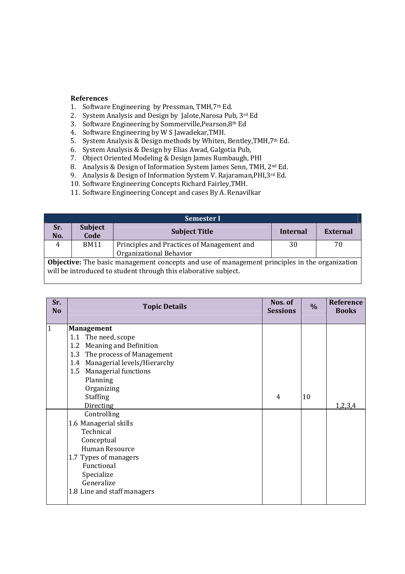#### **References**

- 1. Software Engineering by Pressman, TMH,7th Ed.
- 2. System Analysis and Design by Jalote,Narosa Pub, 3rd Ed
- 3. Software Engineering by Sommerville,Pearson,8th Ed
- 4. Software Engineering by W S Jawadekar,TMH.
- 5. System Analysis & Design methods by Whiten, Bentley,TMH,7th Ed.
- 6. System Analysis & Design by Elias Awad, Galgotia Pub,
- 7. Object Oriented Modeling & Design James Rumbaugh, PHI
- 8. Analysis & Design of Information System James Senn, TMH, 2<sup>nd</sup> Ed.
- 9. Analysis & Design of Information System V. Rajaraman, PHI, 3rd Ed.
- 10. Software Engineering Concepts Richard Fairley,TMH.
- 11. Software Engineering Concept and cases By A. Renavilkar

| <b>Semester I</b>                                                                                    |                                                                 |                                            |          |                 |  |
|------------------------------------------------------------------------------------------------------|-----------------------------------------------------------------|--------------------------------------------|----------|-----------------|--|
| Sr.<br>No.                                                                                           | <b>Subject</b><br>Code                                          | <b>Subject Title</b>                       | Internal | <b>External</b> |  |
| 4                                                                                                    | <b>BM11</b>                                                     | Principles and Practices of Management and | 30       | 70              |  |
|                                                                                                      |                                                                 | Organizational Behavior                    |          |                 |  |
| <b>Objective:</b> The basic management concepts and use of management principles in the organization |                                                                 |                                            |          |                 |  |
|                                                                                                      | will be introduced to student through this elaborative subject. |                                            |          |                 |  |

| Sr.<br><b>No</b> | <b>Topic Details</b>             | Nos. of<br><b>Sessions</b> | $\frac{0}{0}$ | Reference<br><b>Books</b> |
|------------------|----------------------------------|----------------------------|---------------|---------------------------|
| 1                | <b>Management</b>                |                            |               |                           |
|                  | 1.1 The need, scope              |                            |               |                           |
|                  | 1.2 Meaning and Definition       |                            |               |                           |
|                  | The process of Management<br>1.3 |                            |               |                           |
|                  | 1.4 Managerial levels/Hierarchy  |                            |               |                           |
|                  | 1.5 Managerial functions         |                            |               |                           |
|                  | Planning                         |                            |               |                           |
|                  | Organizing                       |                            |               |                           |
|                  | Staffing                         | 4                          | 10            |                           |
|                  | <b>Directing</b>                 |                            |               | 1,2,3,4                   |
|                  | Controlling                      |                            |               |                           |
|                  | 1.6 Managerial skills            |                            |               |                           |
|                  | Technical                        |                            |               |                           |
|                  | Conceptual                       |                            |               |                           |
|                  | Human Resource                   |                            |               |                           |
|                  | 1.7 Types of managers            |                            |               |                           |
|                  | Functional                       |                            |               |                           |
|                  | Specialize                       |                            |               |                           |
|                  | Generalize                       |                            |               |                           |
|                  | 1.8 Line and staff managers      |                            |               |                           |
|                  |                                  |                            |               |                           |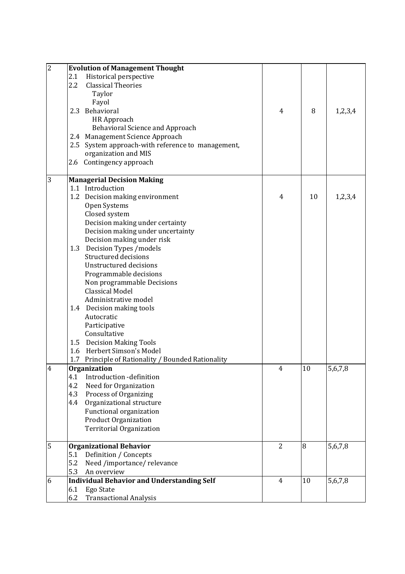| $\overline{c}$ | <b>Evolution of Management Thought</b>                          |                |    |         |
|----------------|-----------------------------------------------------------------|----------------|----|---------|
|                | Historical perspective<br>2.1                                   |                |    |         |
|                | 2.2<br><b>Classical Theories</b>                                |                |    |         |
|                | Taylor                                                          |                |    |         |
|                | Fayol                                                           |                |    |         |
|                | 2.3 Behavioral                                                  | 4              | 8  | 1,2,3,4 |
|                | <b>HR Approach</b>                                              |                |    |         |
|                | <b>Behavioral Science and Approach</b>                          |                |    |         |
|                | 2.4 Management Science Approach                                 |                |    |         |
|                | 2.5 System approach-with reference to management,               |                |    |         |
|                | organization and MIS                                            |                |    |         |
|                | 2.6 Contingency approach                                        |                |    |         |
| 3              | <b>Managerial Decision Making</b>                               |                |    |         |
|                | 1.1 Introduction                                                |                |    |         |
|                | 1.2 Decision making environment                                 | $\overline{4}$ | 10 | 1,2,3,4 |
|                | Open Systems                                                    |                |    |         |
|                | Closed system                                                   |                |    |         |
|                | Decision making under certainty                                 |                |    |         |
|                | Decision making under uncertainty                               |                |    |         |
|                | Decision making under risk                                      |                |    |         |
|                | Decision Types /models<br>1.3                                   |                |    |         |
|                | Structured decisions                                            |                |    |         |
|                | <b>Unstructured decisions</b>                                   |                |    |         |
|                | Programmable decisions                                          |                |    |         |
|                | Non programmable Decisions                                      |                |    |         |
|                | <b>Classical Model</b>                                          |                |    |         |
|                | Administrative model                                            |                |    |         |
|                | 1.4 Decision making tools                                       |                |    |         |
|                | Autocratic                                                      |                |    |         |
|                | Participative                                                   |                |    |         |
|                | Consultative                                                    |                |    |         |
|                | 1.5 Decision Making Tools                                       |                |    |         |
|                | Herbert Simson's Model<br>1.6                                   |                |    |         |
|                | Principle of Rationality / Bounded Rationality<br>1.7           |                |    |         |
| 4              | Organization                                                    | 4              | 10 | 5,6,7,8 |
|                | Introduction -definition<br>4.1<br>4.2<br>Need for Organization |                |    |         |
|                | 4.3<br>Process of Organizing                                    |                |    |         |
|                | Organizational structure<br>4.4                                 |                |    |         |
|                | Functional organization                                         |                |    |         |
|                | <b>Product Organization</b>                                     |                |    |         |
|                | <b>Territorial Organization</b>                                 |                |    |         |
|                |                                                                 |                |    |         |
| 5              | <b>Organizational Behavior</b>                                  | $\overline{2}$ | 8  | 5,6,7,8 |
|                | Definition / Concepts<br>5.1                                    |                |    |         |
|                | 5.2<br>Need /importance/ relevance                              |                |    |         |
|                | 5.3<br>An overview                                              |                |    |         |
| 6              | <b>Individual Behavior and Understanding Self</b>               | $\overline{4}$ | 10 | 5,6,7,8 |
|                | 6.1<br>Ego State                                                |                |    |         |
|                | <b>Transactional Analysis</b><br>6.2                            |                |    |         |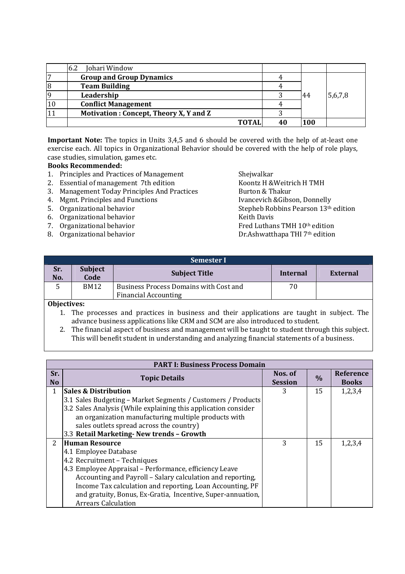|   | Johari Window<br>-6.2                  |     |         |
|---|----------------------------------------|-----|---------|
|   | <b>Group and Group Dynamics</b>        |     |         |
| 8 | <b>Team Building</b>                   |     |         |
|   | Leadership                             | -44 | 5,6,7,8 |
|   | <b>Conflict Management</b>             |     |         |
|   | Motivation: Concept, Theory X, Y and Z |     |         |
|   | <b>TOTA</b>                            | 100 |         |

**Important Note:** The topics in Units 3,4,5 and 6 should be covered with the help of at-least one exercise each. All topics in Organizational Behavior should be covered with the help of role plays, case studies, simulation, games etc.

#### **Books Recommended:**

- 1. Principles and Practices of Management Shejwalkar
- 2. Essential of management 7th edition Koontz H & Weitrich H TMH
- 3. Management Today Principles And Practices Burton & Thakur
- 4. Mgmt. Principles and Functions Ivancevich &Gibson, Donnelly
- 
- 6. Organizational behavior
- 
- 

5. Organizational behavior  $\overline{6}$  Organizational behavior  $\overline{6}$  Organizational hehavior  $\overline{7}$  Stepheb Robbins Pearson  $13<sup>th</sup>$  edition 7. Organizational behavior **Fred Luthans TMH 10th edition** 8. Organizational behavior **Dr.Ashwatthapa THI 7th edition** 

| Semester I |                        |                                                                       |          |          |  |
|------------|------------------------|-----------------------------------------------------------------------|----------|----------|--|
| Sr.<br>No. | <b>Subject</b><br>Code | <b>Subject Title</b>                                                  | Internal | External |  |
|            | <b>BM12</b>            | Business Process Domains with Cost and<br><b>Financial Accounting</b> | 70       |          |  |
| $-1$ $-1$  |                        |                                                                       |          |          |  |

**Objectives:** 

- 1. The processes and practices in business and their applications are taught in subject. The advance business applications like CRM and SCM are also introduced to student.
- 2. The financial aspect of business and management will be taught to student through this subject. This will benefit student in understanding and analyzing financial statements of a business.

|                       | <b>PART I: Business Process Domain</b>                         |                           |               |                                  |  |  |
|-----------------------|----------------------------------------------------------------|---------------------------|---------------|----------------------------------|--|--|
| Sr.<br>N <sub>o</sub> | <b>Topic Details</b>                                           | Nos. of<br><b>Session</b> | $\frac{0}{0}$ | <b>Reference</b><br><b>Books</b> |  |  |
| 1                     | <b>Sales &amp; Distribution</b>                                | 3                         | 15            | 1,2,3,4                          |  |  |
|                       | 3.1 Sales Budgeting – Market Segments / Customers / Products   |                           |               |                                  |  |  |
|                       | 3.2 Sales Analysis (While explaining this application consider |                           |               |                                  |  |  |
|                       | an organization manufacturing multiple products with           |                           |               |                                  |  |  |
|                       | sales outlets spread across the country)                       |                           |               |                                  |  |  |
|                       | 3.3 Retail Marketing- New trends - Growth                      |                           |               |                                  |  |  |
| $\overline{2}$        | <b>Human Resource</b>                                          | 3                         | 15            | 1,2,3,4                          |  |  |
|                       | 4.1 Employee Database                                          |                           |               |                                  |  |  |
|                       | 4.2 Recruitment - Techniques                                   |                           |               |                                  |  |  |
|                       | 4.3 Employee Appraisal – Performance, efficiency Leave         |                           |               |                                  |  |  |
|                       | Accounting and Payroll - Salary calculation and reporting,     |                           |               |                                  |  |  |
|                       | Income Tax calculation and reporting, Loan Accounting, PF      |                           |               |                                  |  |  |
|                       | and gratuity, Bonus, Ex-Gratia, Incentive, Super-annuation,    |                           |               |                                  |  |  |
|                       | <b>Arrears Calculation</b>                                     |                           |               |                                  |  |  |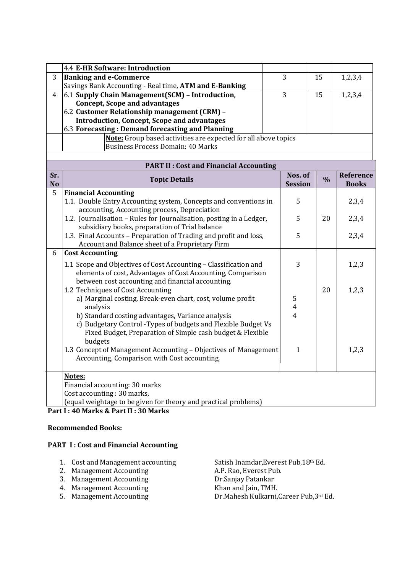|                                                  | 4.4 E-HR Software: Introduction                                       |  |    |         |  |  |
|--------------------------------------------------|-----------------------------------------------------------------------|--|----|---------|--|--|
| 3                                                | <b>Banking and e-Commerce</b>                                         |  | 15 | 1,2,3,4 |  |  |
|                                                  | Savings Bank Accounting - Real time, ATM and E-Banking                |  |    |         |  |  |
|                                                  | $\vert$ 6.1 Supply Chain Management(SCM) - Introduction,              |  | 15 | 1,2,3,4 |  |  |
|                                                  | <b>Concept, Scope and advantages</b>                                  |  |    |         |  |  |
|                                                  | 6.2 Customer Relationship management (CRM) -                          |  |    |         |  |  |
|                                                  | <b>Introduction, Concept, Scope and advantages</b>                    |  |    |         |  |  |
| 6.3 Forecasting: Demand forecasting and Planning |                                                                       |  |    |         |  |  |
|                                                  | <b>Note:</b> Group based activities are expected for all above topics |  |    |         |  |  |
|                                                  | Business Process Domain: 40 Marks                                     |  |    |         |  |  |
|                                                  |                                                                       |  |    |         |  |  |

| <b>PART II: Cost and Financial Accounting</b> |                                                                                                                                                                                                                                                                                                             |                                       |               |                           |  |  |
|-----------------------------------------------|-------------------------------------------------------------------------------------------------------------------------------------------------------------------------------------------------------------------------------------------------------------------------------------------------------------|---------------------------------------|---------------|---------------------------|--|--|
| Sr.<br><b>No</b>                              | <b>Topic Details</b>                                                                                                                                                                                                                                                                                        | Nos. of<br><b>Session</b>             | $\frac{0}{0}$ | Reference<br><b>Books</b> |  |  |
| 5                                             | <b>Financial Accounting</b><br>1.1. Double Entry Accounting system, Concepts and conventions in<br>accounting, Accounting process, Depreciation                                                                                                                                                             | 5                                     |               | 2,3,4                     |  |  |
|                                               | 1.2. Journalisation - Rules for Journalisation, posting in a Ledger,<br>subsidiary books, preparation of Trial balance                                                                                                                                                                                      | 5                                     | 20            | 2,3,4                     |  |  |
|                                               | 1.3. Final Accounts - Preparation of Trading and profit and loss,<br>Account and Balance sheet of a Proprietary Firm                                                                                                                                                                                        | 5                                     |               | 2,3,4                     |  |  |
| 6                                             | <b>Cost Accounting</b>                                                                                                                                                                                                                                                                                      |                                       |               |                           |  |  |
|                                               | 1.1 Scope and Objectives of Cost Accounting - Classification and<br>elements of cost, Advantages of Cost Accounting, Comparison<br>between cost accounting and financial accounting.                                                                                                                        | 3                                     |               | 1,2,3                     |  |  |
|                                               | 1.2 Techniques of Cost Accounting<br>a) Marginal costing, Break-even chart, cost, volume profit<br>analysis<br>b) Standard costing advantages, Variance analysis<br>c) Budgetary Control - Types of budgets and Flexible Budget Vs<br>Fixed Budget, Preparation of Simple cash budget & Flexible<br>budgets | 5<br>$\overline{4}$<br>$\overline{4}$ | 20            | 1,2,3                     |  |  |
|                                               | 1.3 Concept of Management Accounting - Objectives of Management<br>Accounting, Comparison with Cost accounting                                                                                                                                                                                              | $\mathbf{1}$                          |               | 1,2,3                     |  |  |
|                                               | Notes:<br>Financial accounting: 30 marks<br>Cost accounting: 30 marks,<br>(equal weightage to be given for theory and practical problems)                                                                                                                                                                   |                                       |               |                           |  |  |

# **Part I : 40 Marks & Part II : 30 Marks**

#### **Recommended Books:**

# **PART I : Cost and Financial Accounting**

- 
- 
- 
- 4. Management Accounting<br>5. Management Accounting
- 

1. Cost and Management accounting Satish Inamdar, Everest Pub, 18<sup>th</sup> Ed.<br>2. Management Accounting A.P. Rao, Everest Pub. 2. Management Accounting<br>
2. Management Accounting<br>
2. Management Accounting<br>
2. Management Accounting<br>
2. Dr.Sanjay Patankar 3. Management Accounting 2. Dr.Sanjay Patankar<br>
4. Management Accounting 2. Khan and Jain, TMH. Dr.Mahesh Kulkarni,Career Pub,3rd Ed.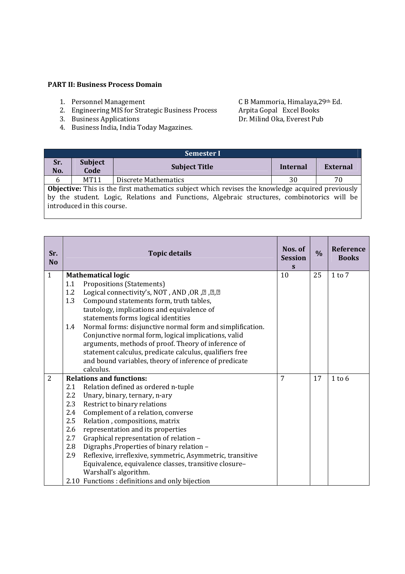#### **PART II: Business Process Domain**

- 
- 2. Engineering MIS for Strategic Business Process Arpita Gopal Excel Books
- 
- 4. Business India, India Today Magazines.

1. Personnel Management C B Mammoria, Himalaya, 29th Ed.<br>
2. Engineering MIS for Strategic Business Process Arpita Gopal Excel Books<br>
3. Business Applications Dr. Milind Oka, Everest Pub 3. Business Applications Dr. Milind Oka, Everest Pub

| <b>Semester I</b> |                                                                                                                                                                                                                                      |                      |          |                 |  |
|-------------------|--------------------------------------------------------------------------------------------------------------------------------------------------------------------------------------------------------------------------------------|----------------------|----------|-----------------|--|
| Sr.<br>No.        | <b>Subject</b><br>Code                                                                                                                                                                                                               | <b>Subject Title</b> | Internal | <b>External</b> |  |
| 6                 | MT11                                                                                                                                                                                                                                 | Discrete Mathematics | 30       | 70              |  |
|                   | <b>Objective:</b> This is the first mathematics subject which revises the knowledge acquired previously<br>by the student. Logic, Relations and Functions, Algebraic structures, combinotorics will be<br>introduced in this course. |                      |          |                 |  |

| Sr.<br><b>No</b> |            | <b>Topic details</b>                                                                                               | Nos. of<br><b>Session</b><br>S | $\frac{0}{0}$ | <b>Reference</b><br><b>Books</b> |
|------------------|------------|--------------------------------------------------------------------------------------------------------------------|--------------------------------|---------------|----------------------------------|
| $\mathbf{1}$     |            | <b>Mathematical logic</b>                                                                                          | 10                             | 25            | $1$ to $7$                       |
|                  | 1.1        | Propositions (Statements)                                                                                          |                                |               |                                  |
|                  | 1.2        | Logical connectivity's, NOT, AND, OR, 2, 2, 2                                                                      |                                |               |                                  |
|                  | 1.3        | Compound statements form, truth tables,                                                                            |                                |               |                                  |
|                  |            | tautology, implications and equivalence of<br>statements forms logical identities                                  |                                |               |                                  |
|                  | 1.4        | Normal forms: disjunctive normal form and simplification.                                                          |                                |               |                                  |
|                  |            | Conjunctive normal form, logical implications, valid                                                               |                                |               |                                  |
|                  |            | arguments, methods of proof. Theory of inference of                                                                |                                |               |                                  |
|                  |            | statement calculus, predicate calculus, qualifiers free                                                            |                                |               |                                  |
|                  |            | and bound variables, theory of inference of predicate                                                              |                                |               |                                  |
|                  |            | calculus.                                                                                                          |                                |               |                                  |
| $\overline{2}$   |            | <b>Relations and functions:</b>                                                                                    | 7                              | 17            | $1$ to 6                         |
|                  | 2.1        | Relation defined as ordered n-tuple                                                                                |                                |               |                                  |
|                  | 2.2        | Unary, binary, ternary, n-ary                                                                                      |                                |               |                                  |
|                  | 2.3        | Restrict to binary relations                                                                                       |                                |               |                                  |
|                  | 2.4        | Complement of a relation, converse                                                                                 |                                |               |                                  |
|                  | 2.5        | Relation, compositions, matrix                                                                                     |                                |               |                                  |
|                  | 2.6        | representation and its properties                                                                                  |                                |               |                                  |
|                  | 2.7        | Graphical representation of relation -                                                                             |                                |               |                                  |
|                  | 2.8<br>2.9 | Digraphs, Properties of binary relation -                                                                          |                                |               |                                  |
|                  |            | Reflexive, irreflexive, symmetric, Asymmetric, transitive<br>Equivalence, equivalence classes, transitive closure- |                                |               |                                  |
|                  |            | Warshall's algorithm.                                                                                              |                                |               |                                  |
|                  |            | 2.10 Functions : definitions and only bijection                                                                    |                                |               |                                  |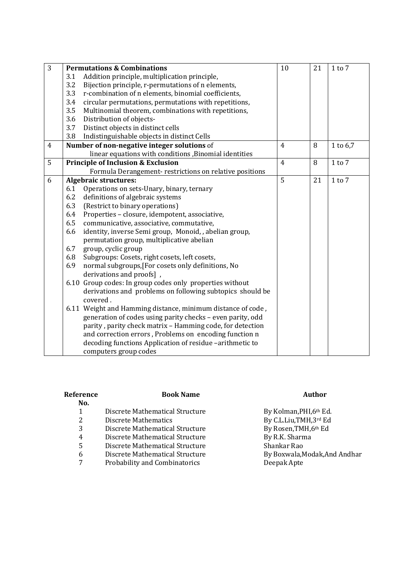| 3              |     | <b>Permutations &amp; Combinations</b>                      | 10             | 21 | $1$ to $7$ |
|----------------|-----|-------------------------------------------------------------|----------------|----|------------|
|                | 3.1 | Addition principle, multiplication principle,               |                |    |            |
|                | 3.2 | Bijection principle, r-permutations of n elements,          |                |    |            |
|                | 3.3 | r-combination of n elements, binomial coefficients,         |                |    |            |
|                | 3.4 | circular permutations, permutations with repetitions,       |                |    |            |
|                | 3.5 | Multinomial theorem, combinations with repetitions,         |                |    |            |
|                | 3.6 | Distribution of objects-                                    |                |    |            |
|                | 3.7 | Distinct objects in distinct cells                          |                |    |            |
|                | 3.8 | Indistinguishable objects in distinct Cells                 |                |    |            |
| $\overline{4}$ |     | Number of non-negative integer solutions of                 | $\overline{4}$ | 8  | 1 to 6,7   |
|                |     | linear equations with conditions , Binomial identities      |                |    |            |
| 5              |     | <b>Principle of Inclusion &amp; Exclusion</b>               | $\overline{4}$ | 8  | $1$ to $7$ |
|                |     | Formula Derangement-restrictions on relative positions      |                |    |            |
| 6              |     | <b>Algebraic structures:</b>                                | $\overline{5}$ | 21 | $1$ to $7$ |
|                | 6.1 | Operations on sets-Unary, binary, ternary                   |                |    |            |
|                | 6.2 | definitions of algebraic systems                            |                |    |            |
|                | 6.3 | (Restrict to binary operations)                             |                |    |            |
|                | 6.4 | Properties - closure, idempotent, associative,              |                |    |            |
|                | 6.5 | communicative, associative, commutative,                    |                |    |            |
|                | 6.6 | identity, inverse Semi group, Monoid, , abelian group,      |                |    |            |
|                |     | permutation group, multiplicative abelian                   |                |    |            |
|                | 6.7 | group, cyclic group                                         |                |    |            |
|                | 6.8 | Subgroups: Cosets, right cosets, left cosets,               |                |    |            |
|                | 6.9 | normal subgroups, [For cosets only definitions, No          |                |    |            |
|                |     | derivations and proofs],                                    |                |    |            |
|                |     | 6.10 Group codes: In group codes only properties without    |                |    |            |
|                |     | derivations and problems on following subtopics should be   |                |    |            |
|                |     | covered.                                                    |                |    |            |
|                |     | 6.11 Weight and Hamming distance, minimum distance of code, |                |    |            |
|                |     | generation of codes using parity checks - even parity, odd  |                |    |            |
|                |     | parity, parity check matrix - Hamming code, for detection   |                |    |            |
|                |     | and correction errors, Problems on encoding function n      |                |    |            |
|                |     | decoding functions Application of residue -arithmetic to    |                |    |            |
|                |     | computers group codes                                       |                |    |            |

| Reference<br>No. | <b>Book Name</b>                | Author                        |
|------------------|---------------------------------|-------------------------------|
| 1                | Discrete Mathematical Structure | By Kolman, PHI, 6th Ed.       |
| 2                | Discrete Mathematics            | By C.L.Liu, TMH, 3rd Ed       |
| 3                | Discrete Mathematical Structure | By Rosen, TMH, 6th Ed         |
| 4                | Discrete Mathematical Structure | By R.K. Sharma                |
| 5                | Discrete Mathematical Structure | Shankar Rao                   |
| 6                | Discrete Mathematical Structure | By Boxwala, Modak, And Andhar |
| 7                | Probability and Combinatorics   | Deepak Apte                   |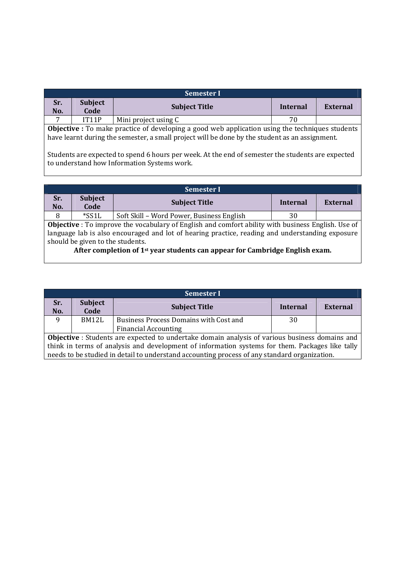| <b>Semester I</b>                                                                              |                                                                                                        |                      |          |                 |  |
|------------------------------------------------------------------------------------------------|--------------------------------------------------------------------------------------------------------|----------------------|----------|-----------------|--|
| Sr.<br>No.                                                                                     | <b>Subject</b><br>Code                                                                                 | <b>Subject Title</b> | Internal | <b>External</b> |  |
|                                                                                                | IT11P                                                                                                  | Mini project using C | 70       |                 |  |
|                                                                                                | <b>Objective</b> : To make practice of developing a good web application using the techniques students |                      |          |                 |  |
| have learnt during the semester, a small project will be done by the student as an assignment. |                                                                                                        |                      |          |                 |  |
|                                                                                                |                                                                                                        |                      |          |                 |  |

Students are expected to spend 6 hours per week. At the end of semester the students are expected to understand how Information Systems work.

|                                                                                                           | <b>Semester I</b>                                                                               |                                           |          |          |  |
|-----------------------------------------------------------------------------------------------------------|-------------------------------------------------------------------------------------------------|-------------------------------------------|----------|----------|--|
| Sr.<br>No.                                                                                                | <b>Subject</b><br>Code                                                                          | <b>Subject Title</b>                      | Internal | External |  |
| 8                                                                                                         | $*SSL$                                                                                          | Soft Skill - Word Power, Business English | 30       |          |  |
| <b>Objective</b> : To improve the vocabulary of English and comfort ability with business English. Use of |                                                                                                 |                                           |          |          |  |
|                                                                                                           | language lab is also encouraged and lot of hearing practice, reading and understanding exposure |                                           |          |          |  |

should be given to the students. **After completion of 1st year students can appear for Cambridge English exam.** 

|                                                                                                 | <b>Semester I</b>                                                                                     |                                                                                              |                 |          |  |  |
|-------------------------------------------------------------------------------------------------|-------------------------------------------------------------------------------------------------------|----------------------------------------------------------------------------------------------|-----------------|----------|--|--|
| Sr.<br>No.                                                                                      | <b>Subject</b><br>Code                                                                                | <b>Subject Title</b>                                                                         | <b>Internal</b> | External |  |  |
| 9                                                                                               | BM12L                                                                                                 | Business Process Domains with Cost and                                                       | 30              |          |  |  |
|                                                                                                 |                                                                                                       | <b>Financial Accounting</b>                                                                  |                 |          |  |  |
|                                                                                                 | <b>Objective</b> : Students are expected to undertake domain analysis of various business domains and |                                                                                              |                 |          |  |  |
| think in terms of analysis and development of information systems for them. Packages like tally |                                                                                                       |                                                                                              |                 |          |  |  |
|                                                                                                 |                                                                                                       | needs to be studied in detail to understand accounting process of any standard organization. |                 |          |  |  |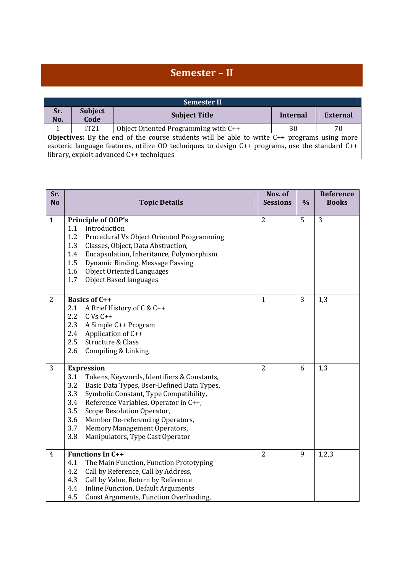# **Semester – II**

|                                                                                                                                                                                                                                                    |                        | <b>Semester II</b>                   |          |          |  |
|----------------------------------------------------------------------------------------------------------------------------------------------------------------------------------------------------------------------------------------------------|------------------------|--------------------------------------|----------|----------|--|
| Sr.<br>No.                                                                                                                                                                                                                                         | <b>Subject</b><br>Code | <b>Subject Title</b>                 | Internal | External |  |
|                                                                                                                                                                                                                                                    | IT21                   | Object Oriented Programming with C++ | 30       | 70       |  |
| <b>Objectives:</b> By the end of the course students will be able to write $C++$ programs using more<br>esoteric language features, utilize OO techniques to design C++ programs, use the standard C++<br>library, exploit advanced C++ techniques |                        |                                      |          |          |  |

| Sr.<br><b>No</b> | <b>Topic Details</b>                                                                                                                                                                                                                                                                                                                                                                           | Nos. of<br><b>Sessions</b> | $\%$ | Reference<br><b>Books</b> |
|------------------|------------------------------------------------------------------------------------------------------------------------------------------------------------------------------------------------------------------------------------------------------------------------------------------------------------------------------------------------------------------------------------------------|----------------------------|------|---------------------------|
| $\mathbf{1}$     | Principle of OOP's<br>Introduction<br>1.1<br>1.2<br>Procedural Vs Object Oriented Programming<br>1.3<br>Classes, Object, Data Abstraction,<br>Encapsulation, Inheritance, Polymorphism<br>1.4<br>1.5<br>Dynamic Binding, Message Passing<br><b>Object Oriented Languages</b><br>1.6<br>1.7<br><b>Object Based languages</b>                                                                    | $\overline{2}$             | 5    | 3                         |
| $\overline{2}$   | <b>Basics of C++</b><br>A Brief History of C & C++<br>2.1<br>2.2<br>$C Vs C++$<br>2.3<br>A Simple C++ Program<br>Application of C++<br>2.4<br>2.5<br>Structure & Class<br>Compiling & Linking<br>2.6                                                                                                                                                                                           | $\mathbf{1}$               | 3    | 1,3                       |
| 3                | <b>Expression</b><br>3.1<br>Tokens, Keywords, Identifiers & Constants,<br>3.2<br>Basic Data Types, User-Defined Data Types,<br>3.3<br>Symbolic Constant, Type Compatibility,<br>3.4<br>Reference Variables, Operator in C++,<br>3.5<br>Scope Resolution Operator,<br>3.6<br>Member De-referencing Operators,<br>3.7<br>Memory Management Operators,<br>3.8<br>Manipulators, Type Cast Operator | $\overline{2}$             | 6    | 1,3                       |
| $\overline{4}$   | <b>Functions In C++</b><br>4.1<br>The Main Function, Function Prototyping<br>4.2<br>Call by Reference, Call by Address,<br>Call by Value, Return by Reference<br>4.3<br><b>Inline Function, Default Arguments</b><br>4.4<br>Const Arguments, Function Overloading,<br>4.5                                                                                                                      | $\overline{2}$             | 9    | 1,2,3                     |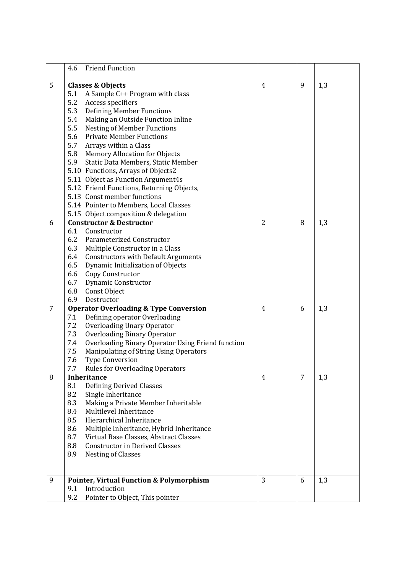|                | <b>Friend Function</b><br>4.6                                                                    |                |   |     |
|----------------|--------------------------------------------------------------------------------------------------|----------------|---|-----|
| 5              | <b>Classes &amp; Objects</b>                                                                     | $\overline{4}$ | 9 | 1,3 |
|                | A Sample C++ Program with class<br>5.1                                                           |                |   |     |
|                | 5.2<br>Access specifiers                                                                         |                |   |     |
|                | 5.3<br><b>Defining Member Functions</b>                                                          |                |   |     |
|                | 5.4<br>Making an Outside Function Inline                                                         |                |   |     |
|                | 5.5<br><b>Nesting of Member Functions</b>                                                        |                |   |     |
|                | 5.6<br><b>Private Member Functions</b>                                                           |                |   |     |
|                | 5.7<br>Arrays within a Class                                                                     |                |   |     |
|                | 5.8<br><b>Memory Allocation for Objects</b>                                                      |                |   |     |
|                | Static Data Members, Static Member<br>5.9                                                        |                |   |     |
|                | 5.10 Functions, Arrays of Objects2                                                               |                |   |     |
|                | 5.11 Object as Function Argument4s                                                               |                |   |     |
|                | 5.12 Friend Functions, Returning Objects,                                                        |                |   |     |
|                | 5.13 Const member functions                                                                      |                |   |     |
|                | 5.14 Pointer to Members, Local Classes                                                           |                |   |     |
|                | 5.15 Object composition & delegation                                                             |                |   |     |
| 6              | <b>Constructor &amp; Destructor</b>                                                              | $\overline{2}$ | 8 | 1,3 |
|                | 6.1<br>Constructor                                                                               |                |   |     |
|                | 6.2<br>Parameterized Constructor                                                                 |                |   |     |
|                | 6.3<br>Multiple Constructor in a Class                                                           |                |   |     |
|                | 6.4<br><b>Constructors with Default Arguments</b>                                                |                |   |     |
|                | 6.5<br>Dynamic Initialization of Objects                                                         |                |   |     |
|                | Copy Constructor<br>6.6                                                                          |                |   |     |
|                | Dynamic Constructor<br>6.7                                                                       |                |   |     |
|                | Const Object<br>6.8                                                                              |                |   |     |
|                | 6.9<br>Destructor                                                                                |                |   |     |
| $\overline{7}$ | <b>Operator Overloading &amp; Type Conversion</b>                                                | 4              | 6 | 1,3 |
|                | 7.1<br>Defining operator Overloading                                                             |                |   |     |
|                | <b>Overloading Unary Operator</b><br>7.2                                                         |                |   |     |
|                | 7.3<br><b>Overloading Binary Operator</b>                                                        |                |   |     |
|                | Overloading Binary Operator Using Friend function<br>7.4                                         |                |   |     |
|                | 7.5<br>Manipulating of String Using Operators                                                    |                |   |     |
|                | 7.6<br><b>Type Conversion</b>                                                                    |                |   |     |
|                | 7.7<br>Rules for Overloading Operators                                                           |                |   |     |
| 8              | <b>Inheritance</b>                                                                               | 4              | 7 | 1,3 |
|                | <b>Defining Derived Classes</b><br>8.1                                                           |                |   |     |
|                | 8.2<br>Single Inheritance                                                                        |                |   |     |
|                | Making a Private Member Inheritable<br>8.3                                                       |                |   |     |
|                | Multilevel Inheritance<br>8.4                                                                    |                |   |     |
|                | Hierarchical Inheritance<br>8.5                                                                  |                |   |     |
|                | 8.6<br>Multiple Inheritance, Hybrid Inheritance<br>Virtual Base Classes, Abstract Classes<br>8.7 |                |   |     |
|                | 8.8<br><b>Constructor in Derived Classes</b>                                                     |                |   |     |
|                | 8.9<br><b>Nesting of Classes</b>                                                                 |                |   |     |
|                |                                                                                                  |                |   |     |
| 9              | <b>Pointer, Virtual Function &amp; Polymorphism</b>                                              | 3              | 6 | 1,3 |
|                | Introduction<br>9.1                                                                              |                |   |     |
|                | 9.2<br>Pointer to Object, This pointer                                                           |                |   |     |
|                |                                                                                                  |                |   |     |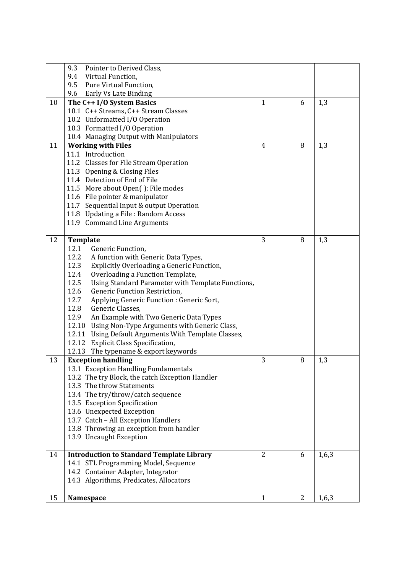|    | 9.3<br>Pointer to Derived Class,                          |                |                |       |
|----|-----------------------------------------------------------|----------------|----------------|-------|
|    | 9.4<br>Virtual Function,                                  |                |                |       |
|    | Pure Virtual Function.<br>9.5                             |                |                |       |
|    | 9.6 Early Vs Late Binding                                 |                |                |       |
| 10 | The C++ I/O System Basics                                 | $\mathbf{1}$   | 6              | 1,3   |
|    | 10.1 C++ Streams, C++ Stream Classes                      |                |                |       |
|    | 10.2 Unformatted I/O Operation                            |                |                |       |
|    | 10.3 Formatted I/O Operation                              |                |                |       |
|    | 10.4 Managing Output with Manipulators                    |                |                |       |
| 11 | <b>Working with Files</b>                                 | $\overline{4}$ | 8              | 1,3   |
|    | 11.1 Introduction                                         |                |                |       |
|    | 11.2 Classes for File Stream Operation                    |                |                |       |
|    | 11.3 Opening & Closing Files                              |                |                |       |
|    | 11.4 Detection of End of File                             |                |                |       |
|    | 11.5 More about Open(): File modes                        |                |                |       |
|    | 11.6 File pointer & manipulator                           |                |                |       |
|    | 11.7 Sequential Input & output Operation                  |                |                |       |
|    | 11.8 Updating a File: Random Access                       |                |                |       |
|    | 11.9 Command Line Arguments                               |                |                |       |
|    |                                                           |                |                |       |
| 12 | Template                                                  | 3              | 8              | 1,3   |
|    | 12.1<br>Generic Function,                                 |                |                |       |
|    | 12.2<br>A function with Generic Data Types,               |                |                |       |
|    | 12.3<br>Explicitly Overloading a Generic Function,        |                |                |       |
|    | 12.4<br>Overloading a Function Template,                  |                |                |       |
|    | 12.5<br>Using Standard Parameter with Template Functions, |                |                |       |
|    | 12.6<br><b>Generic Function Restriction,</b>              |                |                |       |
|    | 12.7<br>Applying Generic Function : Generic Sort,         |                |                |       |
|    | 12.8<br>Generic Classes,                                  |                |                |       |
|    | 12.9<br>An Example with Two Generic Data Types            |                |                |       |
|    | 12.10 Using Non-Type Arguments with Generic Class,        |                |                |       |
|    | 12.11 Using Default Arguments With Template Classes,      |                |                |       |
|    | 12.12 Explicit Class Specification,                       |                |                |       |
|    | 12.13 The typename & export keywords                      |                |                |       |
| 13 | <b>Exception handling</b>                                 | 3              | 8              | 1,3   |
|    | 13.1 Exception Handling Fundamentals                      |                |                |       |
|    | 13.2 The try Block, the catch Exception Handler           |                |                |       |
|    | 13.3 The throw Statements                                 |                |                |       |
|    | 13.4 The try/throw/catch sequence                         |                |                |       |
|    | 13.5 Exception Specification                              |                |                |       |
|    | 13.6 Unexpected Exception                                 |                |                |       |
|    | 13.7 Catch - All Exception Handlers                       |                |                |       |
|    | 13.8 Throwing an exception from handler                   |                |                |       |
|    | 13.9 Uncaught Exception                                   |                |                |       |
|    |                                                           |                |                |       |
| 14 | <b>Introduction to Standard Template Library</b>          | $\overline{2}$ | 6              | 1,6,3 |
|    | 14.1 STL Programming Model, Sequence                      |                |                |       |
|    | 14.2 Container Adapter, Integrator                        |                |                |       |
|    | 14.3 Algorithms, Predicates, Allocators                   |                |                |       |
|    |                                                           |                |                |       |
| 15 | Namespace                                                 | 1              | $\overline{2}$ | 1,6,3 |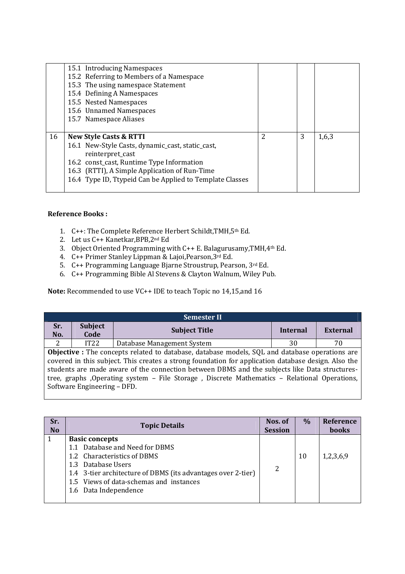|    | 15.1 Introducing Namespaces                              |   |   |       |
|----|----------------------------------------------------------|---|---|-------|
|    | 15.2 Referring to Members of a Namespace                 |   |   |       |
|    | 15.3 The using namespace Statement                       |   |   |       |
|    | 15.4 Defining A Namespaces                               |   |   |       |
|    | 15.5 Nested Namespaces                                   |   |   |       |
|    | 15.6 Unnamed Namespaces                                  |   |   |       |
|    | 15.7 Namespace Aliases                                   |   |   |       |
|    |                                                          |   |   |       |
|    |                                                          |   |   |       |
| 16 | <b>New Style Casts &amp; RTTI</b>                        | 2 | 3 | 1,6,3 |
|    | 16.1 New-Style Casts, dynamic_cast, static_cast,         |   |   |       |
|    | reinterpret_cast                                         |   |   |       |
|    | 16.2 const_cast, Runtime Type Information                |   |   |       |
|    | 16.3 (RTTI), A Simple Application of Run-Time            |   |   |       |
|    | 16.4 Type ID, Ttypeid Can be Applied to Template Classes |   |   |       |

# **Reference Books :**

- 1. C++: The Complete Reference Herbert Schildt,TMH,5th Ed.
- 2. Let us C++ Kanetkar,BPB,2nd Ed
- 3. Object Oriented Programming with C++ E. Balagurusamy,TMH,4th Ed.
- 4. C++ Primer Stanley Lippman & Lajoi,Pearson,3rd Ed.
- 5. C++ Programming Language Bjarne Stroustrup, Pearson, 3rd Ed.
- 6. C++ Programming Bible Al Stevens & Clayton Walnum, Wiley Pub.

**Note:** Recommended to use VC++ IDE to teach Topic no 14,15,and 16

| <b>Semester II</b> |                                                                                                                                                                                                                                                                                                                                                                                                                                               |                            |                 |                 |  |  |
|--------------------|-----------------------------------------------------------------------------------------------------------------------------------------------------------------------------------------------------------------------------------------------------------------------------------------------------------------------------------------------------------------------------------------------------------------------------------------------|----------------------------|-----------------|-----------------|--|--|
| Sr.<br>No.         | <b>Subject</b><br>Code                                                                                                                                                                                                                                                                                                                                                                                                                        | <b>Subject Title</b>       | <b>Internal</b> | <b>External</b> |  |  |
| 2                  | IT22                                                                                                                                                                                                                                                                                                                                                                                                                                          | Database Management System | 30              | 70              |  |  |
|                    | <b>Objective</b> : The concepts related to database, database models, SQL and database operations are<br>covered in this subject. This creates a strong foundation for application database design. Also the<br>students are made aware of the connection between DBMS and the subjects like Data structures-<br>tree, graphs , Operating system – File Storage, Discrete Mathematics – Relational Operations,<br>Software Engineering - DFD. |                            |                 |                 |  |  |

| Sr.<br><b>No</b> | <b>Topic Details</b>                                         | Nos. of<br><b>Session</b> | $\frac{0}{0}$ | Reference<br>books |
|------------------|--------------------------------------------------------------|---------------------------|---------------|--------------------|
|                  | <b>Basic concepts</b>                                        |                           |               |                    |
|                  | 1.1 Database and Need for DBMS                               |                           |               |                    |
|                  | 1.2 Characteristics of DBMS                                  |                           | 10            | 1,2,3,6,9          |
|                  | 1.3 Database Users                                           | 2                         |               |                    |
|                  | 1.4 3-tier architecture of DBMS (its advantages over 2-tier) |                           |               |                    |
|                  | 1.5 Views of data-schemas and instances                      |                           |               |                    |
|                  | 1.6 Data Independence                                        |                           |               |                    |
|                  |                                                              |                           |               |                    |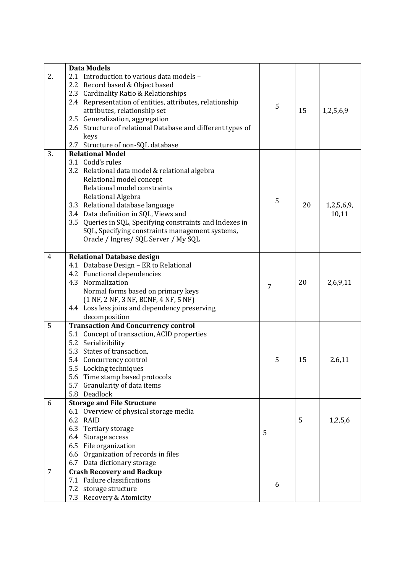|                | <b>Data Models</b>                                          |   |    |            |
|----------------|-------------------------------------------------------------|---|----|------------|
| 2.             | 2.1 Introduction to various data models -                   |   |    |            |
|                | 2.2 Record based & Object based                             |   |    |            |
|                | Cardinality Ratio & Relationships<br>2.3                    |   |    |            |
|                | 2.4 Representation of entities, attributes, relationship    | 5 |    |            |
|                | attributes, relationship set                                |   | 15 | 1,2,5,6,9  |
|                | 2.5 Generalization, aggregation                             |   |    |            |
|                | 2.6 Structure of relational Database and different types of |   |    |            |
|                | keys                                                        |   |    |            |
|                | 2.7 Structure of non-SQL database                           |   |    |            |
| 3.             | <b>Relational Model</b>                                     |   |    |            |
|                | 3.1 Codd's rules                                            |   |    |            |
|                | 3.2 Relational data model & relational algebra              |   |    |            |
|                | Relational model concept                                    |   |    |            |
|                | Relational model constraints                                |   |    |            |
|                | Relational Algebra                                          |   |    |            |
|                | 3.3 Relational database language                            | 5 | 20 | 1,2,5,6,9, |
|                | 3.4 Data definition in SQL, Views and                       |   |    | 10,11      |
|                | 3.5 Queries in SQL, Specifying constraints and Indexes in   |   |    |            |
|                | SQL, Specifying constraints management systems,             |   |    |            |
|                | Oracle / Ingres/ SQL Server / My SQL                        |   |    |            |
|                |                                                             |   |    |            |
| $\overline{4}$ | <b>Relational Database design</b>                           |   |    |            |
|                | 4.1 Database Design - ER to Relational                      |   |    |            |
|                | 4.2 Functional dependencies                                 |   |    |            |
|                | 4.3 Normalization                                           | 7 | 20 | 2,6,9,11   |
|                | Normal forms based on primary keys                          |   |    |            |
|                | (1 NF, 2 NF, 3 NF, BCNF, 4 NF, 5 NF)                        |   |    |            |
|                | 4.4 Loss less joins and dependency preserving               |   |    |            |
|                | decomposition                                               |   |    |            |
| 5              | <b>Transaction And Concurrency control</b>                  |   |    |            |
|                | 5.1 Concept of transaction, ACID properties                 |   |    |            |
|                | 5.2 Serializibility                                         |   |    |            |
|                | 5.3 States of transaction,                                  |   |    |            |
|                | 5.4 Concurrency control                                     | 5 | 15 | 2.6,11     |
|                | 5.5 Locking techniques                                      |   |    |            |
|                | 5.6 Time stamp based protocols                              |   |    |            |
|                | 5.7 Granularity of data items                               |   |    |            |
|                | 5.8 Deadlock                                                |   |    |            |
| 6              | <b>Storage and File Structure</b>                           |   |    |            |
|                | 6.1 Overview of physical storage media                      |   |    |            |
|                | 6.2 RAID                                                    |   | 5  | 1,2,5,6    |
|                | 6.3 Tertiary storage                                        | 5 |    |            |
|                | 6.4 Storage access                                          |   |    |            |
|                | 6.5 File organization                                       |   |    |            |
|                | 6.6 Organization of records in files                        |   |    |            |
|                | 6.7 Data dictionary storage                                 |   |    |            |
| 7              | <b>Crash Recovery and Backup</b>                            |   |    |            |
|                | 7.1 Failure classifications                                 |   |    |            |
|                | 7.2 storage structure                                       | 6 |    |            |
|                | 7.3 Recovery & Atomicity                                    |   |    |            |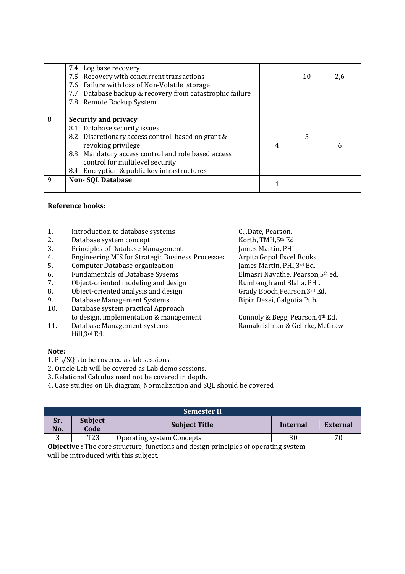|   | 7.4 Log base recovery<br>7.5 Recovery with concurrent transactions<br>7.6 Failure with loss of Non-Volatile storage<br>7.7 Database backup & recovery from catastrophic failure<br>7.8 Remote Backup System                                                                    |                | 10 | 2,6 |
|---|--------------------------------------------------------------------------------------------------------------------------------------------------------------------------------------------------------------------------------------------------------------------------------|----------------|----|-----|
| 8 | <b>Security and privacy</b><br>8.1 Database security issues<br>8.2 Discretionary access control based on grant &<br>revoking privilege<br>8.3 Mandatory access control and role based access<br>control for multilevel security<br>8.4 Encryption & public key infrastructures | $\overline{4}$ | 5  | 6   |
| q | Non-SQL Database                                                                                                                                                                                                                                                               |                |    |     |

# **Reference books:**

- 1. Introduction to database systems C.J.Date, Pearson.<br>
2. Database system concept Korth, TMH, 5<sup>th</sup> Ed.
- Database system concept
- 
- 3. Principles of Database Management James Martin, PHI.<br>4. Engineering MIS for Strategic Business Processes Arpita Gopal Excel Books 4. Engineering MIS for Strategic Business Processes Arpita Gopal Excel Books<br>5. Computer Database organization [ames Martin, PHI.3rd Ed.]
- 
- 
- 7. Object-oriented modeling and design
- 8. Object-oriented analysis and design Grady Booch, Pearson, 3rd Ed.
- 9. Database Management Systems Bipin Desai, Galgotia Pub.
- 10. Database system practical Approach to design, implementation & management Connoly & Begg, Pearson, 4<sup>th</sup> Ed.
- 11. Database Management systems Ramakrishnan & Gehrke, McGraw-Hill,3rd Ed.

#### **Note:**

- 1. PL/SQL to be covered as lab sessions
- 2. Oracle Lab will be covered as Lab demo sessions.
- 3. Relational Calculus need not be covered in depth.
- 4. Case studies on ER diagram, Normalization and SQL should be covered

| <b>Semester II</b>                                                                                                                  |                        |                           |          |                 |  |
|-------------------------------------------------------------------------------------------------------------------------------------|------------------------|---------------------------|----------|-----------------|--|
| Sr.<br>No.                                                                                                                          | <b>Subject</b><br>Code | <b>Subject Title</b>      | Internal | <b>External</b> |  |
| 3                                                                                                                                   | IT23                   | Operating system Concepts | 30       |                 |  |
| <b>Objective</b> : The core structure, functions and design principles of operating system<br>will be introduced with this subject. |                        |                           |          |                 |  |

5. Computer Database organization James Martin, PHI,3<sup>rd</sup> Ed.<br>6. Fundamentals of Database Sysems **James Elmasri Navathe. Pearson.**5<sup>th</sup> ed. 6. Fundamentals of Database Sysems<br>
7. Object-oriented modeling and design<br>
Rumbaugh and Blaha, PHI.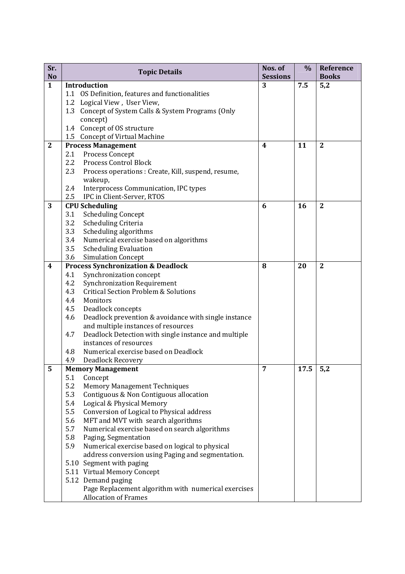| Sr.<br><b>No</b> | <b>Topic Details</b>                                                                 | Nos. of<br><b>Sessions</b> | $\%$ | Reference<br><b>Books</b> |
|------------------|--------------------------------------------------------------------------------------|----------------------------|------|---------------------------|
| $\mathbf{1}$     | Introduction                                                                         | 3                          | 7.5  | 5,2                       |
|                  | 1.1 OS Definition, features and functionalities                                      |                            |      |                           |
|                  | 1.2 Logical View, User View,                                                         |                            |      |                           |
|                  | 1.3 Concept of System Calls & System Programs (Only                                  |                            |      |                           |
|                  | concept)                                                                             |                            |      |                           |
|                  | 1.4 Concept of OS structure                                                          |                            |      |                           |
|                  | 1.5 Concept of Virtual Machine                                                       |                            |      |                           |
| $\boldsymbol{2}$ | <b>Process Management</b>                                                            | $\boldsymbol{4}$           | 11   | $\mathbf{2}$              |
|                  | Process Concept<br>2.1                                                               |                            |      |                           |
|                  | Process Control Block<br>2.2                                                         |                            |      |                           |
|                  | 2.3<br>Process operations : Create, Kill, suspend, resume,                           |                            |      |                           |
|                  | wakeup,                                                                              |                            |      |                           |
|                  | Interprocess Communication, IPC types<br>2.4                                         |                            |      |                           |
|                  | 2.5<br>IPC in Client-Server, RTOS                                                    |                            |      |                           |
| 3                | <b>CPU Scheduling</b>                                                                | 6                          | 16   | $\overline{2}$            |
|                  | <b>Scheduling Concept</b><br>3.1<br>3.2<br>Scheduling Criteria                       |                            |      |                           |
|                  | 3.3<br>Scheduling algorithms                                                         |                            |      |                           |
|                  | 3.4<br>Numerical exercise based on algorithms                                        |                            |      |                           |
|                  | 3.5<br><b>Scheduling Evaluation</b>                                                  |                            |      |                           |
|                  | <b>Simulation Concept</b><br>3.6                                                     |                            |      |                           |
| $\boldsymbol{4}$ | <b>Process Synchronization &amp; Deadlock</b>                                        | 8                          | 20   | $\overline{2}$            |
|                  | Synchronization concept<br>4.1                                                       |                            |      |                           |
|                  | 4.2<br><b>Synchronization Requirement</b>                                            |                            |      |                           |
|                  | 4.3<br><b>Critical Section Problem &amp; Solutions</b>                               |                            |      |                           |
|                  | 4.4<br>Monitors                                                                      |                            |      |                           |
|                  | 4.5<br>Deadlock concepts                                                             |                            |      |                           |
|                  | 4.6<br>Deadlock prevention & avoidance with single instance                          |                            |      |                           |
|                  | and multiple instances of resources                                                  |                            |      |                           |
|                  | Deadlock Detection with single instance and multiple<br>4.7                          |                            |      |                           |
|                  | instances of resources                                                               |                            |      |                           |
|                  | Numerical exercise based on Deadlock<br>4.8                                          |                            |      |                           |
|                  | 4.9<br><b>Deadlock Recovery</b>                                                      |                            |      |                           |
| 5                | <b>Memory Management</b>                                                             | 7                          | 17.5 | 5,2                       |
|                  | 5.1<br>Concept<br>5.2                                                                |                            |      |                           |
|                  | <b>Memory Management Techniques</b><br>5.3<br>Contiguous & Non Contiguous allocation |                            |      |                           |
|                  | 5.4<br>Logical & Physical Memory                                                     |                            |      |                           |
|                  | 5.5<br>Conversion of Logical to Physical address                                     |                            |      |                           |
|                  | MFT and MVT with search algorithms<br>5.6                                            |                            |      |                           |
|                  | 5.7<br>Numerical exercise based on search algorithms                                 |                            |      |                           |
|                  | 5.8<br>Paging, Segmentation                                                          |                            |      |                           |
|                  | 5.9<br>Numerical exercise based on logical to physical                               |                            |      |                           |
|                  | address conversion using Paging and segmentation.                                    |                            |      |                           |
|                  | 5.10 Segment with paging                                                             |                            |      |                           |
|                  | 5.11 Virtual Memory Concept                                                          |                            |      |                           |
|                  | 5.12 Demand paging                                                                   |                            |      |                           |
|                  | Page Replacement algorithm with numerical exercises                                  |                            |      |                           |
|                  | <b>Allocation of Frames</b>                                                          |                            |      |                           |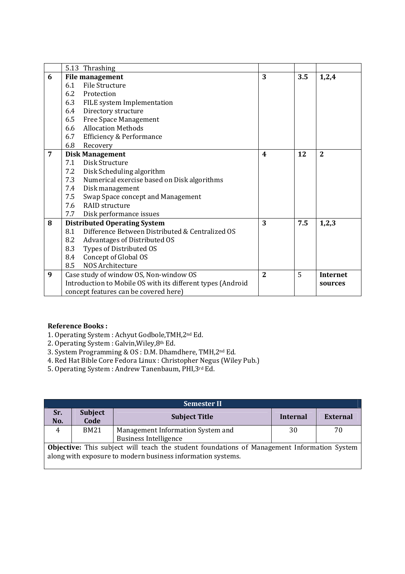|   | 5.13 Thrashing                                              |                  |     |                 |
|---|-------------------------------------------------------------|------------------|-----|-----------------|
| 6 | <b>File management</b>                                      | 3                | 3.5 | 1,2,4           |
|   | <b>File Structure</b><br>6.1                                |                  |     |                 |
|   | 6.2<br>Protection                                           |                  |     |                 |
|   | 6.3<br>FILE system Implementation                           |                  |     |                 |
|   | Directory structure<br>6.4                                  |                  |     |                 |
|   | 6.5<br>Free Space Management                                |                  |     |                 |
|   | <b>Allocation Methods</b><br>6.6                            |                  |     |                 |
|   | 6.7<br>Efficiency & Performance                             |                  |     |                 |
|   | 6.8<br>Recovery                                             |                  |     |                 |
| 7 | <b>Disk Management</b>                                      | $\boldsymbol{4}$ | 12  | $\overline{2}$  |
|   | Disk Structure<br>7.1                                       |                  |     |                 |
|   | Disk Scheduling algorithm<br>7.2                            |                  |     |                 |
|   | Numerical exercise based on Disk algorithms<br>7.3          |                  |     |                 |
|   | 7.4<br>Disk management                                      |                  |     |                 |
|   | 7.5<br>Swap Space concept and Management                    |                  |     |                 |
|   | <b>RAID</b> structure<br>7.6                                |                  |     |                 |
|   | 7.7<br>Disk performance issues                              | 3                |     |                 |
| 8 | <b>Distributed Operating System</b>                         |                  | 7.5 | 1,2,3           |
|   | Difference Between Distributed & Centralized OS<br>8.1      |                  |     |                 |
|   | Advantages of Distributed OS<br>8.2                         |                  |     |                 |
|   | Types of Distributed OS<br>8.3                              |                  |     |                 |
|   | Concept of Global OS<br>8.4                                 |                  |     |                 |
|   | NOS Architecture<br>8.5                                     |                  |     |                 |
| 9 | Case study of window OS, Non-window OS                      | $\overline{2}$   | 5   | <b>Internet</b> |
|   | Introduction to Mobile OS with its different types (Android |                  |     | sources         |
|   | concept features can be covered here)                       |                  |     |                 |

# **Reference Books :**

- 1. Operating System : Achyut Godbole,TMH,2nd Ed.
- 2. Operating System : Galvin,Wiley,8th Ed.
- 3. System Programming & OS : D.M. Dhamdhere, TMH,2nd Ed.
- 4. Red Hat Bible Core Fedora Linux : Christopher Negus (Wiley Pub.)
- 5. Operating System : Andrew Tanenbaum, PHI,3rd Ed.

| <b>Semester II</b>                                                                                                                                                |                        |                                   |          |          |  |
|-------------------------------------------------------------------------------------------------------------------------------------------------------------------|------------------------|-----------------------------------|----------|----------|--|
| Sr.<br>No.                                                                                                                                                        | <b>Subject</b><br>Code | <b>Subject Title</b>              | Internal | External |  |
| 4                                                                                                                                                                 | <b>BM21</b>            | Management Information System and | 30       | 70       |  |
|                                                                                                                                                                   |                        | <b>Business Intelligence</b>      |          |          |  |
| <b>Objective:</b> This subject will teach the student foundations of Management Information System<br>along with exposure to modern business information systems. |                        |                                   |          |          |  |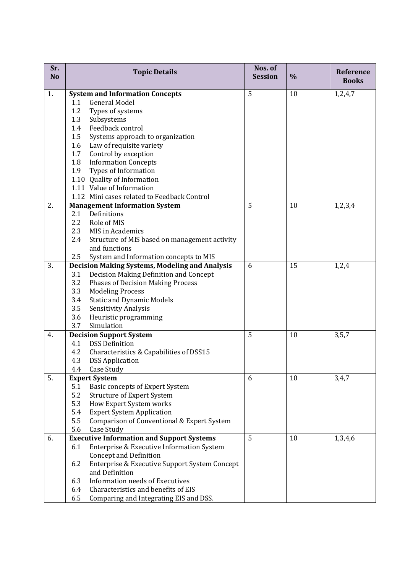| Sr.<br>N <sub>o</sub> | <b>Topic Details</b>                                                      |                                               | Nos. of<br><b>Session</b> | $\%$ | Reference<br><b>Books</b> |
|-----------------------|---------------------------------------------------------------------------|-----------------------------------------------|---------------------------|------|---------------------------|
| 1.                    |                                                                           | <b>System and Information Concepts</b>        | 5                         | 10   | 1,2,4,7                   |
|                       | 1.1                                                                       | <b>General Model</b>                          |                           |      |                           |
|                       | 1.2                                                                       | Types of systems                              |                           |      |                           |
|                       | 1.3                                                                       | Subsystems                                    |                           |      |                           |
|                       | 1.4                                                                       | Feedback control                              |                           |      |                           |
|                       | 1.5                                                                       | Systems approach to organization              |                           |      |                           |
|                       | 1.6                                                                       | Law of requisite variety                      |                           |      |                           |
|                       | 1.7                                                                       | Control by exception                          |                           |      |                           |
|                       | 1.8                                                                       | <b>Information Concepts</b>                   |                           |      |                           |
|                       | 1.9                                                                       | Types of Information                          |                           |      |                           |
|                       |                                                                           | 1.10 Quality of Information                   |                           |      |                           |
|                       |                                                                           | 1.11 Value of Information                     |                           |      |                           |
|                       |                                                                           | 1.12 Mini cases related to Feedback Control   |                           |      |                           |
| 2.                    |                                                                           | <b>Management Information System</b>          | 5                         | 10   | 1,2,3,4                   |
|                       | 2.1                                                                       | Definitions                                   |                           |      |                           |
|                       | 2.2                                                                       | Role of MIS                                   |                           |      |                           |
|                       | 2.3                                                                       | MIS in Academics                              |                           |      |                           |
|                       | 2.4                                                                       | Structure of MIS based on management activity |                           |      |                           |
|                       |                                                                           | and functions                                 |                           |      |                           |
|                       | 2.5<br>System and Information concepts to MIS                             |                                               |                           |      |                           |
| 3.                    | <b>Decision Making Systems, Modeling and Analysis</b><br>6<br>15<br>1,2,4 |                                               |                           |      |                           |
|                       | 3.1                                                                       | Decision Making Definition and Concept        |                           |      |                           |
|                       | 3.2                                                                       | <b>Phases of Decision Making Process</b>      |                           |      |                           |
|                       | 3.3                                                                       | <b>Modeling Process</b>                       |                           |      |                           |
|                       | 3.4                                                                       | <b>Static and Dynamic Models</b>              |                           |      |                           |
|                       | 3.5                                                                       | Sensitivity Analysis                          |                           |      |                           |
|                       | 3.6                                                                       | Heuristic programming                         |                           |      |                           |
|                       | 3.7                                                                       | Simulation                                    |                           |      |                           |
| 4.                    | <b>Decision Support System</b>                                            |                                               | 5                         | 10   | 3, 5, 7                   |
|                       | 4.1                                                                       | <b>DSS Definition</b>                         |                           |      |                           |
|                       | 4.2                                                                       | Characteristics & Capabilities of DSS15       |                           |      |                           |
|                       | 4.3                                                                       | <b>DSS Application</b>                        |                           |      |                           |
|                       | 4.4                                                                       | Case Study                                    |                           |      |                           |
| 5.                    |                                                                           | <b>Expert System</b>                          | 6                         | 10   | 3,4,7                     |
|                       | 5.1                                                                       | Basic concepts of Expert System               |                           |      |                           |
|                       | 5.2                                                                       | <b>Structure of Expert System</b>             |                           |      |                           |
|                       | 5.3                                                                       | How Expert System works                       |                           |      |                           |
|                       | 5.4                                                                       | <b>Expert System Application</b>              |                           |      |                           |
|                       | 5.5                                                                       | Comparison of Conventional & Expert System    |                           |      |                           |
|                       | 5.6                                                                       | Case Study                                    |                           |      |                           |
| 6.                    | <b>Executive Information and Support Systems</b>                          |                                               | 5                         | 10   | 1,3,4,6                   |
|                       | 6.1                                                                       | Enterprise & Executive Information System     |                           |      |                           |
|                       |                                                                           | <b>Concept and Definition</b>                 |                           |      |                           |
|                       | 6.2                                                                       | Enterprise & Executive Support System Concept |                           |      |                           |
|                       |                                                                           | and Definition                                |                           |      |                           |
|                       | 6.3                                                                       | <b>Information needs of Executives</b>        |                           |      |                           |
|                       | 6.4                                                                       | Characteristics and benefits of EIS           |                           |      |                           |
|                       | 6.5                                                                       | Comparing and Integrating EIS and DSS.        |                           |      |                           |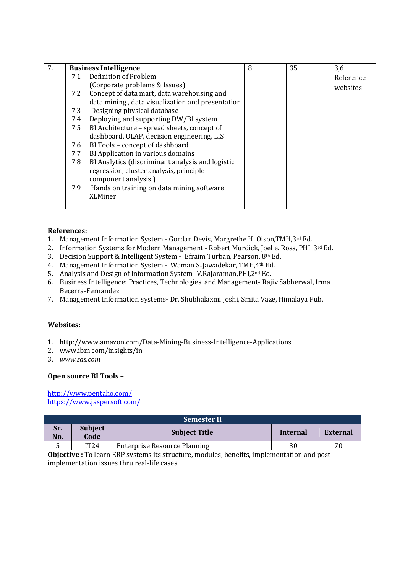| 7. | <b>Business Intelligence</b> |                                                  | 8 | 35 | 3,6       |
|----|------------------------------|--------------------------------------------------|---|----|-----------|
|    | 7.1                          | Definition of Problem                            |   |    | Reference |
|    |                              | (Corporate problems & Issues)                    |   |    | websites  |
|    | 7.2                          | Concept of data mart, data warehousing and       |   |    |           |
|    |                              | data mining, data visualization and presentation |   |    |           |
|    | 7.3                          | Designing physical database                      |   |    |           |
|    | 7.4                          | Deploying and supporting DW/BI system            |   |    |           |
|    | 7.5                          | BI Architecture - spread sheets, concept of      |   |    |           |
|    |                              | dashboard, OLAP, decision engineering, LIS       |   |    |           |
|    | 7.6                          | BI Tools - concept of dashboard                  |   |    |           |
|    | 7.7                          | BI Application in various domains                |   |    |           |
|    | 7.8                          | BI Analytics (discriminant analysis and logistic |   |    |           |
|    |                              | regression, cluster analysis, principle          |   |    |           |
|    |                              | component analysis)                              |   |    |           |
|    | 7.9                          | Hands on training on data mining software        |   |    |           |
|    |                              | <b>XLMiner</b>                                   |   |    |           |
|    |                              |                                                  |   |    |           |

#### **References:**

- 1. Management Information System Gordan Devis, Margrethe H. Oison,TMH,3rd Ed.
- 2. Information Systems for Modern Management Robert Murdick, Joel e. Ross, PHI, 3rd Ed.
- 3. Decision Support & Intelligent System Efraim Turban, Pearson, 8th Ed.
- 4. Management Information System Waman S..Jawadekar, TMH,4th Ed.
- 5. Analysis and Design of Information System -V.Rajaraman,PHI,2nd Ed.
- 6. Business Intelligence: Practices, Technologies, and Management- Rajiv Sabherwal, Irma Becerra-Fernandez
- 7. Management Information systems- Dr. Shubhalaxmi Joshi, Smita Vaze, Himalaya Pub.

# **Websites:**

- 1. http://www.amazon.com/Data-Mining-Business-Intelligence-Applications
- 2. www.ibm.com/insights/in
- 3. *www.sas.com*

# **Open source BI Tools –**

http://www.pentaho.com/ https://www.jaspersoft.com/

| <b>Semester II</b>                                                                                                                               |                        |                                     |          |                 |  |  |
|--------------------------------------------------------------------------------------------------------------------------------------------------|------------------------|-------------------------------------|----------|-----------------|--|--|
| Sr.<br>No.                                                                                                                                       | <b>Subject</b><br>Code | <b>Subject Title</b>                | Internal | <b>External</b> |  |  |
|                                                                                                                                                  | IT24                   | <b>Enterprise Resource Planning</b> | 30       | 70              |  |  |
| <b>Objective</b> : To learn ERP systems its structure, modules, benefits, implementation and post<br>implementation issues thru real-life cases. |                        |                                     |          |                 |  |  |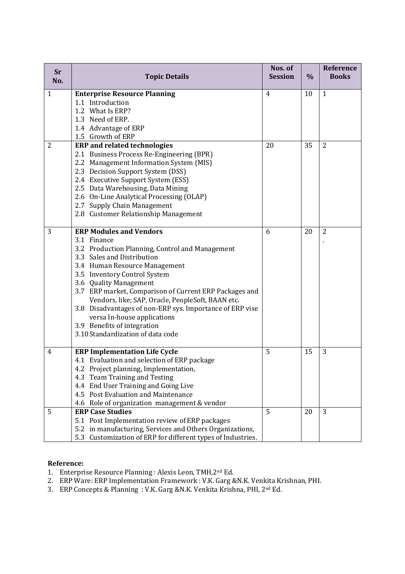| Sr<br>No.      | <b>Topic Details</b>                                        | Nos. of<br><b>Session</b> | $\frac{0}{0}$ | Reference<br><b>Books</b> |
|----------------|-------------------------------------------------------------|---------------------------|---------------|---------------------------|
| $\mathbf{1}$   | <b>Enterprise Resource Planning</b>                         | $\overline{4}$            | 10            | $\mathbf{1}$              |
|                | 1.1 Introduction                                            |                           |               |                           |
|                | 1.2 What Is ERP?                                            |                           |               |                           |
|                | 1.3 Need of ERP.                                            |                           |               |                           |
|                | 1.4 Advantage of ERP                                        |                           |               |                           |
|                | 1.5 Growth of ERP                                           |                           |               |                           |
| $\overline{2}$ | <b>ERP</b> and related technologies                         | 20                        | 35            | $\overline{2}$            |
|                | 2.1 Business Process Re-Engineering (BPR)                   |                           |               |                           |
|                | 2.2 Management Information System (MIS)                     |                           |               |                           |
|                | 2.3 Decision Support System (DSS)                           |                           |               |                           |
|                | 2.4 Executive Support System (ESS)                          |                           |               |                           |
|                | 2.5 Data Warehousing, Data Mining                           |                           |               |                           |
|                | 2.6 On-Line Analytical Processing (OLAP)                    |                           |               |                           |
|                | 2.7 Supply Chain Management                                 |                           |               |                           |
|                | 2.8 Customer Relationship Management                        |                           |               |                           |
| 3              | <b>ERP Modules and Vendors</b>                              | 6                         | 20            | $\overline{2}$            |
|                | 3.1 Finance                                                 |                           |               |                           |
|                | 3.2 Production Planning, Control and Management             |                           |               |                           |
|                | 3.3 Sales and Distribution                                  |                           |               |                           |
|                | 3.4 Human Resource Management                               |                           |               |                           |
|                | 3.5 Inventory Control System                                |                           |               |                           |
|                | 3.6 Quality Management                                      |                           |               |                           |
|                | 3.7 ERP market, Comparison of Current ERP Packages and      |                           |               |                           |
|                | Vendors, like; SAP, Oracle, PeopleSoft, BAAN etc.           |                           |               |                           |
|                | 3.8 Disadvantages of non-ERP sys. Importance of ERP vise    |                           |               |                           |
|                | versa In-house applications                                 |                           |               |                           |
|                | 3.9 Benefits of integration                                 |                           |               |                           |
|                | 3.10 Standardization of data code                           |                           |               |                           |
| 4              | <b>ERP Implementation Life Cycle</b>                        | 5                         | 15            | 3                         |
|                | 4.1 Evaluation and selection of ERP package                 |                           |               |                           |
|                | 4.2 Project planning, Implementation,                       |                           |               |                           |
|                | 4.3 Team Training and Testing                               |                           |               |                           |
|                | 4.4 End User Training and Going Live                        |                           |               |                           |
|                | 4.5 Post Evaluation and Maintenance                         |                           |               |                           |
|                | 4.6 Role of organization management & vendor                |                           |               |                           |
| 5              | <b>ERP Case Studies</b>                                     | 5                         | 20            | 3                         |
|                | 5.1 Post Implementation review of ERP packages              |                           |               |                           |
|                | 5.2 in manufacturing, Services and Others Organizations,    |                           |               |                           |
|                | 5.3 Customization of ERP for different types of Industries. |                           |               |                           |

# **Reference:**

- 1. Enterprise Resource Planning : Alexis Leon, TMH,2nd Ed.
- 2. ERP Ware: ERP Implementation Framework : V.K. Garg &N.K. Venkita Krishnan, PHI.
- 3. ERP Concepts & Planning : V.K. Garg &N.K. Venkita Krishna, PHI, 2nd Ed.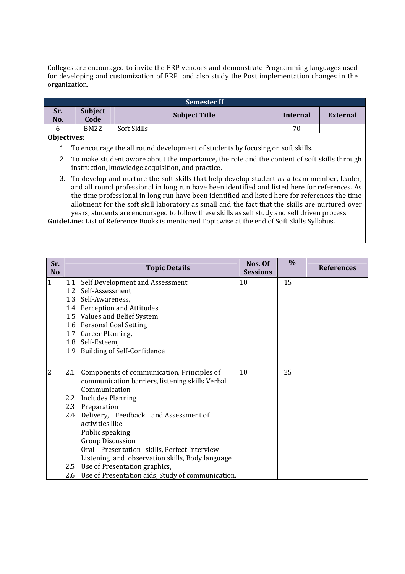Colleges are encouraged to invite the ERP vendors and demonstrate Programming languages used for developing and customization of ERP and also study the Post implementation changes in the organization.

| <b>Semester II</b>                                                                                                                                                                                                                                                                                                                                                                                                                                                                                   |                                                                                                                                                     |                                                                                   |                 |                 |  |
|------------------------------------------------------------------------------------------------------------------------------------------------------------------------------------------------------------------------------------------------------------------------------------------------------------------------------------------------------------------------------------------------------------------------------------------------------------------------------------------------------|-----------------------------------------------------------------------------------------------------------------------------------------------------|-----------------------------------------------------------------------------------|-----------------|-----------------|--|
| Sr.<br>No.                                                                                                                                                                                                                                                                                                                                                                                                                                                                                           | <b>Subject</b><br>Code                                                                                                                              | <b>Subject Title</b>                                                              | <b>Internal</b> | <b>External</b> |  |
| 6                                                                                                                                                                                                                                                                                                                                                                                                                                                                                                    | <b>BM22</b>                                                                                                                                         | Soft Skills                                                                       | 70              |                 |  |
| Objectives:                                                                                                                                                                                                                                                                                                                                                                                                                                                                                          |                                                                                                                                                     |                                                                                   |                 |                 |  |
|                                                                                                                                                                                                                                                                                                                                                                                                                                                                                                      |                                                                                                                                                     | 1. To encourage the all round development of students by focusing on soft skills. |                 |                 |  |
|                                                                                                                                                                                                                                                                                                                                                                                                                                                                                                      | 2. To make student aware about the importance, the role and the content of soft skills through<br>instruction, knowledge acquisition, and practice. |                                                                                   |                 |                 |  |
| 3. To develop and nurture the soft skills that help develop student as a team member, leader,<br>and all round professional in long run have been identified and listed here for references. As<br>the time professional in long run have been identified and listed here for references the time<br>allotment for the soft skill laboratory as small and the fact that the skills are nurtured over<br>years, students are encouraged to follow these skills as self study and self driven process. |                                                                                                                                                     |                                                                                   |                 |                 |  |
| THE CONFIDENTIAL CONTRACT OF THE RESIDENCE OF THE RESIDENCE OF THE RESIDENCE OF THE RESIDENCE OF THE RESIDENCE                                                                                                                                                                                                                                                                                                                                                                                       |                                                                                                                                                     |                                                                                   |                 |                 |  |

**GuideLine:** List of Reference Books is mentioned Topicwise at the end of Soft Skills Syllabus.

| Sr.<br>N <sub>o</sub> |     | <b>Topic Details</b>                                  |    | $\%$ | <b>References</b> |
|-----------------------|-----|-------------------------------------------------------|----|------|-------------------|
| $\mathbf{1}$          | 1.1 | Self Development and Assessment                       | 10 | 15   |                   |
|                       |     | 1.2 Self-Assessment                                   |    |      |                   |
|                       |     | 1.3 Self-Awareness,                                   |    |      |                   |
|                       |     | 1.4 Perception and Attitudes                          |    |      |                   |
|                       |     | 1.5 Values and Belief System                          |    |      |                   |
|                       |     | 1.6 Personal Goal Setting                             |    |      |                   |
|                       |     | 1.7 Career Planning,                                  |    |      |                   |
|                       |     | 1.8 Self-Esteem,                                      |    |      |                   |
|                       |     | 1.9 Building of Self-Confidence                       |    |      |                   |
|                       |     |                                                       |    |      |                   |
| $\overline{2}$        | 2.1 | Components of communication, Principles of            | 10 | 25   |                   |
|                       |     | communication barriers, listening skills Verbal       |    |      |                   |
|                       |     | Communication                                         |    |      |                   |
|                       |     | 2.2 Includes Planning                                 |    |      |                   |
|                       |     | 2.3 Preparation                                       |    |      |                   |
|                       | 2.4 | Delivery, Feedback and Assessment of                  |    |      |                   |
|                       |     | activities like                                       |    |      |                   |
|                       |     | Public speaking                                       |    |      |                   |
|                       |     | <b>Group Discussion</b>                               |    |      |                   |
|                       |     | Oral Presentation skills, Perfect Interview           |    |      |                   |
|                       |     | Listening and observation skills, Body language       |    |      |                   |
|                       |     | 2.5 Use of Presentation graphics,                     |    |      |                   |
|                       |     | 2.6 Use of Presentation aids, Study of communication. |    |      |                   |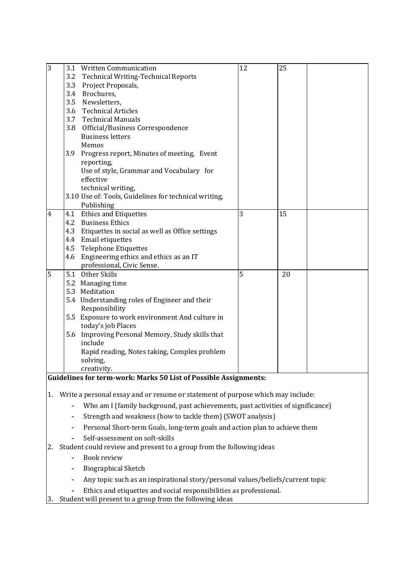| $\overline{3}$ |     | 3.1 Written Communication                             | 12 | 25 |  |
|----------------|-----|-------------------------------------------------------|----|----|--|
|                |     | 3.2 Technical Writing-Technical Reports               |    |    |  |
|                |     | 3.3 Project Proposals,                                |    |    |  |
|                |     | 3.4 Brochures,                                        |    |    |  |
|                |     | 3.5 Newsletters,                                      |    |    |  |
|                |     | 3.6 Technical Articles                                |    |    |  |
|                |     | 3.7 Technical Manuals                                 |    |    |  |
|                |     | 3.8 Official/Business Correspondence                  |    |    |  |
|                |     | <b>Business letters</b>                               |    |    |  |
|                |     | Memos                                                 |    |    |  |
|                | 3.9 | Progress report, Minutes of meeting, Event            |    |    |  |
|                |     | reporting,                                            |    |    |  |
|                |     | Use of style, Grammar and Vocabulary for              |    |    |  |
|                |     | effective                                             |    |    |  |
|                |     | technical writing,                                    |    |    |  |
|                |     | 3.10 Use of: Tools, Guidelines for technical writing, |    |    |  |
|                |     | Publishing                                            |    |    |  |
| $\overline{4}$ |     | 4.1 Ethics and Etiquettes                             | 3  | 15 |  |
|                |     | 4.2 Business Ethics                                   |    |    |  |
|                |     | 4.3 Etiquettes in social as well as Office settings   |    |    |  |
|                |     | 4.4 Email etiquettes                                  |    |    |  |
|                |     | 4.5 Telephone Etiquettes                              |    |    |  |
|                |     | 4.6 Engineering ethics and ethics as an IT            |    |    |  |
|                |     | professional, Civic Sense.                            |    |    |  |
| 5              |     | 5.1 Other Skills                                      | 5  | 20 |  |
|                |     | 5.2 Managing time                                     |    |    |  |
|                |     | 5.3 Meditation                                        |    |    |  |
|                |     | 5.4 Understanding roles of Engineer and their         |    |    |  |
|                |     | Responsibility                                        |    |    |  |
|                |     | 5.5 Exposure to work environment And culture in       |    |    |  |
|                |     | today's job Places                                    |    |    |  |
|                |     | 5.6 Improving Personal Memory, Study skills that      |    |    |  |
|                |     | include                                               |    |    |  |
|                |     | Rapid reading, Notes taking, Complex problem          |    |    |  |
|                |     | solving,                                              |    |    |  |
|                |     | creativity.                                           |    |    |  |

# **Guidelines for term-work: Marks 50 List of Possible Assignments:**

- 1. Write a personal essay and or resume or statement of purpose which may include:
	- Who am I (family background, past achievements, past activities of significance)
	- Strength and weakness (how to tackle them) (SWOT analysis)
	- Personal Short-term Goals, long-term goals and action plan to achieve them
	- Self-assessment on soft-skills
- 2. Student could review and present to a group from the following ideas
	- Book review
	- Biographical Sketch
	- Any topic such as an inspirational story/personal values/beliefs/current topic
	- Ethics and etiquettes and social responsibilities as professional.
- 3. Student will present to a group from the following ideas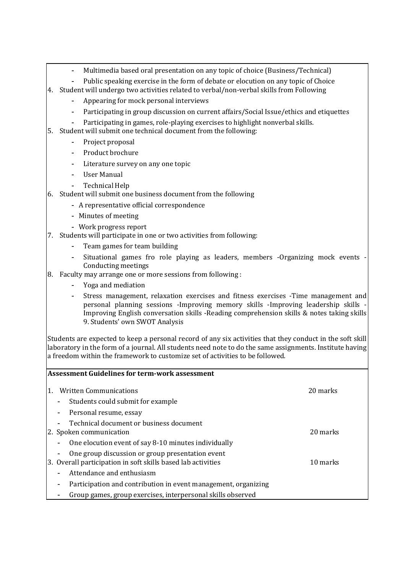- Multimedia based oral presentation on any topic of choice (Business/Technical)
- Public speaking exercise in the form of debate or elocution on any topic of Choice
- 4. Student will undergo two activities related to verbal/non-verbal skills from Following
	- Appearing for mock personal interviews
	- Participating in group discussion on current affairs/Social Issue/ethics and etiquettes
	- Participating in games, role-playing exercises to highlight nonverbal skills.
- 5. Student will submit one technical document from the following:
	- Project proposal
	- Product brochure
	- Literature survey on any one topic
	- User Manual
	- Technical Help
- 6. Student will submit one business document from the following
	- A representative official correspondence
	- Minutes of meeting
	- Work progress report
- 7. Students will participate in one or two activities from following:
	- Team games for team building
	- Situational games fro role playing as leaders, members -Organizing mock events Conducting meetings
- 8. Faculty may arrange one or more sessions from following :
	- Yoga and mediation
	- Stress management, relaxation exercises and fitness exercises -Time management and personal planning sessions -Improving memory skills -Improving leadership skills - Improving English conversation skills -Reading comprehension skills & notes taking skills 9. Students' own SWOT Analysis

Students are expected to keep a personal record of any six activities that they conduct in the soft skill laboratory in the form of a journal. All students need note to do the same assignments. Institute having a freedom within the framework to customize set of activities to be followed.

|    |        | <b>Assessment Guidelines for term-work assessment</b>                                                            |          |
|----|--------|------------------------------------------------------------------------------------------------------------------|----------|
| 1. |        | <b>Written Communications</b>                                                                                    | 20 marks |
|    |        | Students could submit for example                                                                                |          |
|    | $\sim$ | Personal resume, essay                                                                                           |          |
|    |        | Technical document or business document<br>2. Spoken communication                                               | 20 marks |
|    |        | One elocution event of say 8-10 minutes individually                                                             |          |
|    |        | One group discussion or group presentation event<br>3. Overall participation in soft skills based lab activities | 10 marks |
|    |        | Attendance and enthusiasm                                                                                        |          |
|    |        | Participation and contribution in event management, organizing                                                   |          |
|    |        | Group games, group exercises, interpersonal skills observed                                                      |          |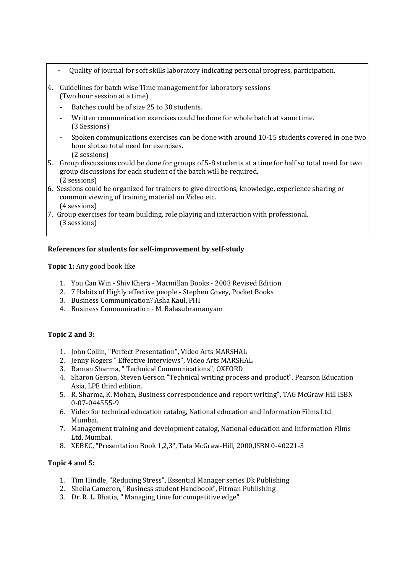- Quality of journal for soft skills laboratory indicating personal progress, participation.
- 4. Guidelines for batch wise Time management for laboratory sessions (Two hour session at a time)
	- Batches could be of size 25 to 30 students.
	- Written communication exercises could be done for whole batch at same time. (3 Sessions)
	- Spoken communications exercises can be done with around 10-15 students covered in one two hour slot so total need for exercises. (2 sessions)
- 5. Group discussions could be done for groups of 5-8 students at a time for half so total need for two group discussions for each student of the batch will be required. (2 sessions)
- 6. Sessions could be organized for trainers to give directions, knowledge, experience sharing or common viewing of training material on Video etc. (4 sessions)
- 7. Group exercises for team building, role playing and interaction with professional. (3 sessions)

# **References for students for self-improvement by self-study**

**Topic 1:** Any good book like

- 1. You Can Win Shiv Khera Macmillan Books 2003 Revised Edition
- 2. 7 Habits of Highly effective people Stephen Covey, Pocket Books
- 3. Business Communication? Asha Kaul, PHI
- 4. Business Communication M. Balasubramanyam

# **Topic 2 and 3:**

- 1. John Collin, "Perfect Presentation", Video Arts MARSHAL
- 2. Jenny Rogers " Effective Interviews", Video Arts MARSHAL
- 3. Raman Sharma, " Technical Communications", OXFORD
- 4. Sharon Gerson, Steven Gerson "Technical writing process and product", Pearson Education Asia, LPE third edition.
- 5. R. Sharma, K. Mohan, Business correspondence and report writing", TAG McGraw Hill ISBN 0-07-044555-9
- 6. Video for technical education catalog, National education and Information Films Ltd. Mumbai.
- 7. Management training and development catalog, National education and Information Films Ltd. Mumbai.
- 8. XEBEC, "Presentation Book 1,2,3", Tata McGraw-Hill, 2000,ISBN 0-40221-3

### **Topic 4 and 5:**

- 1. Tim Hindle, "Reducing Stress", Essential Manager series Dk Publishing
- 2. Sheila Cameron, "Business student Handbook", Pitman Publishing
- 3. Dr. R. L. Bhatia, " Managing time for competitive edge"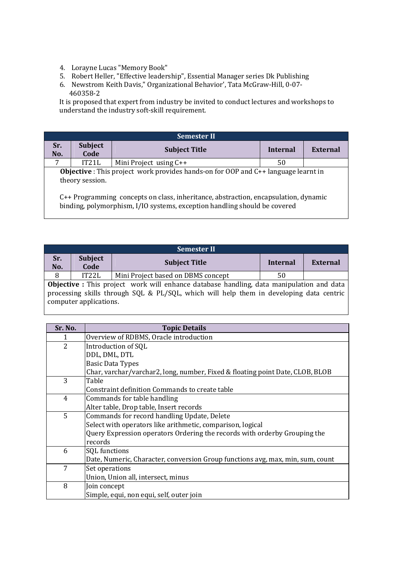- 4. Lorayne Lucas "Memory Book"
- 5. Robert Heller, "Effective leadership", Essential Manager series Dk Publishing
- 6. Newstrom Keith Davis," Organizational Behavior', Tata McGraw-Hill, 0-07- 460358-2

It is proposed that expert from industry be invited to conduct lectures and workshops to understand the industry soft-skill requirement.

|                                                                                                                                                                  | <b>Semester II</b>     |                          |          |          |  |  |  |
|------------------------------------------------------------------------------------------------------------------------------------------------------------------|------------------------|--------------------------|----------|----------|--|--|--|
| Sr.<br>No.                                                                                                                                                       | <b>Subject</b><br>Code | <b>Subject Title</b>     | Internal | External |  |  |  |
|                                                                                                                                                                  | IT21L                  | Mini Project using $C++$ | 50       |          |  |  |  |
| <b>Objective</b> : This project work provides hands-on for OOP and $C++$ language learnt in<br>theory session.                                                   |                        |                          |          |          |  |  |  |
| C++ Programming concepts on class, inheritance, abstraction, encapsulation, dynamic<br>binding, polymorphism, I/IO systems, exception handling should be covered |                        |                          |          |          |  |  |  |

|            | <b>Semester II</b>                                                                                                                                                                                                   |                                    |          |                 |  |  |
|------------|----------------------------------------------------------------------------------------------------------------------------------------------------------------------------------------------------------------------|------------------------------------|----------|-----------------|--|--|
| Sr.<br>No. | <b>Subject</b><br>Code                                                                                                                                                                                               | <b>Subject Title</b>               | Internal | <b>External</b> |  |  |
| 8          | IT22L                                                                                                                                                                                                                | Mini Project based on DBMS concept | 50       |                 |  |  |
|            | <b>Objective</b> : This project work will enhance database handling, data manipulation and data<br>processing skills through SQL & PL/SQL, which will help them in developing data centric<br>computer applications. |                                    |          |                 |  |  |

| Sr. No.        | <b>Topic Details</b>                                                           |
|----------------|--------------------------------------------------------------------------------|
| 1              | Overview of RDBMS, Oracle introduction                                         |
| $\overline{2}$ | Introduction of SQL                                                            |
|                | DDL, DML, DTL                                                                  |
|                | <b>Basic Data Types</b>                                                        |
|                | Char, varchar/varchar2, long, number, Fixed & floating point Date, CLOB, BLOB  |
| 3              | Table                                                                          |
|                | Constraint definition Commands to create table                                 |
| 4              | Commands for table handling                                                    |
|                | Alter table, Drop table, Insert records                                        |
| 5              | Commands for record handling Update, Delete                                    |
|                | Select with operators like arithmetic, comparison, logical                     |
|                | Query Expression operators Ordering the records with orderby Grouping the      |
|                | records                                                                        |
| 6              | SQL functions                                                                  |
|                | Date, Numeric, Character, conversion Group functions avg, max, min, sum, count |
| 7              | Set operations                                                                 |
|                | Union, Union all, intersect, minus                                             |
| 8              | Join concept                                                                   |
|                | Simple, equi, non equi, self, outer join                                       |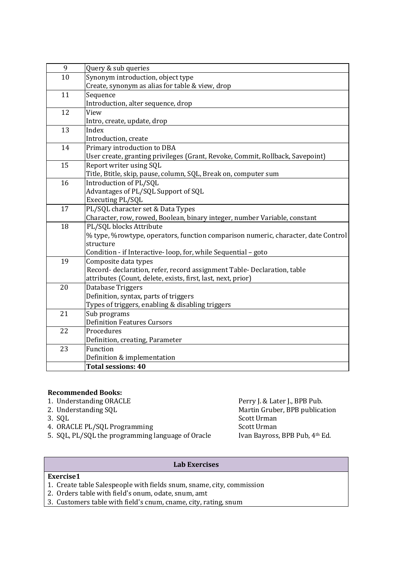| 9  | Query & sub queries                                                               |
|----|-----------------------------------------------------------------------------------|
| 10 | Synonym introduction, object type                                                 |
|    | Create, synonym as alias for table & view, drop                                   |
| 11 | Sequence                                                                          |
|    | Introduction, alter sequence, drop                                                |
| 12 | View                                                                              |
|    | Intro, create, update, drop                                                       |
| 13 | Index                                                                             |
|    | Introduction, create                                                              |
| 14 | Primary introduction to DBA                                                       |
|    | User create, granting privileges (Grant, Revoke, Commit, Rollback, Savepoint)     |
| 15 | Report writer using SQL                                                           |
|    | Title, Btitle, skip, pause, column, SQL, Break on, computer sum                   |
| 16 | Introduction of PL/SQL                                                            |
|    | Advantages of PL/SQL Support of SQL                                               |
|    | Executing PL/SQL                                                                  |
| 17 | PL/SQL character set & Data Types                                                 |
|    | Character, row, rowed, Boolean, binary integer, number Variable, constant         |
| 18 | PL/SQL blocks Attribute                                                           |
|    | % type, %rowtype, operators, function comparison numeric, character, date Control |
|    | structure                                                                         |
|    | Condition - if Interactive-loop, for, while Sequential - goto                     |
| 19 | Composite data types                                                              |
|    | Record- declaration, refer, record assignment Table- Declaration, table           |
|    | attributes (Count, delete, exists, first, last, next, prior)                      |
| 20 | Database Triggers                                                                 |
|    | Definition, syntax, parts of triggers                                             |
|    | Types of triggers, enabling & disabling triggers                                  |
| 21 | Sub programs                                                                      |
|    | <b>Definition Features Cursors</b>                                                |
| 22 | Procedures                                                                        |
|    | Definition, creating, Parameter                                                   |
| 23 | Function                                                                          |
|    | Definition & implementation                                                       |
|    | <b>Total sessions: 40</b>                                                         |

- **Recommended Books:**  1. Understanding ORACLE Perry J. & Later J., BPB Pub.<br>2. Understanding SQL Martin Gruber, BPB publications are presented as a matrix of the Martin Gruber, BPB publications are presented as a matrix of the Martin Gruber, BP
- 
- 
- 
- 5. SQL, PL/SQL the programming language of Oracle

Martin Gruber, BPB publication 3. SQL Scott Urman 4. ORACLE PL/SQL Programming<br>
5. SQL, PL/SQL the programming language of Oracle Ivan Bayross, BPB Pub, 4<sup>th</sup> Ed.

# **Lab Exercises**

# **Exercise1**

- 1. Create table Salespeople with fields snum, sname, city, commission
- 2. Orders table with field's onum, odate, snum, amt
- 3. Customers table with field's cnum, cname, city, rating, snum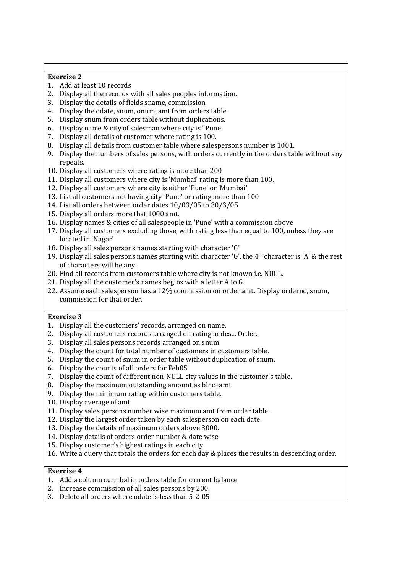### **Exercise 2**

- 1. Add at least 10 records
- 2. Display all the records with all sales peoples information.
- 3. Display the details of fields sname, commission
- 4. Display the odate, snum, onum, amt from orders table.
- 5. Display snum from orders table without duplications.
- 6. Display name & city of salesman where city is "Pune
- 7. Display all details of customer where rating is 100.
- 8. Display all details from customer table where salespersons number is 1001.
- 9. Display the numbers of sales persons, with orders currently in the orders table without any repeats.
- 10. Display all customers where rating is more than 200
- 11. Display all customers where city is 'Mumbai' rating is more than 100.
- 12. Display all customers where city is either 'Pune' or 'Mumbai'
- 13. List all customers not having city 'Pune' or rating more than 100
- 14. List all orders between order dates 10/03/05 to 30/3/05
- 15. Display all orders more that 1000 amt.
- 16. Display names & cities of all salespeople in 'Pune' with a commission above
- 17. Display all customers excluding those, with rating less than equal to 100, unless they are located in 'Nagar'
- 18. Display all sales persons names starting with character 'G'
- 19. Display all sales persons names starting with character 'G', the 4th character is 'A' & the rest of characters will be any.
- 20. Find all records from customers table where city is not known i.e. NULL.
- 21. Display all the customer's names begins with a letter A to G.
- 22. Assume each salesperson has a 12% commission on order amt. Display orderno, snum, commission for that order.

### **Exercise 3**

- 1. Display all the customers' records, arranged on name.
- 2. Display all customers records arranged on rating in desc. Order.
- 3. Display all sales persons records arranged on snum
- 4. Display the count for total number of customers in customers table.
- 5. Display the count of snum in order table without duplication of snum.
- 6. Display the counts of all orders for Feb05
- 7. Display the count of different non-NULL city values in the customer's table.
- 8. Display the maximum outstanding amount as blnc+amt
- 9. Display the minimum rating within customers table.
- 10. Display average of amt.
- 11. Display sales persons number wise maximum amt from order table.
- 12. Display the largest order taken by each salesperson on each date.
- 13. Display the details of maximum orders above 3000.
- 14. Display details of orders order number & date wise
- 15. Display customer's highest ratings in each city.
- 16. Write a query that totals the orders for each day & places the results in descending order.

### **Exercise 4**

- 1. Add a column curr\_bal in orders table for current balance
- 2. Increase commission of all sales persons by 200.
- 3. Delete all orders where odate is less than 5-2-05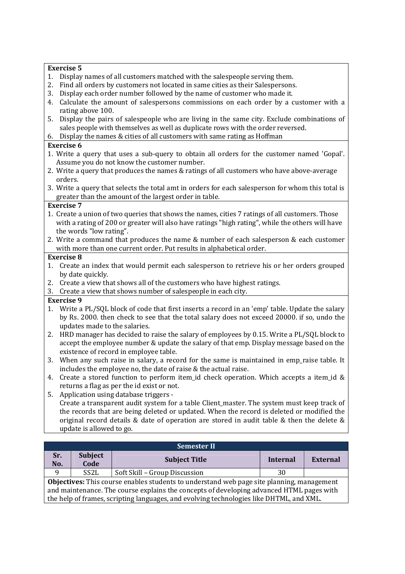### **Exercise 5**

- 1. Display names of all customers matched with the salespeople serving them.
- 2. Find all orders by customers not located in same cities as their Salespersons.
- 3. Display each order number followed by the name of customer who made it.
- 4. Calculate the amount of salespersons commissions on each order by a customer with a rating above 100.
- 5. Display the pairs of salespeople who are living in the same city. Exclude combinations of sales people with themselves as well as duplicate rows with the order reversed.
- 6. Display the names & cities of all customers with same rating as Hoffman

### **Exercise 6**

- 1. Write a query that uses a sub-query to obtain all orders for the customer named 'Gopal'. Assume you do not know the customer number.
- 2. Write a query that produces the names & ratings of all customers who have above-average orders.
- 3. Write a query that selects the total amt in orders for each salesperson for whom this total is greater than the amount of the largest order in table.

## **Exercise 7**

- 1. Create a union of two queries that shows the names, cities 7 ratings of all customers. Those with a rating of 200 or greater will also have ratings "high rating", while the others will have the words "low rating".
- 2. Write a command that produces the name & number of each salesperson & each customer with more than one current order. Put results in alphabetical order.

## **Exercise 8**

- 1. Create an index that would permit each salesperson to retrieve his or her orders grouped by date quickly.
- 2. Create a view that shows all of the customers who have highest ratings.
- 3. Create a view that shows number of salespeople in each city.

# **Exercise 9**

- 1. Write a PL/SQL block of code that first inserts a record in an 'emp' table. Update the salary by Rs. 2000. then check to see that the total salary does not exceed 20000. if so, undo the updates made to the salaries.
- 2. HRD manager has decided to raise the salary of employees by 0.15. Write a PL/SQL block to accept the employee number & update the salary of that emp. Display message based on the existence of record in employee table.
- 3. When any such raise in salary, a record for the same is maintained in emp\_raise table. It includes the employee no, the date of raise & the actual raise.
- 4. Create a stored function to perform item\_id check operation. Which accepts a item\_id & returns a flag as per the id exist or not.
- 5. Application using database triggers Create a transparent audit system for a table Client\_master. The system must keep track of the records that are being deleted or updated. When the record is deleted or modified the original record details & date of operation are stored in audit table & then the delete & update is allowed to go.

|                                                                                                  | <b>Semester II</b>     |                               |          |                 |  |  |  |
|--------------------------------------------------------------------------------------------------|------------------------|-------------------------------|----------|-----------------|--|--|--|
| Sr.<br>No.                                                                                       | <b>Subject</b><br>Code | <b>Subject Title</b>          | Internal | <b>External</b> |  |  |  |
| q                                                                                                | SS <sub>2</sub> L      | Soft Skill - Group Discussion | 30       |                 |  |  |  |
| <b>Objectives:</b> This course enables students to understand web page site planning, management |                        |                               |          |                 |  |  |  |
| and maintenance. The course explains the concepts of developing advanced HTML pages with         |                        |                               |          |                 |  |  |  |
| the help of frames, scripting languages, and evolving technologies like DHTML, and XML.          |                        |                               |          |                 |  |  |  |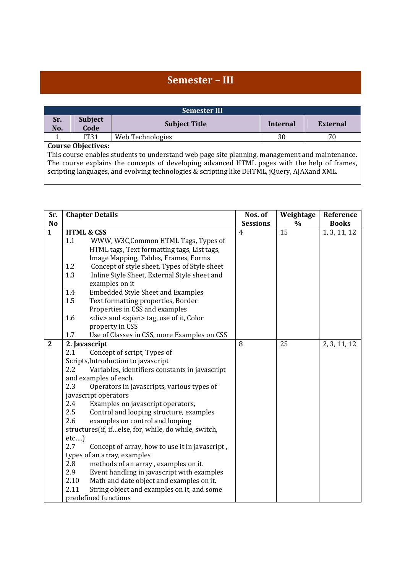# **Semester – III**

|            | <b>Semester III</b>                                                                                                                                                                        |                      |                 |          |  |  |  |
|------------|--------------------------------------------------------------------------------------------------------------------------------------------------------------------------------------------|----------------------|-----------------|----------|--|--|--|
| Sr.<br>No. | <b>Subject</b><br>Code                                                                                                                                                                     | <b>Subject Title</b> | <b>Internal</b> | External |  |  |  |
|            | <b>IT31</b>                                                                                                                                                                                | Web Technologies     | 30              | 70       |  |  |  |
|            | <b>Course Objectives:</b>                                                                                                                                                                  |                      |                 |          |  |  |  |
|            | This course enables students to understand web page site planning, management and maintenance.                                                                                             |                      |                 |          |  |  |  |
|            | The course explains the concepts of developing advanced HTML pages with the help of frames,<br>scripting languages, and evolving technologies & scripting like DHTML, jQuery, AJAXand XML. |                      |                 |          |  |  |  |

| <b>Chapter Details</b> |                                                                                                                              |                                                                                                                                                                                                                                                                                                                                                                                                                                                                                                                                                                                                                                                                                                                                                                                                                                                                                                                                                                                                                                                                                                                                                                                                             |               | Reference                  |
|------------------------|------------------------------------------------------------------------------------------------------------------------------|-------------------------------------------------------------------------------------------------------------------------------------------------------------------------------------------------------------------------------------------------------------------------------------------------------------------------------------------------------------------------------------------------------------------------------------------------------------------------------------------------------------------------------------------------------------------------------------------------------------------------------------------------------------------------------------------------------------------------------------------------------------------------------------------------------------------------------------------------------------------------------------------------------------------------------------------------------------------------------------------------------------------------------------------------------------------------------------------------------------------------------------------------------------------------------------------------------------|---------------|----------------------------|
|                        |                                                                                                                              | <b>Sessions</b>                                                                                                                                                                                                                                                                                                                                                                                                                                                                                                                                                                                                                                                                                                                                                                                                                                                                                                                                                                                                                                                                                                                                                                                             | $\frac{0}{0}$ | <b>Books</b>               |
|                        |                                                                                                                              | 4                                                                                                                                                                                                                                                                                                                                                                                                                                                                                                                                                                                                                                                                                                                                                                                                                                                                                                                                                                                                                                                                                                                                                                                                           | 15            | 1, 3, 11, 12               |
| 1.1                    | WWW, W3C, Common HTML Tags, Types of                                                                                         |                                                                                                                                                                                                                                                                                                                                                                                                                                                                                                                                                                                                                                                                                                                                                                                                                                                                                                                                                                                                                                                                                                                                                                                                             |               |                            |
|                        |                                                                                                                              |                                                                                                                                                                                                                                                                                                                                                                                                                                                                                                                                                                                                                                                                                                                                                                                                                                                                                                                                                                                                                                                                                                                                                                                                             |               |                            |
|                        |                                                                                                                              |                                                                                                                                                                                                                                                                                                                                                                                                                                                                                                                                                                                                                                                                                                                                                                                                                                                                                                                                                                                                                                                                                                                                                                                                             |               |                            |
|                        |                                                                                                                              |                                                                                                                                                                                                                                                                                                                                                                                                                                                                                                                                                                                                                                                                                                                                                                                                                                                                                                                                                                                                                                                                                                                                                                                                             |               |                            |
|                        |                                                                                                                              |                                                                                                                                                                                                                                                                                                                                                                                                                                                                                                                                                                                                                                                                                                                                                                                                                                                                                                                                                                                                                                                                                                                                                                                                             |               |                            |
|                        |                                                                                                                              |                                                                                                                                                                                                                                                                                                                                                                                                                                                                                                                                                                                                                                                                                                                                                                                                                                                                                                                                                                                                                                                                                                                                                                                                             |               |                            |
|                        |                                                                                                                              |                                                                                                                                                                                                                                                                                                                                                                                                                                                                                                                                                                                                                                                                                                                                                                                                                                                                                                                                                                                                                                                                                                                                                                                                             |               |                            |
|                        |                                                                                                                              |                                                                                                                                                                                                                                                                                                                                                                                                                                                                                                                                                                                                                                                                                                                                                                                                                                                                                                                                                                                                                                                                                                                                                                                                             |               |                            |
|                        |                                                                                                                              |                                                                                                                                                                                                                                                                                                                                                                                                                                                                                                                                                                                                                                                                                                                                                                                                                                                                                                                                                                                                                                                                                                                                                                                                             |               |                            |
|                        |                                                                                                                              |                                                                                                                                                                                                                                                                                                                                                                                                                                                                                                                                                                                                                                                                                                                                                                                                                                                                                                                                                                                                                                                                                                                                                                                                             |               |                            |
|                        |                                                                                                                              |                                                                                                                                                                                                                                                                                                                                                                                                                                                                                                                                                                                                                                                                                                                                                                                                                                                                                                                                                                                                                                                                                                                                                                                                             |               |                            |
|                        |                                                                                                                              |                                                                                                                                                                                                                                                                                                                                                                                                                                                                                                                                                                                                                                                                                                                                                                                                                                                                                                                                                                                                                                                                                                                                                                                                             |               |                            |
|                        |                                                                                                                              |                                                                                                                                                                                                                                                                                                                                                                                                                                                                                                                                                                                                                                                                                                                                                                                                                                                                                                                                                                                                                                                                                                                                                                                                             |               | 2, 3, 11, 12               |
|                        |                                                                                                                              |                                                                                                                                                                                                                                                                                                                                                                                                                                                                                                                                                                                                                                                                                                                                                                                                                                                                                                                                                                                                                                                                                                                                                                                                             |               |                            |
|                        |                                                                                                                              |                                                                                                                                                                                                                                                                                                                                                                                                                                                                                                                                                                                                                                                                                                                                                                                                                                                                                                                                                                                                                                                                                                                                                                                                             |               |                            |
|                        |                                                                                                                              |                                                                                                                                                                                                                                                                                                                                                                                                                                                                                                                                                                                                                                                                                                                                                                                                                                                                                                                                                                                                                                                                                                                                                                                                             |               |                            |
|                        |                                                                                                                              |                                                                                                                                                                                                                                                                                                                                                                                                                                                                                                                                                                                                                                                                                                                                                                                                                                                                                                                                                                                                                                                                                                                                                                                                             |               |                            |
|                        |                                                                                                                              |                                                                                                                                                                                                                                                                                                                                                                                                                                                                                                                                                                                                                                                                                                                                                                                                                                                                                                                                                                                                                                                                                                                                                                                                             |               |                            |
|                        |                                                                                                                              |                                                                                                                                                                                                                                                                                                                                                                                                                                                                                                                                                                                                                                                                                                                                                                                                                                                                                                                                                                                                                                                                                                                                                                                                             |               |                            |
|                        |                                                                                                                              |                                                                                                                                                                                                                                                                                                                                                                                                                                                                                                                                                                                                                                                                                                                                                                                                                                                                                                                                                                                                                                                                                                                                                                                                             |               |                            |
|                        |                                                                                                                              |                                                                                                                                                                                                                                                                                                                                                                                                                                                                                                                                                                                                                                                                                                                                                                                                                                                                                                                                                                                                                                                                                                                                                                                                             |               |                            |
|                        |                                                                                                                              |                                                                                                                                                                                                                                                                                                                                                                                                                                                                                                                                                                                                                                                                                                                                                                                                                                                                                                                                                                                                                                                                                                                                                                                                             |               |                            |
|                        |                                                                                                                              |                                                                                                                                                                                                                                                                                                                                                                                                                                                                                                                                                                                                                                                                                                                                                                                                                                                                                                                                                                                                                                                                                                                                                                                                             |               |                            |
|                        |                                                                                                                              |                                                                                                                                                                                                                                                                                                                                                                                                                                                                                                                                                                                                                                                                                                                                                                                                                                                                                                                                                                                                                                                                                                                                                                                                             |               |                            |
|                        |                                                                                                                              |                                                                                                                                                                                                                                                                                                                                                                                                                                                                                                                                                                                                                                                                                                                                                                                                                                                                                                                                                                                                                                                                                                                                                                                                             |               |                            |
|                        |                                                                                                                              |                                                                                                                                                                                                                                                                                                                                                                                                                                                                                                                                                                                                                                                                                                                                                                                                                                                                                                                                                                                                                                                                                                                                                                                                             |               |                            |
|                        |                                                                                                                              |                                                                                                                                                                                                                                                                                                                                                                                                                                                                                                                                                                                                                                                                                                                                                                                                                                                                                                                                                                                                                                                                                                                                                                                                             |               |                            |
|                        |                                                                                                                              |                                                                                                                                                                                                                                                                                                                                                                                                                                                                                                                                                                                                                                                                                                                                                                                                                                                                                                                                                                                                                                                                                                                                                                                                             |               |                            |
|                        |                                                                                                                              |                                                                                                                                                                                                                                                                                                                                                                                                                                                                                                                                                                                                                                                                                                                                                                                                                                                                                                                                                                                                                                                                                                                                                                                                             |               |                            |
|                        |                                                                                                                              |                                                                                                                                                                                                                                                                                                                                                                                                                                                                                                                                                                                                                                                                                                                                                                                                                                                                                                                                                                                                                                                                                                                                                                                                             |               |                            |
|                        | 1.2<br>1.3<br>1.4<br>1.5<br>1.6<br>1.7<br>2.1<br>2.2<br>2.3<br>2.4<br>2.5<br>2.6<br>etc<br>2.7<br>2.8<br>2.9<br>2.10<br>2.11 | <b>HTML &amp; CSS</b><br>HTML tags, Text formatting tags, List tags,<br>Image Mapping, Tables, Frames, Forms<br>Concept of style sheet, Types of Style sheet<br>Inline Style Sheet, External Style sheet and<br>examples on it<br><b>Embedded Style Sheet and Examples</b><br>Text formatting properties, Border<br>Properties in CSS and examples<br><div> and <span> tag, use of it, Color<br/>property in CSS<br/>Use of Classes in CSS, more Examples on CSS<br/>2. Javascript<br/>Concept of script, Types of<br/>Scripts, Introduction to javascript<br/>Variables, identifiers constants in javascript<br/>and examples of each.<br/>Operators in javascripts, various types of<br/>javascript operators<br/>Examples on javascript operators,<br/>Control and looping structure, examples<br/>examples on control and looping<br/>structures(if, ifelse, for, while, do while, switch,<br/>Concept of array, how to use it in javascript,<br/>types of an array, examples<br/>methods of an array, examples on it.<br/>Event handling in javascript with examples<br/>Math and date object and examples on it.<br/>String object and examples on it, and some<br/>predefined functions</span></div> | 8             | Nos. of<br>Weightage<br>25 |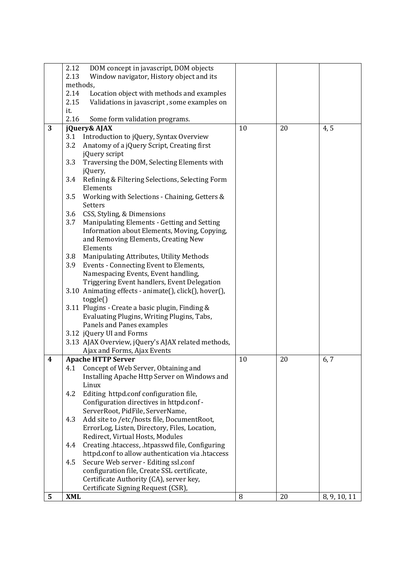| 2.13<br>Window navigator, History object and its<br>methods,<br>2.14<br>Location object with methods and examples<br>2.15<br>Validations in javascript, some examples on<br>it.<br>2.16<br>Some form validation programs.<br>3<br>10<br>20<br>4,5<br>jQuery& AJAX<br>Introduction to jQuery, Syntax Overview<br>3.1<br>3.2<br>Anatomy of a jQuery Script, Creating first<br>jQuery script<br>3.3<br>Traversing the DOM, Selecting Elements with<br>jQuery,<br>3.4<br>Refining & Filtering Selections, Selecting Form<br>Elements<br>3.5<br>Working with Selections - Chaining, Getters &<br>Setters<br>CSS, Styling, & Dimensions<br>3.6<br>3.7<br>Manipulating Elements - Getting and Setting |  |
|------------------------------------------------------------------------------------------------------------------------------------------------------------------------------------------------------------------------------------------------------------------------------------------------------------------------------------------------------------------------------------------------------------------------------------------------------------------------------------------------------------------------------------------------------------------------------------------------------------------------------------------------------------------------------------------------|--|
|                                                                                                                                                                                                                                                                                                                                                                                                                                                                                                                                                                                                                                                                                                |  |
|                                                                                                                                                                                                                                                                                                                                                                                                                                                                                                                                                                                                                                                                                                |  |
|                                                                                                                                                                                                                                                                                                                                                                                                                                                                                                                                                                                                                                                                                                |  |
|                                                                                                                                                                                                                                                                                                                                                                                                                                                                                                                                                                                                                                                                                                |  |
|                                                                                                                                                                                                                                                                                                                                                                                                                                                                                                                                                                                                                                                                                                |  |
|                                                                                                                                                                                                                                                                                                                                                                                                                                                                                                                                                                                                                                                                                                |  |
|                                                                                                                                                                                                                                                                                                                                                                                                                                                                                                                                                                                                                                                                                                |  |
|                                                                                                                                                                                                                                                                                                                                                                                                                                                                                                                                                                                                                                                                                                |  |
|                                                                                                                                                                                                                                                                                                                                                                                                                                                                                                                                                                                                                                                                                                |  |
|                                                                                                                                                                                                                                                                                                                                                                                                                                                                                                                                                                                                                                                                                                |  |
|                                                                                                                                                                                                                                                                                                                                                                                                                                                                                                                                                                                                                                                                                                |  |
|                                                                                                                                                                                                                                                                                                                                                                                                                                                                                                                                                                                                                                                                                                |  |
|                                                                                                                                                                                                                                                                                                                                                                                                                                                                                                                                                                                                                                                                                                |  |
|                                                                                                                                                                                                                                                                                                                                                                                                                                                                                                                                                                                                                                                                                                |  |
|                                                                                                                                                                                                                                                                                                                                                                                                                                                                                                                                                                                                                                                                                                |  |
|                                                                                                                                                                                                                                                                                                                                                                                                                                                                                                                                                                                                                                                                                                |  |
|                                                                                                                                                                                                                                                                                                                                                                                                                                                                                                                                                                                                                                                                                                |  |
|                                                                                                                                                                                                                                                                                                                                                                                                                                                                                                                                                                                                                                                                                                |  |
| Information about Elements, Moving, Copying,                                                                                                                                                                                                                                                                                                                                                                                                                                                                                                                                                                                                                                                   |  |
| and Removing Elements, Creating New                                                                                                                                                                                                                                                                                                                                                                                                                                                                                                                                                                                                                                                            |  |
| Elements                                                                                                                                                                                                                                                                                                                                                                                                                                                                                                                                                                                                                                                                                       |  |
| 3.8<br>Manipulating Attributes, Utility Methods                                                                                                                                                                                                                                                                                                                                                                                                                                                                                                                                                                                                                                                |  |
| Events - Connecting Event to Elements,<br>3.9                                                                                                                                                                                                                                                                                                                                                                                                                                                                                                                                                                                                                                                  |  |
| Namespacing Events, Event handling,                                                                                                                                                                                                                                                                                                                                                                                                                                                                                                                                                                                                                                                            |  |
| Triggering Event handlers, Event Delegation                                                                                                                                                                                                                                                                                                                                                                                                                                                                                                                                                                                                                                                    |  |
| 3.10 Animating effects - animate(), click(), hover(),                                                                                                                                                                                                                                                                                                                                                                                                                                                                                                                                                                                                                                          |  |
| toggle()                                                                                                                                                                                                                                                                                                                                                                                                                                                                                                                                                                                                                                                                                       |  |
| 3.11 Plugins - Create a basic plugin, Finding &                                                                                                                                                                                                                                                                                                                                                                                                                                                                                                                                                                                                                                                |  |
| Evaluating Plugins, Writing Plugins, Tabs,                                                                                                                                                                                                                                                                                                                                                                                                                                                                                                                                                                                                                                                     |  |
| Panels and Panes examples                                                                                                                                                                                                                                                                                                                                                                                                                                                                                                                                                                                                                                                                      |  |
| 3.12 jQuery UI and Forms                                                                                                                                                                                                                                                                                                                                                                                                                                                                                                                                                                                                                                                                       |  |
| 3.13 AJAX Overview, jQuery's AJAX related methods,                                                                                                                                                                                                                                                                                                                                                                                                                                                                                                                                                                                                                                             |  |
| Ajax and Forms, Ajax Events                                                                                                                                                                                                                                                                                                                                                                                                                                                                                                                                                                                                                                                                    |  |
| <b>Apache HTTP Server</b><br>10<br>20<br>6,7<br>4                                                                                                                                                                                                                                                                                                                                                                                                                                                                                                                                                                                                                                              |  |
| 4.1 Concept of Web Server, Obtaining and                                                                                                                                                                                                                                                                                                                                                                                                                                                                                                                                                                                                                                                       |  |
| Installing Apache Http Server on Windows and                                                                                                                                                                                                                                                                                                                                                                                                                                                                                                                                                                                                                                                   |  |
| Linux                                                                                                                                                                                                                                                                                                                                                                                                                                                                                                                                                                                                                                                                                          |  |
| Editing httpd.conf configuration file,<br>4.2                                                                                                                                                                                                                                                                                                                                                                                                                                                                                                                                                                                                                                                  |  |
| Configuration directives in httpd.conf -                                                                                                                                                                                                                                                                                                                                                                                                                                                                                                                                                                                                                                                       |  |
| ServerRoot, PidFile, ServerName,                                                                                                                                                                                                                                                                                                                                                                                                                                                                                                                                                                                                                                                               |  |
| 4.3<br>Add site to /etc/hosts file, DocumentRoot,                                                                                                                                                                                                                                                                                                                                                                                                                                                                                                                                                                                                                                              |  |
| ErrorLog, Listen, Directory, Files, Location,                                                                                                                                                                                                                                                                                                                                                                                                                                                                                                                                                                                                                                                  |  |
| Redirect, Virtual Hosts, Modules                                                                                                                                                                                                                                                                                                                                                                                                                                                                                                                                                                                                                                                               |  |
| Creating .htaccess, .htpasswd file, Configuring<br>4.4                                                                                                                                                                                                                                                                                                                                                                                                                                                                                                                                                                                                                                         |  |
| httpd.conf to allow authentication via .htaccess                                                                                                                                                                                                                                                                                                                                                                                                                                                                                                                                                                                                                                               |  |
| Secure Web server - Editing ssl.conf<br>4.5                                                                                                                                                                                                                                                                                                                                                                                                                                                                                                                                                                                                                                                    |  |
| configuration file, Create SSL certificate,                                                                                                                                                                                                                                                                                                                                                                                                                                                                                                                                                                                                                                                    |  |
| Certificate Authority (CA), server key,                                                                                                                                                                                                                                                                                                                                                                                                                                                                                                                                                                                                                                                        |  |
| Certificate Signing Request (CSR),                                                                                                                                                                                                                                                                                                                                                                                                                                                                                                                                                                                                                                                             |  |
| 5<br><b>XML</b><br>8<br>20<br>8, 9, 10, 11                                                                                                                                                                                                                                                                                                                                                                                                                                                                                                                                                                                                                                                     |  |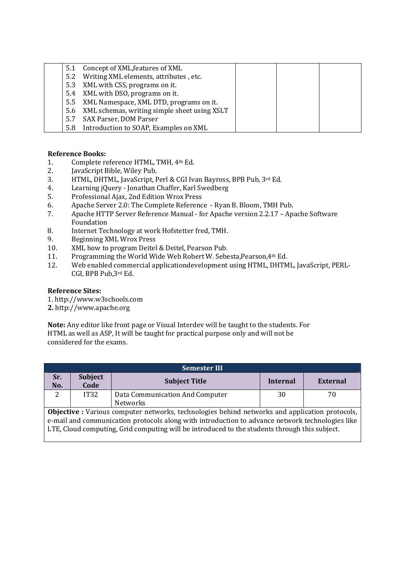| 5.1 | Concept of XML, features of XML                  |  |  |
|-----|--------------------------------------------------|--|--|
| 5.2 | Writing XML elements, attributes, etc.           |  |  |
|     | 5.3 XML with CSS, programs on it.                |  |  |
|     | 5.4 XML with DSO, programs on it.                |  |  |
|     | 5.5 XML Namespace, XML DTD, programs on it.      |  |  |
|     | 5.6 XML schemas, writing simple sheet using XSLT |  |  |
| 5.7 | SAX Parser, DOM Parser                           |  |  |
| 5.8 | Introduction to SOAP, Examples on XML            |  |  |

# **Reference Books:**

- 1. Complete reference HTML, TMH, 4th Ed.
- 2. JavaScript Bible, Wiley Pub.
- 3. HTML, DHTML, JavaScript, Perl & CGI Ivan Bayross, BPB Pub, 3rd Ed.
- 4. Learning jQuery Jonathan Chaffer, Karl Swedberg
- 5. Professional Ajax, 2nd Edition Wrox Press
- 6. Apache Server 2.0: The Complete Reference Ryan B. Bloom, TMH Pub.
- 7. Apache HTTP Server Reference Manual for Apache version 2.2.17 Apache Software Foundation
- 8. Internet Technology at work Hofstetter fred, TMH.
- 9. Beginning XML Wrox Press
- 10. XML how to program Deitel & Deitel, Pearson Pub.
- 11. Programming the World Wide Web Robert W. Sebesta,Pearson,4th Ed.
- 12. Web enabled commercial applicationdevelopment using HTML, DHTML, JavaScript, PERL-CGI, BPB Pub,3rd Ed.

### **Reference Sites:**

1. http://www.w3schools.com

**2.** http://www.apache.org

**Note:** Any editor like front page or Visual Interdev will be taught to the students. For HTML as well as ASP, It will be taught for practical purpose only and will not be considered for the exams.

| <b>Semester III</b>                                                                                   |                                                                                               |                                 |                 |                 |  |  |
|-------------------------------------------------------------------------------------------------------|-----------------------------------------------------------------------------------------------|---------------------------------|-----------------|-----------------|--|--|
| Sr.<br>No.                                                                                            | <b>Subject</b><br>Code                                                                        | <b>Subject Title</b>            | <b>Internal</b> | <b>External</b> |  |  |
| 2                                                                                                     | IT32                                                                                          | Data Communication And Computer | 30              | 70              |  |  |
|                                                                                                       |                                                                                               | Networks                        |                 |                 |  |  |
| <b>Objective</b> : Various computer networks, technologies behind networks and application protocols, |                                                                                               |                                 |                 |                 |  |  |
| e-mail and communication protocols along with introduction to advance network technologies like       |                                                                                               |                                 |                 |                 |  |  |
|                                                                                                       | LTE, Cloud computing, Grid computing will be introduced to the students through this subject. |                                 |                 |                 |  |  |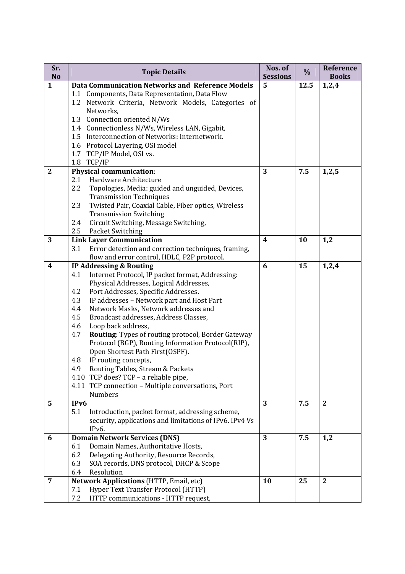| Sr.                       | <b>Topic Details</b>                                                                      | Nos. of              | $\%$ | Reference             |
|---------------------------|-------------------------------------------------------------------------------------------|----------------------|------|-----------------------|
| <b>No</b><br>$\mathbf{1}$ | <b>Data Communication Networks and Reference Models</b>                                   | <b>Sessions</b><br>5 | 12.5 | <b>Books</b><br>1,2,4 |
|                           | 1.1 Components, Data Representation, Data Flow                                            |                      |      |                       |
|                           | 1.2 Network Criteria, Network Models, Categories of                                       |                      |      |                       |
|                           | Networks,                                                                                 |                      |      |                       |
|                           | 1.3 Connection oriented N/Ws                                                              |                      |      |                       |
|                           | 1.4 Connectionless N/Ws, Wireless LAN, Gigabit,                                           |                      |      |                       |
|                           | 1.5 Interconnection of Networks: Internetwork.                                            |                      |      |                       |
|                           | 1.6 Protocol Layering, OSI model                                                          |                      |      |                       |
|                           | 1.7 TCP/IP Model, OSI vs.                                                                 |                      |      |                       |
|                           | 1.8 TCP/IP                                                                                |                      |      |                       |
| $\mathbf{2}$              | <b>Physical communication:</b>                                                            | 3                    | 7.5  | 1,2,5                 |
|                           | 2.1<br>Hardware Architecture                                                              |                      |      |                       |
|                           | 2.2<br>Topologies, Media: guided and unguided, Devices,                                   |                      |      |                       |
|                           | <b>Transmission Techniques</b>                                                            |                      |      |                       |
|                           | Twisted Pair, Coaxial Cable, Fiber optics, Wireless<br>2.3                                |                      |      |                       |
|                           | <b>Transmission Switching</b>                                                             |                      |      |                       |
|                           | Circuit Switching, Message Switching,<br>2.4                                              |                      |      |                       |
|                           | <b>Packet Switching</b><br>2.5                                                            |                      |      |                       |
| 3                         | <b>Link Layer Communication</b>                                                           | $\boldsymbol{4}$     | 10   | 1,2                   |
|                           | 3.1<br>Error detection and correction techniques, framing,                                |                      |      |                       |
|                           | flow and error control, HDLC, P2P protocol.                                               | 6                    | 15   |                       |
| $\boldsymbol{4}$          | IP Addressing & Routing<br>4.1<br>Internet Protocol, IP packet format, Addressing:        |                      |      | 1,2,4                 |
|                           | Physical Addresses, Logical Addresses,                                                    |                      |      |                       |
|                           | Port Addresses, Specific Addresses.<br>4.2                                                |                      |      |                       |
|                           | 4.3<br>IP addresses - Network part and Host Part                                          |                      |      |                       |
|                           | Network Masks, Network addresses and<br>4.4                                               |                      |      |                       |
|                           | 4.5<br>Broadcast addresses, Address Classes,                                              |                      |      |                       |
|                           | 4.6<br>Loop back address,                                                                 |                      |      |                       |
|                           | <b>Routing:</b> Types of routing protocol, Border Gateway<br>4.7                          |                      |      |                       |
|                           | Protocol (BGP), Routing Information Protocol(RIP),                                        |                      |      |                       |
|                           | Open Shortest Path First(OSPF).                                                           |                      |      |                       |
|                           | IP routing concepts,<br>4.8                                                               |                      |      |                       |
|                           | 4.9 Routing Tables, Stream & Packets                                                      |                      |      |                       |
|                           | 4.10 TCP does? TCP - a reliable pipe,                                                     |                      |      |                       |
|                           | 4.11 TCP connection - Multiple conversations, Port                                        |                      |      |                       |
|                           | <b>Numbers</b>                                                                            |                      |      |                       |
| 5                         | IPv6                                                                                      | 3                    | 7.5  | $\mathbf{2}$          |
|                           | 5.1<br>Introduction, packet format, addressing scheme,                                    |                      |      |                       |
|                           | security, applications and limitations of IPv6. IPv4 Vs                                   |                      |      |                       |
|                           | IPv6.                                                                                     |                      |      |                       |
| 6                         | <b>Domain Network Services (DNS)</b><br>Domain Names, Authoritative Hosts,<br>6.1         | 3                    | 7.5  | 1,2                   |
|                           | 6.2                                                                                       |                      |      |                       |
|                           | Delegating Authority, Resource Records,<br>6.3<br>SOA records, DNS protocol, DHCP & Scope |                      |      |                       |
|                           | 6.4<br>Resolution                                                                         |                      |      |                       |
| 7                         | Network Applications (HTTP, Email, etc)                                                   | 10                   | 25   | $\boldsymbol{2}$      |
|                           | Hyper Text Transfer Protocol (HTTP)<br>7.1                                                |                      |      |                       |
|                           | 7.2<br>HTTP communications - HTTP request,                                                |                      |      |                       |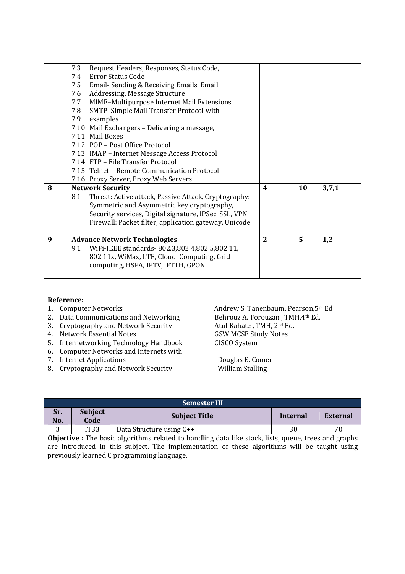|   | 7.3 | Request Headers, Responses, Status Code,               |                |    |       |
|---|-----|--------------------------------------------------------|----------------|----|-------|
|   | 7.4 | Error Status Code                                      |                |    |       |
|   | 7.5 | Email- Sending & Receiving Emails, Email               |                |    |       |
|   | 7.6 | Addressing, Message Structure                          |                |    |       |
|   | 7.7 | MIME-Multipurpose Internet Mail Extensions             |                |    |       |
|   | 7.8 | SMTP-Simple Mail Transfer Protocol with                |                |    |       |
|   | 7.9 | examples                                               |                |    |       |
|   |     | 7.10 Mail Exchangers - Delivering a message,           |                |    |       |
|   |     | 7.11 Mail Boxes                                        |                |    |       |
|   |     | 7.12 POP – Post Office Protocol                        |                |    |       |
|   |     | 7.13 IMAP - Internet Message Access Protocol           |                |    |       |
|   |     | 7.14 FTP - File Transfer Protocol                      |                |    |       |
|   |     | 7.15 Telnet - Remote Communication Protocol            |                |    |       |
|   |     | 7.16 Proxy Server, Proxy Web Servers                   |                |    |       |
| 8 |     | <b>Network Security</b>                                | 4              | 10 | 3,7,1 |
|   | 8.1 | Threat: Active attack, Passive Attack, Cryptography:   |                |    |       |
|   |     | Symmetric and Asymmetric key cryptography,             |                |    |       |
|   |     | Security services, Digital signature, IPSec, SSL, VPN, |                |    |       |
|   |     | Firewall: Packet filter, application gateway, Unicode. |                |    |       |
|   |     |                                                        |                |    |       |
| 9 |     | <b>Advance Network Technologies</b>                    | $\overline{2}$ | 5  | 1,2   |
|   | 9.1 | WiFi-IEEE standards-802.3,802.4,802.5,802.11,          |                |    |       |
|   |     | 802.11x, WiMax, LTE, Cloud Computing, Grid             |                |    |       |
|   |     | computing, HSPA, IPTV, FTTH, GPON                      |                |    |       |
|   |     |                                                        |                |    |       |

- **Reference:**
- 
- 
- 4. Network Essential Notes
- 5. Internetworking Technology Handbook CISCO System
- 6. Computer Networks and Internets with
- 
- 7. Internet Applications<br>
8. Cryptography and Network Security Milliam Stalling<br>
Douglas E. Comer 8. Cryptography and Network Security

Andrew S. Tanenbaum, Pearson,5<sup>th</sup> Ed<br>Behrouz A. Forouzan, TMH,4<sup>th</sup> Ed. 2. Data Communications and Networking Behrouz A. Forouzan , TMI 3. Cryptography and Network Security Atul Kahate , TMH,  $2^{nd}$  Ed. 3. Cryptography and Network Security **Atul Kahate , TMH, 2<sup>nd</sup> Eq. 3. Atul Kahate 2.** TMH, 2<sup>nd</sup> Eq. 3. Atul Kahate , TMH, 2<sup>nd</sup> Eq. 3. Atul Kahate , TMH, 2<sup>nd</sup> Eq. 3. Atul Kahate , TMH, 2<sup>nd</sup> Eq. 3. Atul Kahate , TMH, 2<sup>n</sup>

| <b>Semester III</b>                                                                         |                                                                                                             |                          |          |                 |  |  |
|---------------------------------------------------------------------------------------------|-------------------------------------------------------------------------------------------------------------|--------------------------|----------|-----------------|--|--|
| Sr.                                                                                         | Subject                                                                                                     | <b>Subject Title</b>     | Internal | <b>External</b> |  |  |
| No.                                                                                         | Code                                                                                                        |                          |          |                 |  |  |
| 3                                                                                           | IT <sub>33</sub>                                                                                            | Data Structure using C++ | 30       | 70              |  |  |
|                                                                                             | <b>Objective</b> : The basic algorithms related to handling data like stack, lists, queue, trees and graphs |                          |          |                 |  |  |
| are introduced in this subject. The implementation of these algorithms will be taught using |                                                                                                             |                          |          |                 |  |  |
|                                                                                             | previously learned C programming language.                                                                  |                          |          |                 |  |  |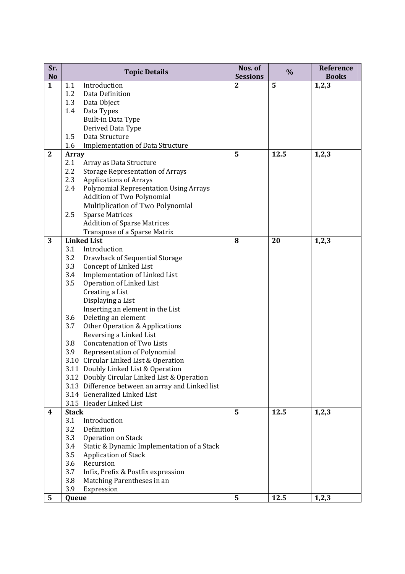| Sr.<br><b>No</b> |              | <b>Topic Details</b>                                         | Nos. of<br><b>Sessions</b> | %    | Reference<br><b>Books</b> |
|------------------|--------------|--------------------------------------------------------------|----------------------------|------|---------------------------|
| $\mathbf{1}$     | 1.1          | Introduction                                                 | $\mathbf{2}$               | 5    | 1,2,3                     |
|                  | 1.2          | Data Definition                                              |                            |      |                           |
|                  | 1.3          | Data Object                                                  |                            |      |                           |
|                  | 1.4          | Data Types                                                   |                            |      |                           |
|                  |              | Built-in Data Type                                           |                            |      |                           |
|                  |              | Derived Data Type                                            |                            |      |                           |
|                  | 1.5          | Data Structure                                               |                            |      |                           |
|                  | 1.6          | <b>Implementation of Data Structure</b>                      |                            |      |                           |
| $\mathbf{2}$     | <b>Array</b> |                                                              | 5                          | 12.5 | 1,2,3                     |
|                  | 2.1          | Array as Data Structure                                      |                            |      |                           |
|                  | 2.2          | <b>Storage Representation of Arrays</b>                      |                            |      |                           |
|                  | 2.3          | <b>Applications of Arrays</b>                                |                            |      |                           |
|                  | 2.4          | <b>Polynomial Representation Using Arrays</b>                |                            |      |                           |
|                  |              | Addition of Two Polynomial                                   |                            |      |                           |
|                  |              | Multiplication of Two Polynomial                             |                            |      |                           |
|                  | 2.5          | <b>Sparse Matrices</b>                                       |                            |      |                           |
|                  |              | <b>Addition of Sparse Matrices</b>                           |                            |      |                           |
|                  |              | Transpose of a Sparse Matrix                                 |                            |      |                           |
| 3                |              | <b>Linked List</b>                                           | 8                          | 20   | 1,2,3                     |
|                  | 3.1          | Introduction                                                 |                            |      |                           |
|                  | 3.2          | Drawback of Sequential Storage                               |                            |      |                           |
|                  | 3.3          | Concept of Linked List                                       |                            |      |                           |
|                  | 3.4          | Implementation of Linked List                                |                            |      |                           |
|                  | 3.5          | Operation of Linked List                                     |                            |      |                           |
|                  |              | Creating a List                                              |                            |      |                           |
|                  |              | Displaying a List                                            |                            |      |                           |
|                  |              | Inserting an element in the List                             |                            |      |                           |
|                  | 3.6          | Deleting an element                                          |                            |      |                           |
|                  | 3.7          | Other Operation & Applications                               |                            |      |                           |
|                  | 3.8          | Reversing a Linked List<br><b>Concatenation of Two Lists</b> |                            |      |                           |
|                  | 3.9          | Representation of Polynomial                                 |                            |      |                           |
|                  |              | 3.10 Circular Linked List & Operation                        |                            |      |                           |
|                  |              | 3.11 Doubly Linked List & Operation                          |                            |      |                           |
|                  |              | 3.12 Doubly Circular Linked List & Operation                 |                            |      |                           |
|                  |              | 3.13 Difference between an array and Linked list             |                            |      |                           |
|                  |              | 3.14 Generalized Linked List                                 |                            |      |                           |
|                  |              | 3.15 Header Linked List                                      |                            |      |                           |
| 4                | <b>Stack</b> |                                                              | 5                          | 12.5 | 1,2,3                     |
|                  | 3.1          | Introduction                                                 |                            |      |                           |
|                  | 3.2          | Definition                                                   |                            |      |                           |
|                  | 3.3          | Operation on Stack                                           |                            |      |                           |
|                  | 3.4          | Static & Dynamic Implementation of a Stack                   |                            |      |                           |
|                  | 3.5          | Application of Stack                                         |                            |      |                           |
|                  | 3.6          | Recursion                                                    |                            |      |                           |
|                  | 3.7          | Infix, Prefix & Postfix expression                           |                            |      |                           |
|                  | 3.8          | Matching Parentheses in an                                   |                            |      |                           |
|                  | 3.9          | Expression                                                   |                            |      |                           |
| 5                | Queue        |                                                              | 5                          | 12.5 | 1,2,3                     |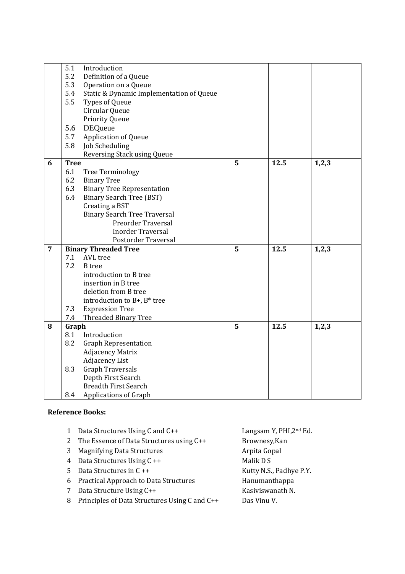|                | 5.1         | Introduction                             |   |      |       |
|----------------|-------------|------------------------------------------|---|------|-------|
|                | 5.2         | Definition of a Queue                    |   |      |       |
|                | 5.3         | Operation on a Queue                     |   |      |       |
|                | 5.4         | Static & Dynamic Implementation of Queue |   |      |       |
|                | 5.5         | Types of Queue                           |   |      |       |
|                |             | Circular Queue                           |   |      |       |
|                |             | <b>Priority Queue</b>                    |   |      |       |
|                | 5.6         | <b>DEQueue</b>                           |   |      |       |
|                | 5.7         | <b>Application of Queue</b>              |   |      |       |
|                | 5.8         | Job Scheduling                           |   |      |       |
|                |             | Reversing Stack using Queue              |   |      |       |
| 6              | <b>Tree</b> |                                          | 5 | 12.5 | 1,2,3 |
|                | 6.1         | Tree Terminology                         |   |      |       |
|                | 6.2         | <b>Binary Tree</b>                       |   |      |       |
|                | 6.3         | <b>Binary Tree Representation</b>        |   |      |       |
|                | 6.4         | <b>Binary Search Tree (BST)</b>          |   |      |       |
|                |             | Creating a BST                           |   |      |       |
|                |             | <b>Binary Search Tree Traversal</b>      |   |      |       |
|                |             | Preorder Traversal                       |   |      |       |
|                |             | <b>Inorder Traversal</b>                 |   |      |       |
|                |             | Postorder Traversal                      |   |      |       |
| $\overline{7}$ |             | <b>Binary Threaded Tree</b>              | 5 | 12.5 | 1,2,3 |
|                | 7.1         | AVL tree                                 |   |      |       |
|                | 7.2         | <b>B</b> tree                            |   |      |       |
|                |             | introduction to B tree                   |   |      |       |
|                |             | insertion in B tree                      |   |      |       |
|                |             | deletion from B tree                     |   |      |       |
|                |             | introduction to B+, B* tree              |   |      |       |
|                | 7.3         | <b>Expression Tree</b>                   |   |      |       |
|                | 7.4         | Threaded Binary Tree                     |   |      |       |
| 8              | Graph       |                                          | 5 | 12.5 | 1,2,3 |
|                | 8.1         | Introduction                             |   |      |       |
|                | 8.2         | <b>Graph Representation</b>              |   |      |       |
|                |             | <b>Adjacency Matrix</b>                  |   |      |       |
|                |             | <b>Adjacency List</b>                    |   |      |       |
|                | 8.3         | <b>Graph Traversals</b>                  |   |      |       |
|                |             | Depth First Search                       |   |      |       |
|                |             | <b>Breadth First Search</b>              |   |      |       |
|                | 8.4         | Applications of Graph                    |   |      |       |

## **Reference Books:**

| 1 | Data Structures Using C and C++                 | Langsam Y, PHI, 2nd Ed. |
|---|-------------------------------------------------|-------------------------|
|   | 2 The Essence of Data Structures using C++      | Brownesy, Kan           |
| 3 | <b>Magnifying Data Structures</b>               | Arpita Gopal            |
|   | 4 Data Structures Using C ++                    | Malik D S               |
|   | 5 Data Structures in $C_{++}$                   | Kutty N.S., Padhye P.Y. |
|   | 6 Practical Approach to Data Structures         | Hanumanthappa           |
| 7 | Data Structure Using C++                        | Kasiviswanath N.        |
|   | 8 Principles of Data Structures Using C and C++ | Das Vinu V.             |
|   |                                                 |                         |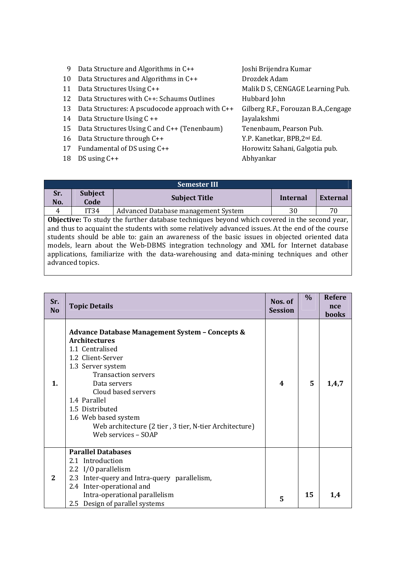| 9  | Data Structure and Algorithms in C++            | Joshi Brijendra Kumar                   |
|----|-------------------------------------------------|-----------------------------------------|
| 10 | Data Structures and Algorithms in C++           | Drozdek Adam                            |
| 11 | Data Structures Using C++                       | Malik D S, CENGAGE Learning Pub.        |
| 12 | Data Structures with C++: Schaums Outlines      | Hubbard John                            |
| 13 | Data Structures: A pscudocode approach with C++ | Gilberg R.F., Forouzan B.A., Cengage    |
| 14 | Data Structure Using C ++                       | Jayalakshmi                             |
| 15 | Data Structures Using C and C++ (Tenenbaum)     | Tenenbaum, Pearson Pub.                 |
| 16 | Data Structure through C++                      | Y.P. Kanetkar, BPB, 2 <sup>nd</sup> Ed. |
| 17 | Fundamental of DS using $C++$                   | Horowitz Sahani, Galgotia pub.          |
| 18 | DS using $C++$                                  | Abhyankar                               |
|    |                                                 |                                         |

| <b>Semester III</b>                                          |                  |                                                                                                                                                                                                                                                                                                                                                                                                                                                                                             |          |    |  |  |
|--------------------------------------------------------------|------------------|---------------------------------------------------------------------------------------------------------------------------------------------------------------------------------------------------------------------------------------------------------------------------------------------------------------------------------------------------------------------------------------------------------------------------------------------------------------------------------------------|----------|----|--|--|
| <b>Subject</b><br>Sr.<br><b>Subject Title</b><br>No.<br>Code |                  | Internal                                                                                                                                                                                                                                                                                                                                                                                                                                                                                    | External |    |  |  |
| 4                                                            | IT34             | Advanced Database management System                                                                                                                                                                                                                                                                                                                                                                                                                                                         | 30       | 70 |  |  |
|                                                              | advanced topics. | <b>Objective:</b> To study the further database techniques beyond which covered in the second year,<br>and thus to acquaint the students with some relatively advanced issues. At the end of the course<br>students should be able to: gain an awareness of the basic issues in objected oriented data<br>models, learn about the Web-DBMS integration technology and XML for Internet database<br>applications, familiarize with the data-warehousing and data-mining techniques and other |          |    |  |  |

| Sr.<br>N <sub>0</sub> | <b>Topic Details</b>                                                                                                                                                                                                                                                                                                                                             | Nos. of<br><b>Session</b> | $\%$ | <b>Refere</b><br>nce<br>books |
|-----------------------|------------------------------------------------------------------------------------------------------------------------------------------------------------------------------------------------------------------------------------------------------------------------------------------------------------------------------------------------------------------|---------------------------|------|-------------------------------|
| $\mathbf{1}$ .        | <b>Advance Database Management System - Concepts &amp;</b><br><b>Architectures</b><br>1.1 Centralised<br>1.2 Client-Server<br>1.3 Server system<br><b>Transaction servers</b><br>Data servers<br>Cloud based servers<br>1.4 Parallel<br>1.5 Distributed<br>1.6 Web based system<br>Web architecture (2 tier, 3 tier, N-tier Architecture)<br>Web services - SOAP | 4                         | 5    | 1,4,7                         |
| 2                     | <b>Parallel Databases</b><br>2.1 Introduction<br>2.2 I/O parallelism<br>2.3 Inter-query and Intra-query parallelism,<br>2.4 Inter-operational and<br>Intra-operational parallelism<br>2.5 Design of parallel systems                                                                                                                                             | 5                         | 15   | 1,4                           |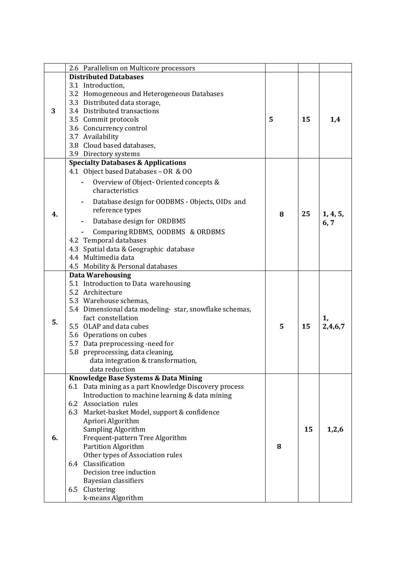|    | 2.6 Parallelism on Multicore processors                 |   |    |          |
|----|---------------------------------------------------------|---|----|----------|
| 3  | <b>Distributed Databases</b>                            |   |    |          |
|    | 3.1 Introduction,                                       |   |    |          |
|    | 3.2 Homogeneous and Heterogeneous Databases             |   |    |          |
|    | 3.3 Distributed data storage,                           |   |    |          |
|    | 3.4 Distributed transactions                            |   |    |          |
|    | 3.5 Commit protocols                                    | 5 | 15 | 1,4      |
|    | 3.6 Concurrency control                                 |   |    |          |
|    | 3.7 Availability                                        |   |    |          |
|    | 3.8 Cloud based databases,                              |   |    |          |
|    | 3.9 Directory systems                                   |   |    |          |
|    | <b>Specialty Databases &amp; Applications</b>           |   |    |          |
|    | 4.1 Object based Databases - OR & OO                    |   |    |          |
|    | Overview of Object-Oriented concepts &                  |   |    |          |
|    | characteristics                                         |   |    |          |
|    | Database design for OODBMS - Objects, OIDs and          |   |    |          |
|    | reference types                                         |   | 25 | 1, 4, 5, |
| 4. | Database design for ORDBMS                              | 8 |    | 6, 7     |
|    | Comparing RDBMS, OODBMS & ORDBMS                        |   |    |          |
|    | 4.2 Temporal databases                                  |   |    |          |
|    | 4.3 Spatial data & Geographic database                  |   |    |          |
|    | 4.4 Multimedia data                                     |   |    |          |
|    | 4.5 Mobility & Personal databases                       |   |    |          |
|    | <b>Data Warehousing</b>                                 |   |    |          |
|    | 5.1 Introduction to Data warehousing                    |   |    |          |
|    | 5.2 Architecture                                        |   |    |          |
|    | 5.3 Warehouse schemas,                                  |   |    |          |
|    | 5.4 Dimensional data modeling- star, snowflake schemas, |   |    |          |
|    | fact constellation                                      |   |    | 1,       |
| 5. | 5.5 OLAP and data cubes                                 | 5 | 15 | 2,4,6,7  |
|    | 5.6 Operations on cubes                                 |   |    |          |
|    | 5.7 Data preprocessing -need for                        |   |    |          |
|    | 5.8 preprocessing, data cleaning,                       |   |    |          |
|    | data integration & transformation,                      |   |    |          |
|    | data reduction                                          |   |    |          |
|    | Knowledge Base Systems & Data Mining                    |   |    |          |
|    | 6.1 Data mining as a part Knowledge Discovery process   |   |    |          |
|    | Introduction to machine learning & data mining          |   |    |          |
|    | 6.2 Association rules                                   |   |    |          |
|    | 6.3 Market-basket Model, support & confidence           |   |    |          |
|    | Apriori Algorithm                                       |   |    |          |
|    | Sampling Algorithm                                      |   | 15 | 1,2,6    |
| 6. | Frequent-pattern Tree Algorithm                         |   |    |          |
|    | <b>Partition Algorithm</b>                              | 8 |    |          |
|    | Other types of Association rules                        |   |    |          |
|    | 6.4 Classification                                      |   |    |          |
|    | Decision tree induction                                 |   |    |          |
|    | Bayesian classifiers                                    |   |    |          |
|    | Clustering<br>6.5                                       |   |    |          |
|    | k-means Algorithm                                       |   |    |          |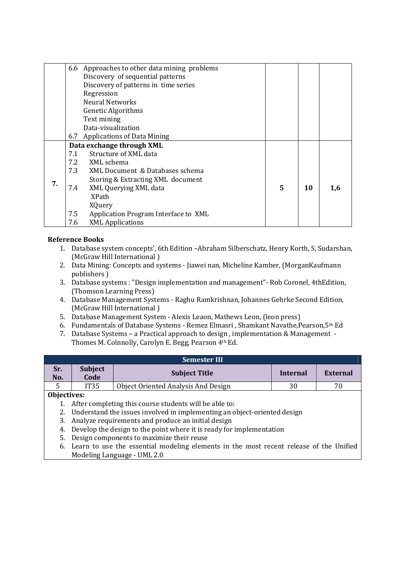|    | 6.6 Approaches to other data mining problems |                                      |   |    |     |
|----|----------------------------------------------|--------------------------------------|---|----|-----|
|    |                                              | Discovery of sequential patterns     |   |    |     |
|    | Discovery of patterns in time series         |                                      |   |    |     |
|    |                                              | Regression                           |   |    |     |
|    |                                              | Neural Networks                      |   |    |     |
|    |                                              | <b>Genetic Algorithms</b>            |   |    |     |
|    |                                              | Text mining                          |   |    |     |
|    |                                              | Data-visualization                   |   |    |     |
|    | 6.7                                          | <b>Applications of Data Mining</b>   |   |    |     |
|    | Data exchange through XML                    |                                      |   |    |     |
|    | 7.1                                          | Structure of XML data                |   |    |     |
|    | 7.2                                          | XML schema                           |   |    |     |
|    | 7.3                                          | XML Document & Databases schema      |   |    |     |
| 7. |                                              | Storing & Extracting XML document    |   |    |     |
|    | 7.4                                          | XML Querying XML data                | 5 | 10 | 1,6 |
|    |                                              | XPath                                |   |    |     |
|    |                                              | XQuery                               |   |    |     |
|    | 7.5                                          | Application Program Interface to XML |   |    |     |
|    | 7.6                                          | <b>XML Applications</b>              |   |    |     |

# **Reference Books**

- 1. Database system concepts', 6th Edition –Abraham Silberschatz, Henry Korth, S, Sudarshan, (McGraw Hill International )
- 2. Data Mining: Concepts and systems Jiawei nan, Micheline Kamber, (MorganKaufmann publishers )
- 3. Database systems : "Design implementation and management"- Rob Coronel, 4thEdition, (Thomson Learning Press)
- 4. Database Management Systems Raghu Ramkrishnan, Johannes Gehrke Second Edition, (McGraw Hill International )
- 5. Database Management System Alexis Leaon, Mathews Leon, (leon press)
- 6. Fundamentals of Database Systems Remez Elmasri , Shamkant Navathe,Pearson,5th Ed
- 7. Database Systems a Practical approach to design , implementation & Management Thomes M. Colnnolly, Carolyn E. Begg, Pearson 4th Ed.

|            | <b>Semester III</b>                                                   |                                     |          |                 |  |  |
|------------|-----------------------------------------------------------------------|-------------------------------------|----------|-----------------|--|--|
| Sr.<br>No. | <b>Subject</b><br>Code                                                | <b>Subject Title</b>                | Internal | <b>External</b> |  |  |
|            | IT <sub>35</sub>                                                      | Object Oriented Analysis And Design | 30       | 70              |  |  |
|            | Objectives:<br>After completing this course students will be able to: |                                     |          |                 |  |  |

- 2. Understand the issues involved in implementing an object-oriented design
- 3. Analyze requirements and produce an initial design
- 4. Develop the design to the point where it is ready for implementation
- 5. Design components to maximize their reuse
- 6. Learn to use the essential modeling elements in the most recent release of the Unified Modeling Language - UML 2.0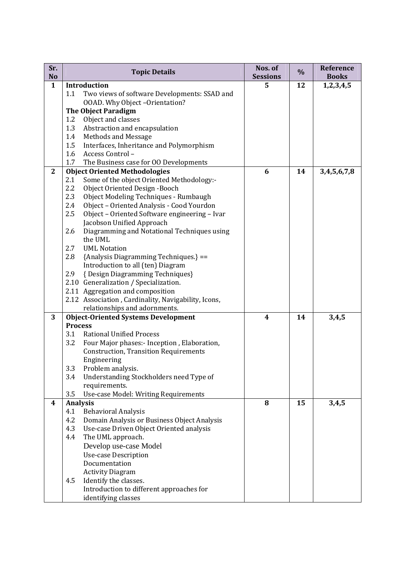| Sr.<br>N <sub>o</sub> | <b>Topic Details</b>                                                                     | Nos. of<br><b>Sessions</b> | $\%$ | Reference<br><b>Books</b> |
|-----------------------|------------------------------------------------------------------------------------------|----------------------------|------|---------------------------|
| $\mathbf{1}$          | <b>Introduction</b>                                                                      | 5                          | 12   | 1, 2, 3, 4, 5             |
|                       | 1.1<br>Two views of software Developments: SSAD and                                      |                            |      |                           |
|                       | OOAD. Why Object -Orientation?                                                           |                            |      |                           |
|                       | <b>The Object Paradigm</b>                                                               |                            |      |                           |
|                       | 1.2<br>Object and classes                                                                |                            |      |                           |
|                       | 1.3<br>Abstraction and encapsulation                                                     |                            |      |                           |
|                       | Methods and Message<br>1.4                                                               |                            |      |                           |
|                       | Interfaces, Inheritance and Polymorphism<br>1.5                                          |                            |      |                           |
|                       | Access Control-<br>1.6                                                                   |                            |      |                           |
| $\mathbf{2}$          | The Business case for OO Developments<br>1.7                                             | 6                          |      |                           |
|                       | <b>Object Oriented Methodologies</b><br>Some of the object Oriented Methodology:-<br>2.1 |                            | 14   | 3,4,5,6,7,8               |
|                       | 2.2<br>Object Oriented Design -Booch                                                     |                            |      |                           |
|                       | 2.3<br>Object Modeling Techniques - Rumbaugh                                             |                            |      |                           |
|                       | Object - Oriented Analysis - Cood Yourdon<br>2.4                                         |                            |      |                           |
|                       | 2.5<br>Object - Oriented Software engineering - Ivar                                     |                            |      |                           |
|                       | Jacobson Unified Approach                                                                |                            |      |                           |
|                       | 2.6<br>Diagramming and Notational Techniques using                                       |                            |      |                           |
|                       | the UML                                                                                  |                            |      |                           |
|                       | 2.7<br><b>UML Notation</b>                                                               |                            |      |                           |
|                       | 2.8<br>{Analysis Diagramming Techniques.} ==                                             |                            |      |                           |
|                       | Introduction to all (ten) Diagram                                                        |                            |      |                           |
|                       | 2.9<br>{Design Diagramming Techniques}                                                   |                            |      |                           |
|                       | 2.10 Generalization / Specialization.                                                    |                            |      |                           |
|                       | 2.11 Aggregation and composition                                                         |                            |      |                           |
|                       | 2.12 Association, Cardinality, Navigability, Icons,                                      |                            |      |                           |
|                       | relationships and adornments.                                                            |                            |      |                           |
| 3                     | <b>Object-Oriented Systems Development</b>                                               | $\boldsymbol{4}$           | 14   | 3,4,5                     |
|                       | <b>Process</b>                                                                           |                            |      |                           |
|                       | <b>Rational Unified Process</b><br>3.1                                                   |                            |      |                           |
|                       | Four Major phases: - Inception, Elaboration,<br>3.2                                      |                            |      |                           |
|                       | <b>Construction, Transition Requirements</b>                                             |                            |      |                           |
|                       | Engineering<br>3.3<br>Problem analysis.                                                  |                            |      |                           |
|                       | Understanding Stockholders need Type of<br>3.4                                           |                            |      |                           |
|                       | requirements.                                                                            |                            |      |                           |
|                       | 3.5<br>Use-case Model: Writing Requirements                                              |                            |      |                           |
| 4                     | <b>Analysis</b>                                                                          | 8                          | 15   | 3,4,5                     |
|                       | <b>Behavioral Analysis</b><br>4.1                                                        |                            |      |                           |
|                       | Domain Analysis or Business Object Analysis<br>4.2                                       |                            |      |                           |
|                       | 4.3<br>Use-case Driven Object Oriented analysis                                          |                            |      |                           |
|                       | 4.4<br>The UML approach.                                                                 |                            |      |                           |
|                       | Develop use-case Model                                                                   |                            |      |                           |
|                       | <b>Use-case Description</b>                                                              |                            |      |                           |
|                       | Documentation                                                                            |                            |      |                           |
|                       | <b>Activity Diagram</b>                                                                  |                            |      |                           |
|                       | 4.5<br>Identify the classes.                                                             |                            |      |                           |
|                       | Introduction to different approaches for                                                 |                            |      |                           |
|                       | identifying classes                                                                      |                            |      |                           |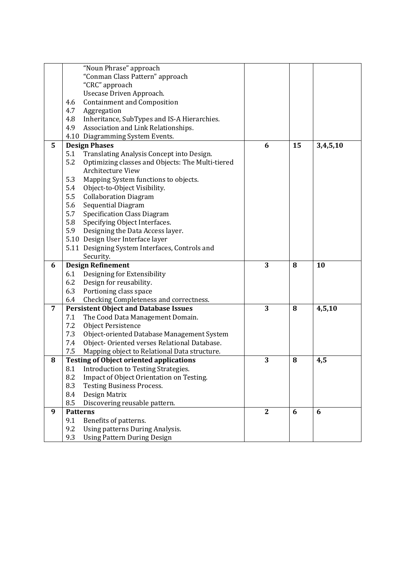|                | "Noun Phrase" approach                                                              |                |    |          |
|----------------|-------------------------------------------------------------------------------------|----------------|----|----------|
|                | "Conman Class Pattern" approach                                                     |                |    |          |
|                | "CRC" approach                                                                      |                |    |          |
|                | Usecase Driven Approach.                                                            |                |    |          |
|                | <b>Containment and Composition</b><br>4.6                                           |                |    |          |
|                | Aggregation<br>4.7                                                                  |                |    |          |
|                | Inheritance, SubTypes and IS-A Hierarchies.<br>4.8                                  |                |    |          |
|                | 4.9<br>Association and Link Relationships.                                          |                |    |          |
|                | 4.10 Diagramming System Events.                                                     |                |    |          |
| 5              | <b>Design Phases</b>                                                                | 6              | 15 | 3,4,5,10 |
|                | 5.1<br>Translating Analysis Concept into Design.                                    |                |    |          |
|                | 5.2<br>Optimizing classes and Objects: The Multi-tiered                             |                |    |          |
|                | <b>Architecture View</b>                                                            |                |    |          |
|                | Mapping System functions to objects.<br>5.3                                         |                |    |          |
|                | 5.4<br>Object-to-Object Visibility.                                                 |                |    |          |
|                | <b>Collaboration Diagram</b><br>5.5                                                 |                |    |          |
|                | Sequential Diagram<br>5.6                                                           |                |    |          |
|                | 5.7<br><b>Specification Class Diagram</b>                                           |                |    |          |
|                | 5.8<br>Specifying Object Interfaces.                                                |                |    |          |
|                | 5.9<br>Designing the Data Access layer.                                             |                |    |          |
|                | 5.10 Design User Interface layer                                                    |                |    |          |
|                | 5.11 Designing System Interfaces, Controls and                                      |                |    |          |
|                | Security.                                                                           |                |    |          |
| 6              | <b>Design Refinement</b>                                                            | 3              | 8  | 10       |
|                | Designing for Extensibility<br>6.1                                                  |                |    |          |
|                | Design for reusability.<br>6.2                                                      |                |    |          |
|                | 6.3<br>Portioning class space                                                       |                |    |          |
|                | 6.4<br>Checking Completeness and correctness.                                       |                |    |          |
| $\overline{7}$ | <b>Persistent Object and Database Issues</b>                                        | 3              | 8  | 4,5,10   |
|                | 7.1<br>The Cood Data Management Domain.                                             |                |    |          |
|                | 7.2<br><b>Object Persistence</b>                                                    |                |    |          |
|                | 7.3<br>Object-oriented Database Management System                                   |                |    |          |
|                | Object-Oriented verses Relational Database.<br>7.4                                  |                |    |          |
|                | 7.5<br>Mapping object to Relational Data structure.                                 |                |    |          |
| 8              | <b>Testing of Object oriented applications</b>                                      | 3              | 8  | 4,5      |
|                | 8.1 Introduction to Testing Strategies.                                             |                |    |          |
|                | 8.2<br>Impact of Object Orientation on Testing.                                     |                |    |          |
|                | 8.3<br><b>Testing Business Process.</b>                                             |                |    |          |
|                | 8.4<br>Design Matrix                                                                |                |    |          |
|                | 8.5<br>Discovering reusable pattern.                                                |                |    |          |
| 9              | <b>Patterns</b>                                                                     | $\overline{2}$ | 6  | 6        |
|                | 9.1<br>Benefits of patterns.                                                        |                |    |          |
|                |                                                                                     |                |    |          |
|                | 9.2<br>Using patterns During Analysis.<br>9.3<br><b>Using Pattern During Design</b> |                |    |          |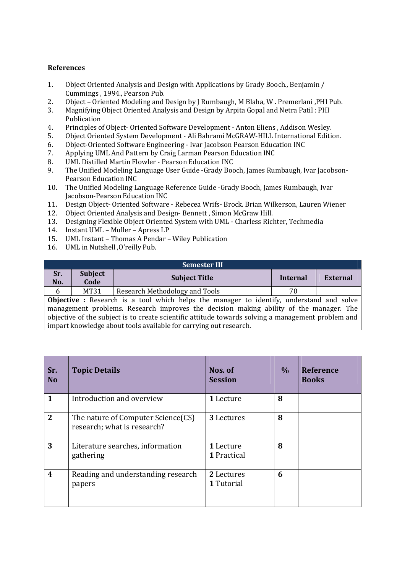# **References**

- 1. Object Oriented Analysis and Design with Applications by Grady Booch., Benjamin / Cummings , 1994., Pearson Pub.
- 2. Object Oriented Modeling and Design by J Rumbaugh, M Blaha, W . Premerlani ,PHI Pub.
- 3. Magnifying Object Oriented Analysis and Design by Arpita Gopal and Netra Patil : PHI Publication
- 4. Principles of Object- Oriented Software Development Anton Eliens , Addison Wesley.
- 5. Object Oriented System Development Ali Bahrami McGRAW-HILL International Edition.
- 6. Object-Oriented Software Engineering Ivar Jacobson Pearson Education INC
- 7. Applying UML And Pattern by Craig Larman Pearson Education INC
- 8. UML Distilled Martin Flowler Pearson Education INC
- 9. The Unified Modeling Language User Guide -Grady Booch, James Rumbaugh, Ivar Jacobson-Pearson Education INC
- 10. The Unified Modeling Language Reference Guide -Grady Booch, James Rumbaugh, Ivar Jacobson-Pearson Education INC
- 11. Design Object- Oriented Software Rebecea Wrifs- Brock. Brian Wilkerson, Lauren Wiener
- 12. Object Oriented Analysis and Design- Bennett , Simon McGraw Hill.
- 13. Designing Flexible Object Oriented System with UML Charless Richter, Techmedia
- 14. Instant UML Muller Apress LP
- 15. UML Instant Thomas A Pendar Wiley Publication
- 16. UML in Nutshell ,O'reilly Pub.

|            | <b>Semester III</b>                                                                                |                                                                                                 |                 |          |  |  |  |
|------------|----------------------------------------------------------------------------------------------------|-------------------------------------------------------------------------------------------------|-----------------|----------|--|--|--|
| Sr.<br>No. | <b>Subject</b><br>Code                                                                             | <b>Subject Title</b>                                                                            | <b>Internal</b> | External |  |  |  |
|            |                                                                                                    |                                                                                                 |                 |          |  |  |  |
| 6          | MT31                                                                                               | Research Methodology and Tools                                                                  | 70              |          |  |  |  |
|            |                                                                                                    | <b>Objective</b> : Research is a tool which helps the manager to identify, understand and solve |                 |          |  |  |  |
|            | management problems. Research improves the decision making ability of the manager. The             |                                                                                                 |                 |          |  |  |  |
|            | objective of the subject is to create scientific attitude towards solving a management problem and |                                                                                                 |                 |          |  |  |  |
|            | impart knowledge about tools available for carrying out research.                                  |                                                                                                 |                 |          |  |  |  |

| Sr.<br><b>No</b>        | <b>Topic Details</b>                                              | Nos. of<br><b>Session</b> | $\%$ | <b>Reference</b><br><b>Books</b> |
|-------------------------|-------------------------------------------------------------------|---------------------------|------|----------------------------------|
| 1                       | Introduction and overview                                         | 1 Lecture                 | 8    |                                  |
| $\overline{2}$          | The nature of Computer Science(CS)<br>research; what is research? | 3 Lectures                | 8    |                                  |
| 3                       | Literature searches, information<br>gathering                     | 1 Lecture<br>1 Practical  | 8    |                                  |
| $\overline{\mathbf{4}}$ | Reading and understanding research<br>papers                      | 2 Lectures<br>1 Tutorial  | 6    |                                  |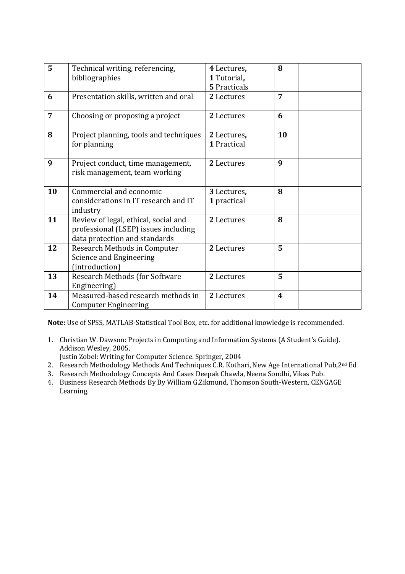| 5  | Technical writing, referencing,                  | 4 Lectures,  | 8                       |  |
|----|--------------------------------------------------|--------------|-------------------------|--|
|    | bibliographies                                   | 1 Tutorial,  |                         |  |
|    |                                                  | 5 Practicals |                         |  |
| 6  | Presentation skills, written and oral            | 2 Lectures   | 7                       |  |
| 7  | Choosing or proposing a project                  | 2 Lectures   | 6                       |  |
| 8  | Project planning, tools and techniques           | 2 Lectures,  | 10                      |  |
|    | for planning                                     | 1 Practical  |                         |  |
| 9  | Project conduct, time management,                | 2 Lectures   | 9                       |  |
|    | risk management, team working                    |              |                         |  |
|    |                                                  |              |                         |  |
| 10 | Commercial and economic                          | 3 Lectures,  | 8                       |  |
|    | considerations in IT research and IT             | 1 practical  |                         |  |
| 11 | industry<br>Review of legal, ethical, social and | 2 Lectures   | 8                       |  |
|    | professional (LSEP) issues including             |              |                         |  |
|    | data protection and standards                    |              |                         |  |
| 12 | Research Methods in Computer                     | 2 Lectures   | $\overline{5}$          |  |
|    | Science and Engineering                          |              |                         |  |
|    | (introduction)                                   |              |                         |  |
| 13 | Research Methods (for Software                   | 2 Lectures   | 5                       |  |
|    | Engineering)                                     |              |                         |  |
| 14 | Measured-based research methods in               | 2 Lectures   | $\overline{\mathbf{4}}$ |  |
|    | <b>Computer Engineering</b>                      |              |                         |  |

**Note:** Use of SPSS, MATLAB-Statistical Tool Box, etc. for additional knowledge is recommended.

1. Christian W. Dawson: Projects in Computing and Information Systems (A Student's Guide). Addison Wesley, 2005.

Justin Zobel: Writing for Computer Science. Springer, 2004

- 2. Research Methodology Methods And Techniques C.R. Kothari, New Age International Pub, 2<sup>nd</sup> Ed
- 3. Research Methodology Concepts And Cases Deepak Chawla, Neena Sondhi, Vikas Pub.
- 4. Business Research Methods By By William G.Zikmund, Thomson South-Western, CENGAGE Learning.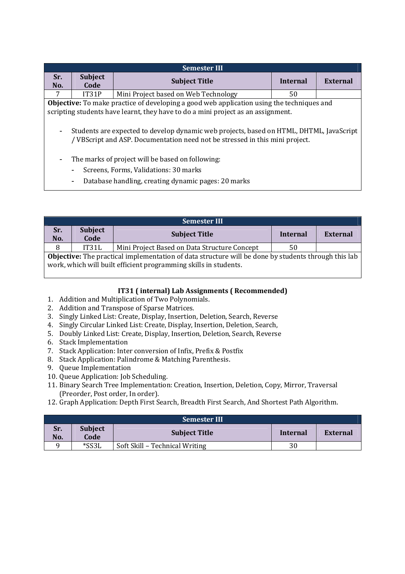| <b>Semester III</b>                                                                                                                                                                                                              |                                       |                                                                                                  |                 |          |  |  |
|----------------------------------------------------------------------------------------------------------------------------------------------------------------------------------------------------------------------------------|---------------------------------------|--------------------------------------------------------------------------------------------------|-----------------|----------|--|--|
| Sr.                                                                                                                                                                                                                              | <b>Subject</b>                        | <b>Subject Title</b>                                                                             | <b>Internal</b> | External |  |  |
| No.                                                                                                                                                                                                                              | Code                                  |                                                                                                  |                 |          |  |  |
| 7                                                                                                                                                                                                                                | IT31P                                 | Mini Project based on Web Technology                                                             | 50              |          |  |  |
|                                                                                                                                                                                                                                  |                                       | <b>Objective:</b> To make practice of developing a good web application using the techniques and |                 |          |  |  |
|                                                                                                                                                                                                                                  |                                       | scripting students have learnt, they have to do a mini project as an assignment.                 |                 |          |  |  |
| Students are expected to develop dynamic web projects, based on HTML, DHTML, JavaScript<br>۰<br>/ VBScript and ASP. Documentation need not be stressed in this mini project.<br>The marks of project will be based on following: |                                       |                                                                                                  |                 |          |  |  |
|                                                                                                                                                                                                                                  | Screens, Forms, Validations: 30 marks |                                                                                                  |                 |          |  |  |

- Database handling, creating dynamic pages: 20 marks

|                                                                                                                                                                                | <b>Semester III</b>    |                                              |          |          |  |  |
|--------------------------------------------------------------------------------------------------------------------------------------------------------------------------------|------------------------|----------------------------------------------|----------|----------|--|--|
| Sr.<br>No.                                                                                                                                                                     | <b>Subject</b><br>Code | <b>Subject Title</b>                         | Internal | External |  |  |
| 8                                                                                                                                                                              | IT31L                  | Mini Project Based on Data Structure Concept | 50       |          |  |  |
| <b>Objective:</b> The practical implementation of data structure will be done by students through this lab<br>work, which will built efficient programming skills in students. |                        |                                              |          |          |  |  |

# **IT31 ( internal) Lab Assignments ( Recommended)**

- 1. Addition and Multiplication of Two Polynomials.
- 2. Addition and Transpose of Sparse Matrices.
- 3. Singly Linked List: Create, Display, Insertion, Deletion, Search, Reverse
- 4. Singly Circular Linked List: Create, Display, Insertion, Deletion, Search,
- 5. Doubly Linked List: Create, Display, Insertion, Deletion, Search, Reverse
- 6. Stack Implementation
- 7. Stack Application: Inter conversion of Infix, Prefix & Postfix
- 8. Stack Application: Palindrome & Matching Parenthesis.
- 9. Queue Implementation
- 10. Queue Application: Job Scheduling.
- 11. Binary Search Tree Implementation: Creation, Insertion, Deletion, Copy, Mirror, Traversal (Preorder, Post order, In order).
- 12. Graph Application: Depth First Search, Breadth First Search, And Shortest Path Algorithm.

|            | <b>Semester III</b>    |                                |          |          |  |  |  |
|------------|------------------------|--------------------------------|----------|----------|--|--|--|
| Sr.<br>No. | <b>Subject</b><br>Code | <b>Subject Title</b>           | Internal | External |  |  |  |
|            | *SS3L                  | Soft Skill - Technical Writing | 30       |          |  |  |  |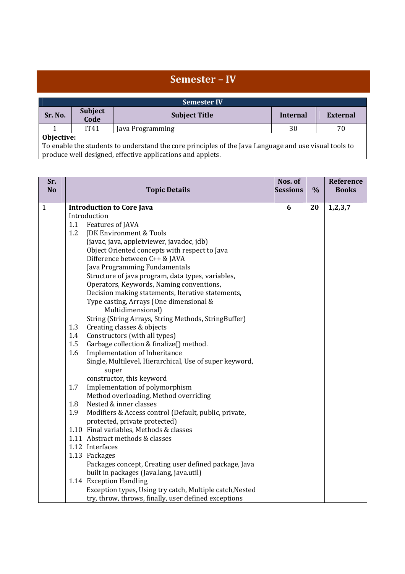|            | Semester - IV                                                                                         |                      |          |                 |  |  |
|------------|-------------------------------------------------------------------------------------------------------|----------------------|----------|-----------------|--|--|
|            | <b>Semester IV</b>                                                                                    |                      |          |                 |  |  |
| Sr. No.    | <b>Subject</b>                                                                                        | <b>Subject Title</b> | Internal | <b>External</b> |  |  |
|            | Code                                                                                                  |                      |          |                 |  |  |
|            | IT41                                                                                                  | Java Programming     | 30       | 70              |  |  |
| Objective: |                                                                                                       |                      |          |                 |  |  |
|            | To enable the students to understand the core principles of the Java Language and use visual tools to |                      |          |                 |  |  |

produce well designed, effective applications and applets.

| <b>No</b><br><b>Sessions</b><br>$\frac{0}{0}$<br><b>Topic Details</b>      | <b>Books</b><br>1, 2, 3, 7 |
|----------------------------------------------------------------------------|----------------------------|
|                                                                            |                            |
| $\mathbf{1}$<br><b>Introduction to Core Java</b><br>6<br>20                |                            |
| Introduction                                                               |                            |
| 1.1<br>Features of JAVA                                                    |                            |
| 1.2<br>JDK Environment & Tools                                             |                            |
| (javac, java, appletviewer, javadoc, jdb)                                  |                            |
| Object Oriented concepts with respect to Java                              |                            |
| Difference between C++ & JAVA                                              |                            |
| Java Programming Fundamentals                                              |                            |
| Structure of java program, data types, variables,                          |                            |
| Operators, Keywords, Naming conventions,                                   |                            |
| Decision making statements, Iterative statements,                          |                            |
| Type casting, Arrays (One dimensional &                                    |                            |
| Multidimensional)                                                          |                            |
| String (String Arrays, String Methods, StringBuffer)                       |                            |
| Creating classes & objects<br>1.3                                          |                            |
| 1.4<br>Constructors (with all types)                                       |                            |
| 1.5<br>Garbage collection & finalize() method.                             |                            |
| Implementation of Inheritance<br>1.6                                       |                            |
| Single, Multilevel, Hierarchical, Use of super keyword,                    |                            |
| super                                                                      |                            |
| constructor, this keyword                                                  |                            |
| 1.7<br>Implementation of polymorphism                                      |                            |
| Method overloading, Method overriding                                      |                            |
| Nested & inner classes<br>1.8                                              |                            |
| Modifiers & Access control (Default, public, private,<br>1.9               |                            |
| protected, private protected)                                              |                            |
| 1.10 Final variables, Methods & classes<br>1.11 Abstract methods & classes |                            |
| 1.12 Interfaces                                                            |                            |
| 1.13 Packages                                                              |                            |
| Packages concept, Creating user defined package, Java                      |                            |
| built in packages (Java.lang, java.util)                                   |                            |
| 1.14 Exception Handling                                                    |                            |
| Exception types, Using try catch, Multiple catch, Nested                   |                            |
| try, throw, throws, finally, user defined exceptions                       |                            |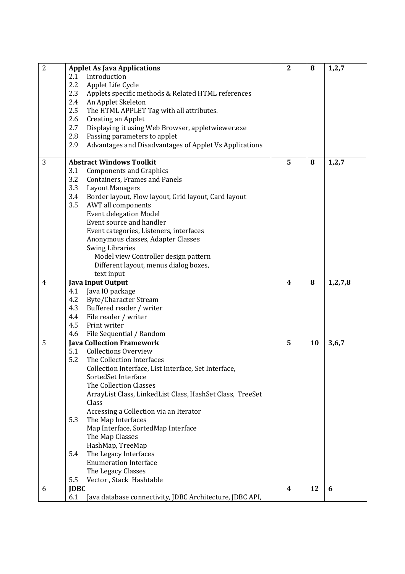| $\overline{2}$ | <b>Applet As Java Applications</b>                              | $\overline{2}$ | 8  | 1, 2, 7    |
|----------------|-----------------------------------------------------------------|----------------|----|------------|
|                | 2.1<br>Introduction                                             |                |    |            |
|                | 2.2<br>Applet Life Cycle                                        |                |    |            |
|                | 2.3<br>Applets specific methods & Related HTML references       |                |    |            |
|                | 2.4<br>An Applet Skeleton                                       |                |    |            |
|                | $2.5\phantom{0}$<br>The HTML APPLET Tag with all attributes.    |                |    |            |
|                | 2.6<br>Creating an Applet                                       |                |    |            |
|                | 2.7<br>Displaying it using Web Browser, appletwiewer.exe        |                |    |            |
|                | 2.8<br>Passing parameters to applet                             |                |    |            |
|                | 2.9<br>Advantages and Disadvantages of Applet Vs Applications   |                |    |            |
|                |                                                                 |                |    |            |
| 3              | <b>Abstract Windows Toolkit</b>                                 | 5              | 8  | 1,2,7      |
|                | 3.1<br><b>Components and Graphics</b>                           |                |    |            |
|                | 3.2<br>Containers, Frames and Panels                            |                |    |            |
|                | 3.3<br><b>Layout Managers</b>                                   |                |    |            |
|                | 3.4<br>Border layout, Flow layout, Grid layout, Card layout     |                |    |            |
|                | 3.5<br>AWT all components                                       |                |    |            |
|                | <b>Event delegation Model</b>                                   |                |    |            |
|                | Event source and handler                                        |                |    |            |
|                | Event categories, Listeners, interfaces                         |                |    |            |
|                | Anonymous classes, Adapter Classes                              |                |    |            |
|                | <b>Swing Libraries</b>                                          |                |    |            |
|                | Model view Controller design pattern                            |                |    |            |
|                | Different layout, menus dialog boxes,                           |                |    |            |
|                | text input                                                      |                |    |            |
| $\overline{4}$ | <b>Java Input Output</b>                                        | 4              | 8  | 1, 2, 7, 8 |
|                | Java IO package<br>4.1                                          |                |    |            |
|                | 4.2<br>Byte/Character Stream                                    |                |    |            |
|                | 4.3<br>Buffered reader / writer                                 |                |    |            |
|                | 4.4<br>File reader / writer                                     |                |    |            |
|                | 4.5<br>Print writer                                             |                |    |            |
|                | 4.6<br>File Sequential / Random                                 |                |    |            |
| 5              | <b>Java Collection Framework</b>                                | 5              | 10 | 3,6,7      |
|                | <b>Collections Overview</b><br>5.1                              |                |    |            |
|                | 5.2<br>The Collection Interfaces                                |                |    |            |
|                | Collection Interface, List Interface, Set Interface,            |                |    |            |
|                | SortedSet Interface                                             |                |    |            |
|                | The Collection Classes                                          |                |    |            |
|                | ArrayList Class, LinkedList Class, HashSet Class, TreeSet       |                |    |            |
|                | Class                                                           |                |    |            |
|                | Accessing a Collection via an Iterator                          |                |    |            |
|                | 5.3<br>The Map Interfaces                                       |                |    |            |
|                | Map Interface, SortedMap Interface                              |                |    |            |
|                | The Map Classes                                                 |                |    |            |
|                | HashMap, TreeMap                                                |                |    |            |
|                | 5.4<br>The Legacy Interfaces                                    |                |    |            |
|                | <b>Enumeration Interface</b>                                    |                |    |            |
|                | The Legacy Classes                                              |                |    |            |
|                | 5.5<br>Vector, Stack Hashtable                                  |                |    |            |
| 6              | <b>JDBC</b>                                                     | 4              | 12 | 6          |
|                | 6.1<br>Java database connectivity, JDBC Architecture, JDBC API, |                |    |            |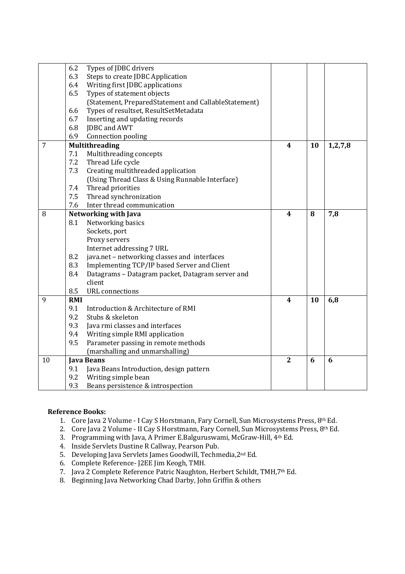|                | 6.2        | Types of JDBC drivers                                |                         |    |            |
|----------------|------------|------------------------------------------------------|-------------------------|----|------------|
|                | 6.3        | Steps to create JDBC Application                     |                         |    |            |
|                | 6.4        | Writing first JDBC applications                      |                         |    |            |
|                | 6.5        | Types of statement objects                           |                         |    |            |
|                |            | (Statement, PreparedStatement and CallableStatement) |                         |    |            |
|                | 6.6        | Types of resultset, ResultSetMetadata                |                         |    |            |
|                | 6.7        | Inserting and updating records                       |                         |    |            |
|                | 6.8        | JDBC and AWT                                         |                         |    |            |
|                | 6.9        | Connection pooling                                   |                         |    |            |
| $\overline{7}$ |            | <b>Multithreading</b>                                | 4                       | 10 | 1, 2, 7, 8 |
|                | 7.1        | Multithreading concepts                              |                         |    |            |
|                | 7.2        | Thread Life cycle                                    |                         |    |            |
|                | 7.3        | Creating multithreaded application                   |                         |    |            |
|                |            | (Using Thread Class & Using Runnable Interface)      |                         |    |            |
|                | 7.4        | Thread priorities                                    |                         |    |            |
|                | 7.5        | Thread synchronization                               |                         |    |            |
|                | 7.6        | Inter thread communication                           |                         |    |            |
| 8              |            | Networking with Java                                 | $\overline{\mathbf{4}}$ | 8  | 7,8        |
|                | 8.1        | Networking basics                                    |                         |    |            |
|                |            | Sockets, port                                        |                         |    |            |
|                |            | Proxy servers                                        |                         |    |            |
|                |            | Internet addressing 7 URL                            |                         |    |            |
|                | 8.2        | java.net - networking classes and interfaces         |                         |    |            |
|                | 8.3        | Implementing TCP/IP based Server and Client          |                         |    |            |
|                | 8.4        | Datagrams - Datagram packet, Datagram server and     |                         |    |            |
|                |            | client                                               |                         |    |            |
|                | 8.5        | <b>URL</b> connections                               |                         |    |            |
| 9              | <b>RMI</b> |                                                      | $\overline{\mathbf{4}}$ | 10 | 6,8        |
|                | 9.1        | Introduction & Architecture of RMI                   |                         |    |            |
|                | 9.2        | Stubs & skeleton                                     |                         |    |            |
|                | 9.3        | Java rmi classes and interfaces                      |                         |    |            |
|                | 9.4        | Writing simple RMI application                       |                         |    |            |
|                | 9.5        | Parameter passing in remote methods                  |                         |    |            |
|                |            | (marshalling and unmarshalling)                      |                         |    |            |
| 10             |            | <b>Java Beans</b>                                    | $\overline{2}$          | 6  | 6          |
|                | 9.1        | Java Beans Introduction, design pattern              |                         |    |            |
|                | 9.2        | Writing simple bean                                  |                         |    |            |
|                | 9.3        | Beans persistence & introspection                    |                         |    |            |

# **Reference Books:**

- 1. Core Java 2 Volume I Cay S Horstmann, Fary Cornell, Sun Microsystems Press, 8th Ed.
- 2. Core Java 2 Volume II Cay S Horstmann, Fary Cornell, Sun Microsystems Press, 8th Ed.
- 3. Programming with Java, A Primer E.Balguruswami, McGraw-Hill, 4th Ed.
- 4. Inside Servlets Dustine R Callway, Pearson Pub.
- 5. Developing Java Servlets James Goodwill, Techmedia,2nd Ed.
- 6. Complete Reference- J2EE Jim Keogh, TMH.
- 7. Java 2 Complete Reference Patric Naughton, Herbert Schildt, TMH,7th Ed.
- 8. Beginning Java Networking Chad Darby, John Griffin & others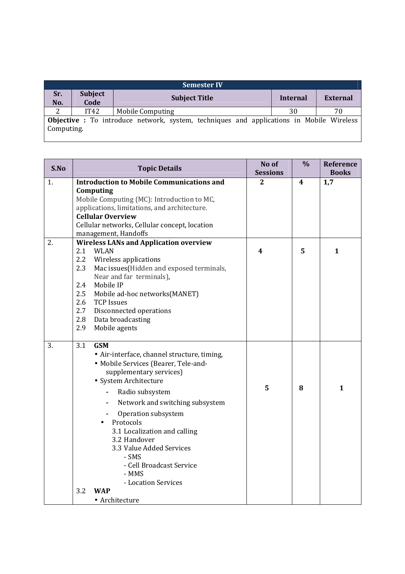| <b>Semester IV</b>                                                                                            |                        |                      |          |                 |  |  |  |
|---------------------------------------------------------------------------------------------------------------|------------------------|----------------------|----------|-----------------|--|--|--|
| Sr.<br>No.                                                                                                    | <b>Subject</b><br>Code | <b>Subject Title</b> | Internal | <b>External</b> |  |  |  |
|                                                                                                               | IT42                   | Mobile Computing     | 30       | 70              |  |  |  |
| <b>Objective</b> : To introduce network, system, techniques and applications in Mobile Wireless<br>Computing. |                        |                      |          |                 |  |  |  |

| S.No | <b>Topic Details</b>                                                                                                                                                                                                                                                                                                                                                                                    | No of<br><b>Sessions</b> | $\frac{0}{0}$ | <b>Reference</b><br><b>Books</b> |
|------|---------------------------------------------------------------------------------------------------------------------------------------------------------------------------------------------------------------------------------------------------------------------------------------------------------------------------------------------------------------------------------------------------------|--------------------------|---------------|----------------------------------|
| 1.   | <b>Introduction to Mobile Communications and</b><br>Computing<br>Mobile Computing (MC): Introduction to MC,<br>applications, limitations, and architecture.<br><b>Cellular Overview</b><br>Cellular networks, Cellular concept, location<br>management, Handoffs                                                                                                                                        | 2                        | 4             | 1,7                              |
| 2.   | <b>Wireless LANs and Application overview</b><br>2.1<br><b>WLAN</b><br>2.2<br>Wireless applications<br>Mac issues(Hidden and exposed terminals,<br>2.3<br>Near and far terminals),<br>Mobile IP<br>2.4<br>2.5<br>Mobile ad-hoc networks (MANET)<br>2.6<br><b>TCP Issues</b><br>2.7<br>Disconnected operations<br>2.8<br>Data broadcasting<br>2.9<br>Mobile agents                                       | $\boldsymbol{4}$         | 5             | 1                                |
| 3.   | 3.1<br><b>GSM</b><br>• Air-interface, channel structure, timing,<br>• Mobile Services (Bearer, Tele-and-<br>supplementary services)<br>• System Architecture<br>Radio subsystem<br>Network and switching subsystem<br>Operation subsystem<br>Protocols<br>3.1 Localization and calling<br>3.2 Handover<br>3.3 Value Added Services<br>- SMS<br>- Cell Broadcast Service<br>- MMS<br>- Location Services | 5                        | 8             | $\mathbf{1}$                     |
|      | 3.2<br><b>WAP</b><br>• Architecture                                                                                                                                                                                                                                                                                                                                                                     |                          |               |                                  |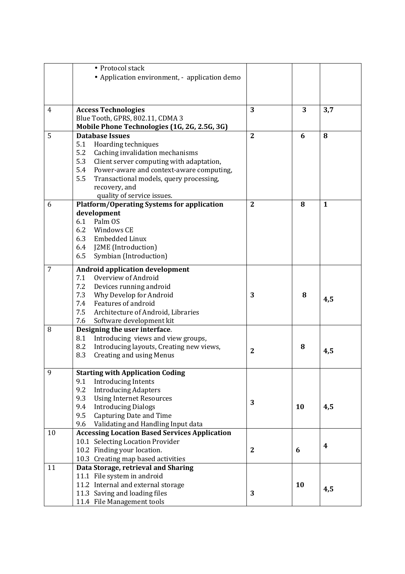|                | • Protocol stack                                     |                |    |                  |
|----------------|------------------------------------------------------|----------------|----|------------------|
|                | • Application environment, - application demo        |                |    |                  |
|                |                                                      |                |    |                  |
|                |                                                      |                |    |                  |
|                |                                                      |                |    |                  |
| $\overline{4}$ | <b>Access Technologies</b>                           | 3              | 3  | 3,7              |
|                | Blue Tooth, GPRS, 802.11, CDMA 3                     |                |    |                  |
|                | Mobile Phone Technologies (1G, 2G, 2.5G, 3G)         |                |    |                  |
| 5              | <b>Database Issues</b>                               | $\overline{2}$ | 6  | 8                |
|                | 5.1<br>Hoarding techniques                           |                |    |                  |
|                | 5.2<br>Caching invalidation mechanisms               |                |    |                  |
|                | 5.3<br>Client server computing with adaptation,      |                |    |                  |
|                | 5.4<br>Power-aware and context-aware computing,      |                |    |                  |
|                | 5.5<br>Transactional models, query processing,       |                |    |                  |
|                | recovery, and                                        |                |    |                  |
|                | quality of service issues.                           |                |    |                  |
| 6              | <b>Platform/Operating Systems for application</b>    | $\mathbf{2}$   | 8  | $\mathbf{1}$     |
|                | development                                          |                |    |                  |
|                | 6.1 Palm OS                                          |                |    |                  |
|                | 6.2<br>Windows CE                                    |                |    |                  |
|                | 6.3<br>Embedded Linux                                |                |    |                  |
|                | 6.4<br>J2ME (Introduction)                           |                |    |                  |
|                | 6.5<br>Symbian (Introduction)                        |                |    |                  |
| 7              | <b>Android application development</b>               |                |    |                  |
|                | Overview of Android<br>7.1                           |                |    |                  |
|                | 7.2<br>Devices running android                       |                |    |                  |
|                | 7.3<br>Why Develop for Android                       | 3              | 8  | 4,5              |
|                | Features of android<br>7.4                           |                |    |                  |
|                | 7.5<br>Architecture of Android, Libraries            |                |    |                  |
|                | Software development kit<br>7.6                      |                |    |                  |
| 8              | Designing the user interface.                        |                |    |                  |
|                | Introducing views and view groups,<br>8.1            |                |    |                  |
|                | 8.2<br>Introducing layouts, Creating new views,      | $\mathbf{2}$   | 8  |                  |
|                | <b>Creating and using Menus</b><br>8.3               |                |    | 4,5              |
|                |                                                      |                |    |                  |
| 9              | <b>Starting with Application Coding</b>              |                |    |                  |
|                | 9.1<br><b>Introducing Intents</b>                    |                |    |                  |
|                | 9.2<br><b>Introducing Adapters</b>                   |                |    |                  |
|                | 9.3<br><b>Using Internet Resources</b>               | 3              |    |                  |
|                | 9.4<br><b>Introducing Dialogs</b>                    |                | 10 | 4,5              |
|                | 9.5<br>Capturing Date and Time                       |                |    |                  |
|                | 9.6<br>Validating and Handling Input data            |                |    |                  |
| 10             | <b>Accessing Location Based Services Application</b> |                |    |                  |
|                | 10.1 Selecting Location Provider                     |                |    | $\boldsymbol{4}$ |
|                | 10.2 Finding your location.                          | $\mathbf{2}$   | 6  |                  |
|                | 10.3 Creating map based activities                   |                |    |                  |
| 11             | Data Storage, retrieval and Sharing                  |                |    |                  |
|                | 11.1 File system in android                          |                |    |                  |
|                | 11.2 Internal and external storage                   |                | 10 | 4,5              |
|                | 11.3 Saving and loading files                        | 3              |    |                  |
|                | 11.4 File Management tools                           |                |    |                  |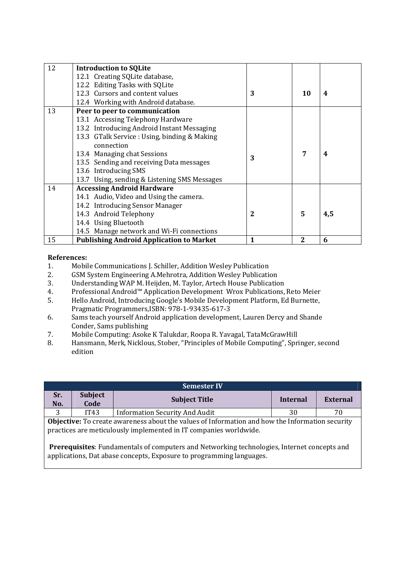| 12 | <b>Introduction to SQLite</b>                   |   |                |     |
|----|-------------------------------------------------|---|----------------|-----|
|    | 12.1 Creating SQLite database,                  |   |                |     |
|    | 12.2 Editing Tasks with SQLite                  |   |                |     |
|    | 12.3 Cursors and content values                 | 3 | 10             | 4   |
|    | 12.4 Working with Android database.             |   |                |     |
| 13 | Peer to peer to communication                   |   |                |     |
|    | 13.1 Accessing Telephony Hardware               |   |                |     |
|    | 13.2 Introducing Android Instant Messaging      |   |                |     |
|    | 13.3 GTalk Service : Using, binding & Making    |   |                |     |
|    | connection                                      |   |                |     |
|    | 13.4 Managing chat Sessions                     | 3 | 7              | 4   |
|    | 13.5 Sending and receiving Data messages        |   |                |     |
|    | 13.6 Introducing SMS                            |   |                |     |
|    | 13.7 Using, sending & Listening SMS Messages    |   |                |     |
| 14 | <b>Accessing Android Hardware</b>               |   |                |     |
|    | 14.1 Audio, Video and Using the camera.         |   |                |     |
|    | 14.2 Introducing Sensor Manager                 |   |                |     |
|    | 14.3 Android Telephony                          | 2 | 5              | 4,5 |
|    | 14.4 Using Bluetooth                            |   |                |     |
|    | 14.5 Manage network and Wi-Fi connections       |   |                |     |
| 15 | <b>Publishing Android Application to Market</b> | 1 | $\overline{2}$ | 6   |

## **References:**

- 1. Mobile Communications J. Schiller, Addition Wesley Publication
- 2. GSM System Engineering A.Mehrotra, Addition Wesley Publication
- 3. Understanding WAP M. Heijden, M. Taylor, Artech House Publication
- 4. Professional Android™ Application Development Wrox Publications, Reto Meier
- 5. Hello Android, Introducing Google's Mobile Development Platform, Ed Burnette, Pragmatic Programmers,ISBN: 978-1-93435-617-3
- 6. Sams teach yourself Android application development, Lauren Dercy and Shande Conder, Sams publishing
- 7. Mobile Computing: Asoke K Talukdar, Roopa R. Yavagal, TataMcGrawHill
- 8. Hansmann, Merk, Nicklous, Stober, "Principles of Mobile Computing", Springer, second edition

| <b>Semester IV</b>                                                                                                                                                         |                        |                                       |          |                 |  |
|----------------------------------------------------------------------------------------------------------------------------------------------------------------------------|------------------------|---------------------------------------|----------|-----------------|--|
| Sr.<br>No.                                                                                                                                                                 | <b>Subject</b><br>Code | <b>Subject Title</b>                  | Internal | <b>External</b> |  |
| 3                                                                                                                                                                          | IT43                   | <b>Information Security And Audit</b> | 30       | 70              |  |
| Objective: To create awareness about the values of Information and how the Information security<br>practices are meticulously implemented in IT companies worldwide.       |                        |                                       |          |                 |  |
| <b>Prerequisites:</b> Fundamentals of computers and Networking technologies, Internet concepts and<br>applications, Dat abase concepts, Exposure to programming languages. |                        |                                       |          |                 |  |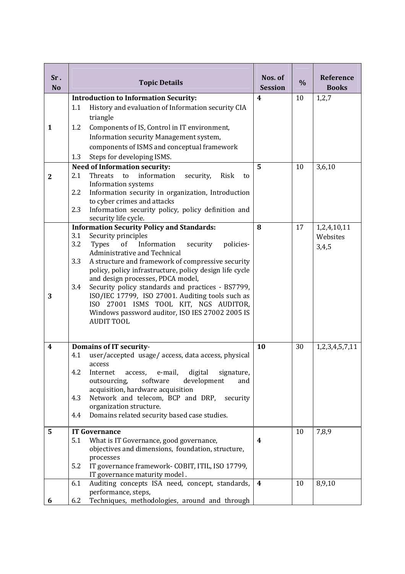| Sr.<br><b>No</b> |     | <b>Topic Details</b>                                                                                  | Nos. of<br><b>Session</b> | $\frac{0}{0}$ | Reference<br><b>Books</b> |
|------------------|-----|-------------------------------------------------------------------------------------------------------|---------------------------|---------------|---------------------------|
|                  |     | <b>Introduction to Information Security:</b>                                                          | $\overline{\mathbf{4}}$   | 10            | 1,2,7                     |
|                  | 1.1 | History and evaluation of Information security CIA                                                    |                           |               |                           |
|                  |     | triangle                                                                                              |                           |               |                           |
| 1                | 1.2 | Components of IS, Control in IT environment,                                                          |                           |               |                           |
|                  |     | Information security Management system,                                                               |                           |               |                           |
|                  |     | components of ISMS and conceptual framework                                                           |                           |               |                           |
|                  | 1.3 | Steps for developing ISMS.                                                                            |                           |               |                           |
|                  |     | <b>Need of Information security:</b>                                                                  | 5                         | 10            | 3,6,10                    |
| $\mathbf{2}$     | 2.1 | information<br>Threats<br>to<br>security,<br>Risk<br>to                                               |                           |               |                           |
|                  |     | Information systems                                                                                   |                           |               |                           |
|                  | 2.2 | Information security in organization, Introduction                                                    |                           |               |                           |
|                  |     | to cyber crimes and attacks                                                                           |                           |               |                           |
|                  | 2.3 | Information security policy, policy definition and                                                    |                           |               |                           |
|                  |     | security life cycle.<br><b>Information Security Policy and Standards:</b>                             | 8                         | 17            | 1,2,4,10,11               |
|                  | 3.1 | Security principles                                                                                   |                           |               | Websites                  |
|                  | 3.2 | Information<br><b>Types</b><br>policies-<br><sub>of</sub><br>security                                 |                           |               | 3,4,5                     |
|                  |     | Administrative and Technical                                                                          |                           |               |                           |
|                  | 3.3 | A structure and framework of compressive security                                                     |                           |               |                           |
|                  |     | policy, policy infrastructure, policy design life cycle                                               |                           |               |                           |
|                  |     | and design processes, PDCA model,                                                                     |                           |               |                           |
| 3                | 3.4 | Security policy standards and practices - BS7799,<br>ISO/IEC 17799, ISO 27001. Auditing tools such as |                           |               |                           |
|                  |     | ISO 27001 ISMS TOOL KIT, NGS AUDITOR,                                                                 |                           |               |                           |
|                  |     | Windows password auditor, ISO IES 27002 2005 IS                                                       |                           |               |                           |
|                  |     | <b>AUDIT TOOL</b>                                                                                     |                           |               |                           |
|                  |     |                                                                                                       |                           |               |                           |
|                  |     |                                                                                                       | 10                        |               |                           |
| 4                | 4.1 | <b>Domains of IT security-</b><br>user/accepted usage/access, data access, physical                   |                           | 30            | 1,2,3,4,5,7,11            |
|                  |     | access                                                                                                |                           |               |                           |
|                  | 4.2 | digital<br>Internet<br>signature,<br>access,<br>e-mail,                                               |                           |               |                           |
|                  |     | outsourcing,<br>software<br>development<br>and                                                        |                           |               |                           |
|                  |     | acquisition, hardware acquisition                                                                     |                           |               |                           |
|                  | 4.3 | Network and telecom, BCP and DRP,<br>security                                                         |                           |               |                           |
|                  | 4.4 | organization structure.<br>Domains related security based case studies.                               |                           |               |                           |
|                  |     |                                                                                                       |                           |               |                           |
| 5                |     | <b>IT Governance</b>                                                                                  |                           | 10            | 7,8,9                     |
|                  | 5.1 | What is IT Governance, good governance,                                                               | 4                         |               |                           |
|                  |     | objectives and dimensions, foundation, structure,                                                     |                           |               |                           |
|                  |     | processes                                                                                             |                           |               |                           |
|                  | 5.2 | IT governance framework- COBIT, ITIL, ISO 17799,                                                      |                           |               |                           |
|                  | 6.1 | IT governance maturity model.<br>Auditing concepts ISA need, concept, standards,                      | 4                         | 10            | 8,9,10                    |
|                  |     | performance, steps,                                                                                   |                           |               |                           |
| 6                | 6.2 | Techniques, methodologies, around and through                                                         |                           |               |                           |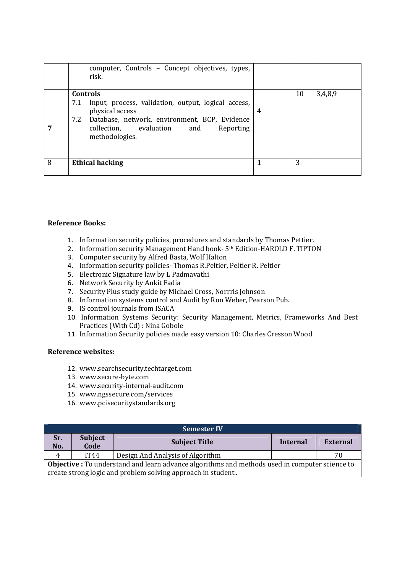|   | computer, Controls - Concept objectives, types,<br>risk.                                                                                                                                                                 |   |    |         |
|---|--------------------------------------------------------------------------------------------------------------------------------------------------------------------------------------------------------------------------|---|----|---------|
|   | <b>Controls</b><br>Input, process, validation, output, logical access,<br>7.1<br>physical access<br>Database, network, environment, BCP, Evidence<br>7.2<br>collection, evaluation<br>Reporting<br>and<br>methodologies. | 4 | 10 | 3,4,8,9 |
| 8 | <b>Ethical hacking</b>                                                                                                                                                                                                   | 1 | 3  |         |

## **Reference Books:**

- 1. Information security policies, procedures and standards by Thomas Pettier.
- 2. Information security Management Hand book- 5<sup>th</sup> Edition-HAROLD F. TIPTON
- 3. Computer security by Alfred Basta, Wolf Halton
- 4. Information security policies- Thomas R.Peltier, Peltier R. Peltier
- 5. Electronic Signature law by L Padmavathi
- 6. Network Security by Ankit Fadia
- 7. Security Plus study guide by Michael Cross, Norrris Johnson
- 8. Information systems control and Audit by Ron Weber, Pearson Pub.
- 9. IS control journals from ISACA
- 10. Information Systems Security: Security Management, Metrics, Frameworks And Best Practices (With Cd) : Nina Gobole
- 11. Information Security policies made easy version 10: Charles Cresson Wood

### **Reference websites:**

- 12. www.searchsecurity.techtarget.com
- 13. www.secure-byte.com
- 14. www.security-internal-audit.com
- 15. www.ngssecure.com/services
- 16. www.pcisecuritystandards.org

| <b>Semester IV</b>                                                                                    |                                                             |                                  |          |          |  |
|-------------------------------------------------------------------------------------------------------|-------------------------------------------------------------|----------------------------------|----------|----------|--|
| Sr.<br>No.                                                                                            | <b>Subject</b><br>Code                                      | <b>Subject Title</b>             | Internal | External |  |
| $\overline{4}$                                                                                        | <b>IT44</b>                                                 | Design And Analysis of Algorithm |          | 70       |  |
| <b>Objective</b> : To understand and learn advance algorithms and methods used in computer science to |                                                             |                                  |          |          |  |
|                                                                                                       | create strong logic and problem solving approach in student |                                  |          |          |  |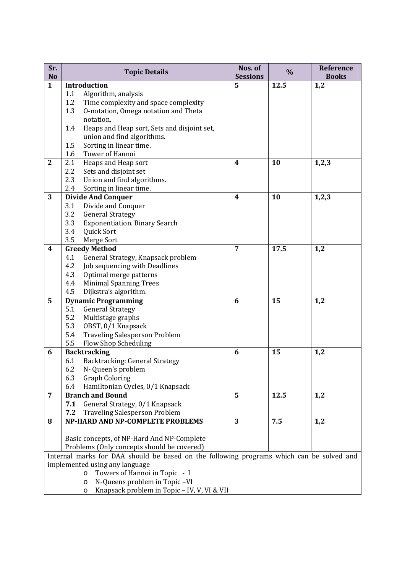| Sr.<br><b>No</b>                                                                         | <b>Topic Details</b>                                              | Nos. of<br><b>Sessions</b> | $\%$ | Reference<br><b>Books</b> |  |  |
|------------------------------------------------------------------------------------------|-------------------------------------------------------------------|----------------------------|------|---------------------------|--|--|
| $\mathbf{1}$                                                                             | Introduction                                                      | 5                          | 12.5 | 1,2                       |  |  |
|                                                                                          | Algorithm, analysis<br>1.1                                        |                            |      |                           |  |  |
|                                                                                          | 1.2<br>Time complexity and space complexity                       |                            |      |                           |  |  |
|                                                                                          | 1.3<br>O-notation, Omega notation and Theta                       |                            |      |                           |  |  |
|                                                                                          | notation,                                                         |                            |      |                           |  |  |
|                                                                                          | 1.4<br>Heaps and Heap sort, Sets and disjoint set,                |                            |      |                           |  |  |
|                                                                                          | union and find algorithms.                                        |                            |      |                           |  |  |
|                                                                                          | Sorting in linear time.<br>1.5                                    |                            |      |                           |  |  |
|                                                                                          | Tower of Hannoi<br>1.6                                            |                            |      |                           |  |  |
| $\overline{2}$                                                                           | Heaps and Heap sort<br>2.1                                        | 4                          | 10   | 1,2,3                     |  |  |
|                                                                                          | 2.2<br>Sets and disjoint set                                      |                            |      |                           |  |  |
|                                                                                          | 2.3<br>Union and find algorithms.                                 |                            |      |                           |  |  |
|                                                                                          | 2.4<br>Sorting in linear time.                                    |                            |      |                           |  |  |
| 3                                                                                        | <b>Divide And Conquer</b>                                         | 4                          | 10   | 1,2,3                     |  |  |
|                                                                                          | Divide and Conquer<br>3.1                                         |                            |      |                           |  |  |
|                                                                                          | 3.2<br><b>General Strategy</b>                                    |                            |      |                           |  |  |
|                                                                                          | 3.3<br><b>Exponentiation. Binary Search</b>                       |                            |      |                           |  |  |
|                                                                                          | 3.4<br>Quick Sort                                                 |                            |      |                           |  |  |
|                                                                                          | 3.5<br>Merge Sort                                                 |                            |      |                           |  |  |
| $\boldsymbol{4}$                                                                         | <b>Greedy Method</b><br>General Strategy, Knapsack problem<br>4.1 | 7                          | 17.5 | 1,2                       |  |  |
|                                                                                          | 4.2<br>Job sequencing with Deadlines                              |                            |      |                           |  |  |
|                                                                                          | 4.3<br>Optimal merge patterns                                     |                            |      |                           |  |  |
|                                                                                          | 4.4<br><b>Minimal Spanning Trees</b>                              |                            |      |                           |  |  |
|                                                                                          | 4.5<br>Dijkstra's algorithm.                                      |                            |      |                           |  |  |
| 5                                                                                        | <b>Dynamic Programming</b>                                        | 6                          | 15   | 1,2                       |  |  |
|                                                                                          | <b>General Strategy</b><br>5.1                                    |                            |      |                           |  |  |
|                                                                                          | 5.2<br>Multistage graphs                                          |                            |      |                           |  |  |
|                                                                                          | 5.3<br>OBST, 0/1 Knapsack                                         |                            |      |                           |  |  |
|                                                                                          | <b>Traveling Salesperson Problem</b><br>5.4                       |                            |      |                           |  |  |
|                                                                                          | 5.5<br>Flow Shop Scheduling                                       |                            |      |                           |  |  |
| 6                                                                                        | <b>Backtracking</b>                                               | 6                          | 15   | 1,2                       |  |  |
|                                                                                          | Backtracking: General Strategy<br>6.1                             |                            |      |                           |  |  |
|                                                                                          | 6.2 N- Queen's problem                                            |                            |      |                           |  |  |
|                                                                                          | <b>Graph Coloring</b><br>6.3                                      |                            |      |                           |  |  |
|                                                                                          | Hamiltonian Cycles, 0/1 Knapsack<br>6.4                           |                            |      |                           |  |  |
| $\overline{7}$                                                                           | <b>Branch and Bound</b>                                           | 5                          | 12.5 | 1,2                       |  |  |
|                                                                                          | General Strategy, 0/1 Knapsack<br>7.1                             |                            |      |                           |  |  |
|                                                                                          | <b>Traveling Salesperson Problem</b><br>7.2                       |                            |      |                           |  |  |
| 8                                                                                        | NP-HARD AND NP-COMPLETE PROBLEMS                                  | 3                          | 7.5  | 1,2                       |  |  |
|                                                                                          |                                                                   |                            |      |                           |  |  |
|                                                                                          | Basic concepts, of NP-Hard And NP-Complete                        |                            |      |                           |  |  |
| Problems (Only concepts should be covered)                                               |                                                                   |                            |      |                           |  |  |
| Internal marks for DAA should be based on the following programs which can be solved and |                                                                   |                            |      |                           |  |  |
|                                                                                          | implemented using any language                                    |                            |      |                           |  |  |
|                                                                                          | Towers of Hannoi in Topic - I<br>$\circ$                          |                            |      |                           |  |  |
|                                                                                          | N-Queens problem in Topic-VI<br>$\circ$                           |                            |      |                           |  |  |
|                                                                                          | Knapsack problem in Topic - IV, V, VI & VII<br>O                  |                            |      |                           |  |  |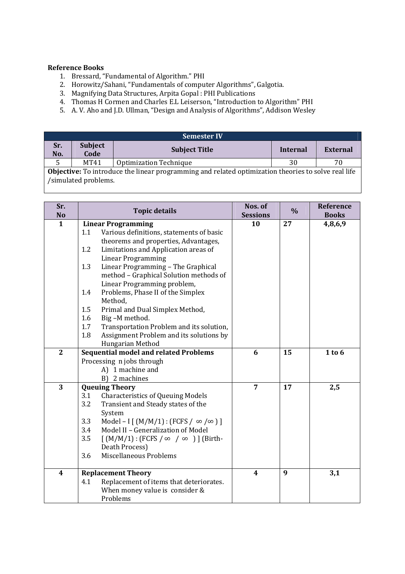# **Reference Books**

 $\mathsf{l}$ 

- 1. Bressard, "Fundamental of Algorithm." PHI
- 2. Horowitz/Sahani, "Fundamentals of computer Algorithms", Galgotia.
- 3. Magnifying Data Structures, Arpita Gopal : PHI Publications
- 4. Thomas H Cormen and Charles E.L Leiserson, "Introduction to Algorithm" PHI
- 5. A. V. Aho and J.D. Ullman, "Design and Analysis of Algorithms", Addison Wesley

| <b>Semester IV</b>                                                                                                                 |                        |                        |          |                 |  |  |
|------------------------------------------------------------------------------------------------------------------------------------|------------------------|------------------------|----------|-----------------|--|--|
| Sr.<br>No.                                                                                                                         | <b>Subject</b><br>Code | <b>Subject Title</b>   | Internal | <b>External</b> |  |  |
|                                                                                                                                    | MT41                   | Optimization Technique | 30       | 70              |  |  |
| <b>Objective:</b> To introduce the linear programming and related optimization theories to solve real life<br>/simulated problems. |                        |                        |          |                 |  |  |

| Sr.<br>No        | <b>Topic details</b>                                        | Nos. of<br><b>Sessions</b> | $\frac{0}{0}$ | Reference<br><b>Books</b> |
|------------------|-------------------------------------------------------------|----------------------------|---------------|---------------------------|
| $\mathbf{1}$     | <b>Linear Programming</b>                                   | 10                         | 27            | 4,8,6,9                   |
|                  | Various definitions, statements of basic<br>1.1             |                            |               |                           |
|                  | theorems and properties, Advantages,                        |                            |               |                           |
|                  | Limitations and Application areas of<br>1.2                 |                            |               |                           |
|                  | <b>Linear Programming</b>                                   |                            |               |                           |
|                  | Linear Programming - The Graphical<br>1.3                   |                            |               |                           |
|                  | method - Graphical Solution methods of                      |                            |               |                           |
|                  | Linear Programming problem,                                 |                            |               |                           |
|                  | Problems, Phase II of the Simplex<br>1.4                    |                            |               |                           |
|                  | Method,                                                     |                            |               |                           |
|                  | 1.5<br>Primal and Dual Simplex Method,                      |                            |               |                           |
|                  | 1.6<br>Big-M method.                                        |                            |               |                           |
|                  | 1.7<br>Transportation Problem and its solution,             |                            |               |                           |
|                  | 1.8<br>Assignment Problem and its solutions by              |                            |               |                           |
|                  | Hungarian Method                                            |                            |               |                           |
| $\overline{2}$   | <b>Sequential model and related Problems</b>                | 6                          | 15            | 1 to 6                    |
|                  | Processing n jobs through<br>A) 1 machine and               |                            |               |                           |
|                  | B) 2 machines                                               |                            |               |                           |
| 3                | <b>Queuing Theory</b>                                       | 7                          | 17            | 2,5                       |
|                  | 3.1<br><b>Characteristics of Queuing Models</b>             |                            |               |                           |
|                  | Transient and Steady states of the<br>3.2                   |                            |               |                           |
|                  | System                                                      |                            |               |                           |
|                  | 3.3<br>Model – I $[M/M/1]$ : (FCFS / $\infty$ / $\infty$ )] |                            |               |                           |
|                  | 3.4<br>Model II - Generalization of Model                   |                            |               |                           |
|                  | 3.5<br>$[M/M/1]$ : (FCFS / $\infty$ / $\infty$ )] (Birth-   |                            |               |                           |
|                  | Death Process)                                              |                            |               |                           |
|                  | Miscellaneous Problems<br>3.6                               |                            |               |                           |
|                  |                                                             |                            |               |                           |
| $\boldsymbol{4}$ | <b>Replacement Theory</b>                                   | $\boldsymbol{4}$           | 9             | 3,1                       |
|                  | Replacement of items that deteriorates.<br>4.1              |                            |               |                           |
|                  | When money value is consider &                              |                            |               |                           |
|                  | Problems                                                    |                            |               |                           |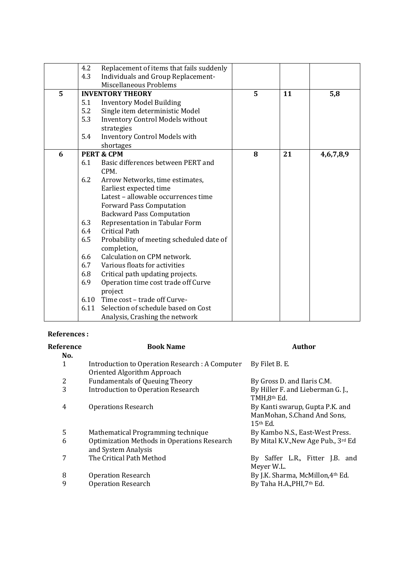|   | 4.2  | Replacement of items that fails suddenly |   |    |           |
|---|------|------------------------------------------|---|----|-----------|
|   | 4.3  | Individuals and Group Replacement-       |   |    |           |
|   |      | Miscellaneous Problems                   |   |    |           |
| 5 |      | <b>INVENTORY THEORY</b>                  | 5 | 11 | 5,8       |
|   | 5.1  | <b>Inventory Model Building</b>          |   |    |           |
|   | 5.2  | Single item deterministic Model          |   |    |           |
|   | 5.3  | <b>Inventory Control Models without</b>  |   |    |           |
|   |      | strategies                               |   |    |           |
|   | 5.4  | Inventory Control Models with            |   |    |           |
|   |      | shortages                                |   |    |           |
| 6 |      | <b>PERT &amp; CPM</b>                    | 8 | 21 | 4,6,7,8,9 |
|   | 6.1  | Basic differences between PERT and       |   |    |           |
|   |      | CPM.                                     |   |    |           |
|   | 6.2  | Arrow Networks, time estimates,          |   |    |           |
|   |      | Earliest expected time                   |   |    |           |
|   |      | Latest - allowable occurrences time      |   |    |           |
|   |      | <b>Forward Pass Computation</b>          |   |    |           |
|   |      | <b>Backward Pass Computation</b>         |   |    |           |
|   | 6.3  | Representation in Tabular Form           |   |    |           |
|   | 6.4  | <b>Critical Path</b>                     |   |    |           |
|   | 6.5  | Probability of meeting scheduled date of |   |    |           |
|   |      | completion,                              |   |    |           |
|   | 6.6  | Calculation on CPM network.              |   |    |           |
|   | 6.7  | Various floats for activities            |   |    |           |
|   | 6.8  | Critical path updating projects.         |   |    |           |
|   | 6.9  | Operation time cost trade off Curve      |   |    |           |
|   |      | project                                  |   |    |           |
|   |      | 6.10 Time cost - trade off Curve-        |   |    |           |
|   | 6.11 | Selection of schedule based on Cost      |   |    |           |
|   |      | Analysis, Crashing the network           |   |    |           |

### **References :**

| Reference<br>No. | <b>Book Name</b>                                                               | <b>Author</b>                                                                |
|------------------|--------------------------------------------------------------------------------|------------------------------------------------------------------------------|
| 1                | Introduction to Operation Research : A Computer<br>Oriented Algorithm Approach | By Filet B. E.                                                               |
| 2                | <b>Fundamentals of Queuing Theory</b>                                          | By Gross D. and Ilaris C.M.                                                  |
| 3                | <b>Introduction to Operation Research</b>                                      | By Hiller F. and Lieberman G. J.,<br>TMH,8 <sup>th</sup> Ed.                 |
| 4                | <b>Operations Research</b>                                                     | By Kanti swarup, Gupta P.K. and<br>ManMohan, S.Chand And Sons,<br>$15th$ Ed. |
| 5                | Mathematical Programming technique                                             | By Kambo N.S., East-West Press.                                              |
| 6                | Optimization Methods in Operations Research<br>and System Analysis             | By Mital K.V., New Age Pub., 3rd Ed                                          |
| 7                | The Critical Path Method                                                       | By Saffer L.R., Fitter J.B. and<br>Meyer W.L.                                |
| 8                | <b>Operation Research</b>                                                      | By J.K. Sharma, McMillon, 4th Ed.                                            |
| 9                | <b>Operation Research</b>                                                      | By Taha H.A., PHI, 7th Ed.                                                   |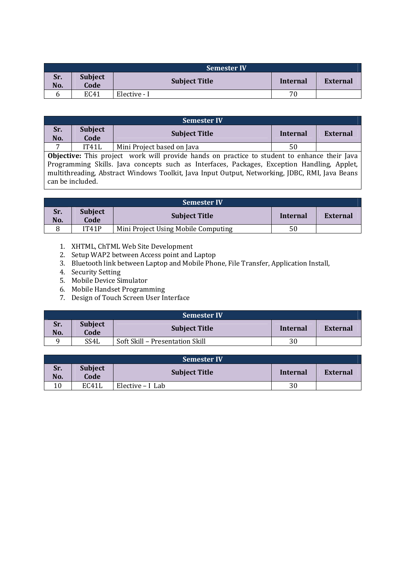|            | <b>Semester IV</b>     |                      |          |          |  |  |
|------------|------------------------|----------------------|----------|----------|--|--|
| Sr.<br>No. | <b>Subject</b><br>Code | <b>Subject Title</b> | Internal | External |  |  |
| b          | EC41                   | Elective - I         | 70       |          |  |  |

|            |                                                                                        | <b>Semester IV</b>                                                                                  |          |          |  |  |  |
|------------|----------------------------------------------------------------------------------------|-----------------------------------------------------------------------------------------------------|----------|----------|--|--|--|
| Sr.<br>No. | <b>Subject</b><br>Code                                                                 | <b>Subject Title</b>                                                                                | Internal | External |  |  |  |
| -          | IT41L                                                                                  | Mini Project based on Java                                                                          | 50       |          |  |  |  |
|            |                                                                                        | <b>Objective:</b> This project work will provide hands on practice to student to enhance their Java |          |          |  |  |  |
|            | Programming Skills Java concents such as Interfaces Packages Excention Handling Annlet |                                                                                                     |          |          |  |  |  |

Programming Skills. Java concepts such as Interfaces, Packages, Exception Handling, Applet, multithreading, Abstract Windows Toolkit, Java Input Output, Networking, JDBC, RMI, Java Beans can be included.

| <b>Semester IV</b> |                        |                                     |          |          |  |  |
|--------------------|------------------------|-------------------------------------|----------|----------|--|--|
| Sr.<br>No.         | <b>Subject</b><br>Code | <b>Subject Title</b>                | Internal | External |  |  |
| 8                  | IT41P                  | Mini Project Using Mobile Computing | 50       |          |  |  |

- 1. XHTML, ChTML Web Site Development
- 2. Setup WAP2 between Access point and Laptop
- 3. Bluetooth link between Laptop and Mobile Phone, File Transfer, Application Install,
- 4. Security Setting
- 5. Mobile Device Simulator
- 6. Mobile Handset Programming
- 7. Design of Touch Screen User Interface

|            | <b>Semester IV</b>     |                                 |          |          |  |  |  |
|------------|------------------------|---------------------------------|----------|----------|--|--|--|
| Sr.<br>No. | <b>Subject</b><br>Code | <b>Subject Title</b>            | Internal | External |  |  |  |
|            | SS4L                   | Soft Skill - Presentation Skill | 30       |          |  |  |  |

|            | <b>Semester IV</b>     |                      |          |          |  |  |  |
|------------|------------------------|----------------------|----------|----------|--|--|--|
| Sr.<br>No. | <b>Subject</b><br>Code | <b>Subject Title</b> | Internal | External |  |  |  |
| 10         | EC41L                  | Elective $-I$ Lab    | 30       |          |  |  |  |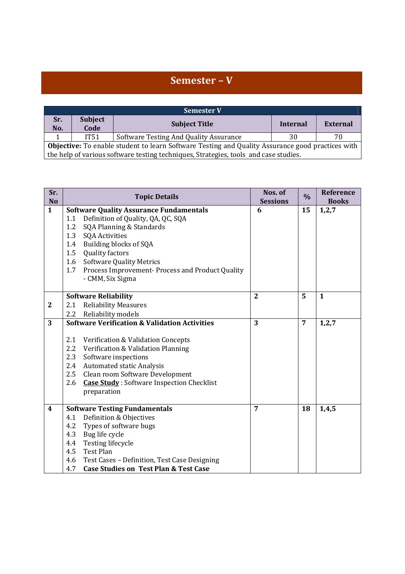# **Semester – V**

| <b>Semester V</b>                                                                                                                                                                               |                        |                                        |          |          |  |  |
|-------------------------------------------------------------------------------------------------------------------------------------------------------------------------------------------------|------------------------|----------------------------------------|----------|----------|--|--|
| Sr.<br>No.                                                                                                                                                                                      | <b>Subject</b><br>Code | <b>Subject Title</b>                   | Internal | External |  |  |
|                                                                                                                                                                                                 | IT51                   | Software Testing And Quality Assurance | 30       | 70.      |  |  |
| <b>Objective:</b> To enable student to learn Software Testing and Quality Assurance good practices with<br>the help of various software testing techniques, Strategies, tools and case studies. |                        |                                        |          |          |  |  |

| Sr.<br><b>No</b>        | <b>Topic Details</b>                                     | Nos. of<br><b>Sessions</b> | $\frac{0}{0}$ | Reference<br><b>Books</b> |
|-------------------------|----------------------------------------------------------|----------------------------|---------------|---------------------------|
| $\mathbf{1}$            | <b>Software Quality Assurance Fundamentals</b>           | 6                          | 15            | 1, 2, 7                   |
|                         | Definition of Quality, QA, QC, SQA<br>1.1                |                            |               |                           |
|                         | 1.2<br>SQA Planning & Standards                          |                            |               |                           |
|                         | 1.3<br><b>SQA Activities</b>                             |                            |               |                           |
|                         | Building blocks of SQA<br>1.4                            |                            |               |                           |
|                         | 1.5<br><b>Quality factors</b>                            |                            |               |                           |
|                         | <b>Software Quality Metrics</b><br>1.6                   |                            |               |                           |
|                         | Process Improvement- Process and Product Quality<br>1.7  |                            |               |                           |
|                         | - CMM, Six Sigma                                         |                            |               |                           |
|                         |                                                          |                            |               |                           |
|                         | <b>Software Reliability</b>                              | $\overline{2}$             | 5             | $\mathbf{1}$              |
| $\mathbf{2}$            | <b>Reliability Measures</b><br>2.1                       |                            |               |                           |
|                         | 2.2<br>Reliability models                                |                            |               |                           |
| 3                       | <b>Software Verification &amp; Validation Activities</b> | 3                          | 7             | 1, 2, 7                   |
|                         |                                                          |                            |               |                           |
|                         | 2.1<br>Verification & Validation Concepts                |                            |               |                           |
|                         | 2.2<br>Verification & Validation Planning                |                            |               |                           |
|                         | 2.3<br>Software inspections                              |                            |               |                           |
|                         | <b>Automated static Analysis</b><br>2.4                  |                            |               |                           |
|                         | 2.5<br>Clean room Software Development                   |                            |               |                           |
|                         | 2.6<br><b>Case Study:</b> Software Inspection Checklist  |                            |               |                           |
|                         | preparation                                              |                            |               |                           |
|                         |                                                          |                            |               |                           |
| $\overline{\mathbf{4}}$ | <b>Software Testing Fundamentals</b>                     | 7                          | 18            | 1,4,5                     |
|                         | Definition & Objectives<br>4.1                           |                            |               |                           |
|                         | Types of software bugs<br>4.2                            |                            |               |                           |
|                         | Bug life cycle<br>4.3                                    |                            |               |                           |
|                         | 4.4<br>Testing lifecycle                                 |                            |               |                           |
|                         | 4.5<br>Test Plan                                         |                            |               |                           |
|                         | 4.6<br>Test Cases - Definition, Test Case Designing      |                            |               |                           |
|                         | <b>Case Studies on Test Plan &amp; Test Case</b><br>4.7  |                            |               |                           |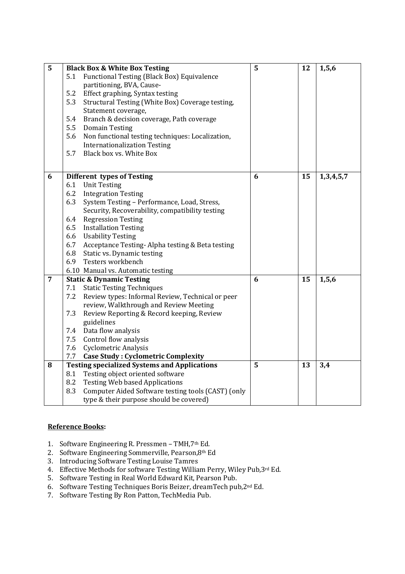| 5              |     | <b>Black Box &amp; White Box Testing</b>            | 5 | 12 | 1, 5, 6   |
|----------------|-----|-----------------------------------------------------|---|----|-----------|
|                | 5.1 | Functional Testing (Black Box) Equivalence          |   |    |           |
|                |     | partitioning, BVA, Cause-                           |   |    |           |
|                | 5.2 | Effect graphing, Syntax testing                     |   |    |           |
|                | 5.3 | Structural Testing (White Box) Coverage testing,    |   |    |           |
|                |     | Statement coverage,                                 |   |    |           |
|                | 5.4 | Branch & decision coverage, Path coverage           |   |    |           |
|                | 5.5 | <b>Domain Testing</b>                               |   |    |           |
|                | 5.6 | Non functional testing techniques: Localization,    |   |    |           |
|                |     | <b>Internationalization Testing</b>                 |   |    |           |
|                | 5.7 | Black box vs. White Box                             |   |    |           |
|                |     |                                                     |   |    |           |
| 6              |     | <b>Different types of Testing</b>                   | 6 | 15 | 1,3,4,5,7 |
|                | 6.1 | <b>Unit Testing</b>                                 |   |    |           |
|                | 6.2 | <b>Integration Testing</b>                          |   |    |           |
|                | 6.3 | System Testing - Performance, Load, Stress,         |   |    |           |
|                |     | Security, Recoverability, compatibility testing     |   |    |           |
|                | 6.4 | <b>Regression Testing</b>                           |   |    |           |
|                | 6.5 | <b>Installation Testing</b>                         |   |    |           |
|                | 6.6 | <b>Usability Testing</b>                            |   |    |           |
|                | 6.7 | Acceptance Testing-Alpha testing & Beta testing     |   |    |           |
|                | 6.8 | Static vs. Dynamic testing                          |   |    |           |
|                | 6.9 | Testers workbench                                   |   |    |           |
|                |     | 6.10 Manual vs. Automatic testing                   |   |    |           |
| $\overline{7}$ |     | <b>Static &amp; Dynamic Testing</b>                 | 6 | 15 | 1, 5, 6   |
|                | 7.1 | <b>Static Testing Techniques</b>                    |   |    |           |
|                | 7.2 | Review types: Informal Review, Technical or peer    |   |    |           |
|                |     | review, Walkthrough and Review Meeting              |   |    |           |
|                | 7.3 | Review Reporting & Record keeping, Review           |   |    |           |
|                |     | guidelines                                          |   |    |           |
|                | 7.4 | Data flow analysis                                  |   |    |           |
|                | 7.5 | Control flow analysis                               |   |    |           |
|                | 7.6 | Cyclometric Analysis                                |   |    |           |
|                | 7.7 | <b>Case Study: Cyclometric Complexity</b>           |   |    |           |
| 8              |     | <b>Testing specialized Systems and Applications</b> | 5 | 13 | 3,4       |
|                | 8.1 | Testing object oriented software                    |   |    |           |
|                | 8.2 | <b>Testing Web based Applications</b>               |   |    |           |
|                | 8.3 | Computer Aided Software testing tools (CAST) (only  |   |    |           |
|                |     | type & their purpose should be covered)             |   |    |           |

# **Reference Books:**

- 1. Software Engineering R. Pressmen TMH,7th Ed.
- 2. Software Engineering Sommerville, Pearson,8th Ed
- 3. Introducing Software Testing Louise Tamres
- 4. Effective Methods for software Testing William Perry, Wiley Pub,3rd Ed.
- 5. Software Testing in Real World Edward Kit, Pearson Pub.
- 6. Software Testing Techniques Boris Beizer, dreamTech pub,2nd Ed.
- 7. Software Testing By Ron Patton, TechMedia Pub.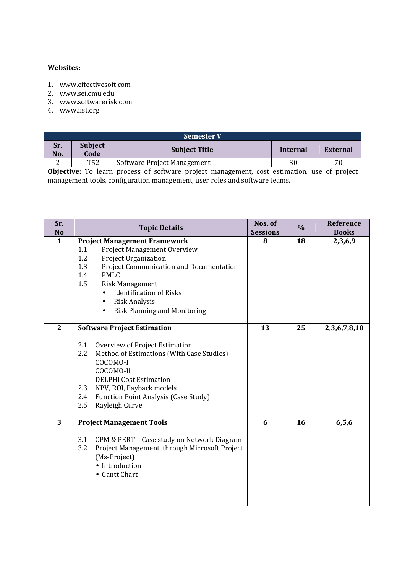### **Websites:**

- 1. www.effectivesoft.com
- 2. www.sei.cmu.edu
- 3. www.softwarerisk.com
- 4. www.iist.org

| <b>Semester V</b>                                                                                                                                                                |                        |                             |          |          |  |  |
|----------------------------------------------------------------------------------------------------------------------------------------------------------------------------------|------------------------|-----------------------------|----------|----------|--|--|
| Sr.<br>No.                                                                                                                                                                       | <b>Subject</b><br>Code | <b>Subject Title</b>        | Internal | External |  |  |
|                                                                                                                                                                                  | IT52                   | Software Project Management | 30       | 70       |  |  |
| <b>Objective:</b> To learn process of software project management, cost estimation, use of project<br>management tools, configuration management, user roles and software teams. |                        |                             |          |          |  |  |

| Sr.<br><b>No</b> | <b>Topic Details</b>                                                                                                                                                                                                                                                                                                            | Nos. of<br><b>Sessions</b> | $\%$ | <b>Reference</b><br><b>Books</b> |
|------------------|---------------------------------------------------------------------------------------------------------------------------------------------------------------------------------------------------------------------------------------------------------------------------------------------------------------------------------|----------------------------|------|----------------------------------|
| $\mathbf{1}$     | <b>Project Management Framework</b><br>Project Management Overview<br>1.1<br><b>Project Organization</b><br>1.2<br>Project Communication and Documentation<br>1.3<br><b>PMLC</b><br>1.4<br>1.5<br>Risk Management<br><b>Identification of Risks</b><br><b>Risk Analysis</b><br>$\bullet$<br><b>Risk Planning and Monitoring</b> | 8                          | 18   | 2,3,6,9                          |
| $\overline{2}$   | <b>Software Project Estimation</b><br>2.1<br>Overview of Project Estimation<br>2.2<br>Method of Estimations (With Case Studies)<br>COCOMO-I<br>COCOMO-II<br><b>DELPHI Cost Estimation</b><br>NPV, ROI, Payback models<br>2.3<br><b>Function Point Analysis (Case Study)</b><br>2.4<br>2.5<br>Rayleigh Curve                     | 13                         | 25   | 2,3,6,7,8,10                     |
| 3                | <b>Project Management Tools</b><br>3.1<br>CPM & PERT - Case study on Network Diagram<br>3.2<br>Project Management through Microsoft Project<br>(Ms-Project)<br>• Introduction<br>• Gantt Chart                                                                                                                                  | 6                          | 16   | 6, 5, 6                          |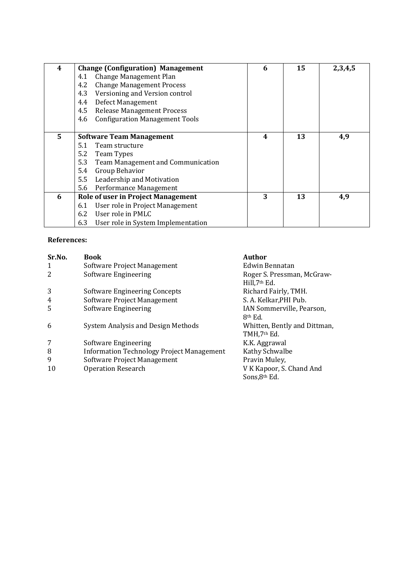| 4 | <b>Change (Configuration) Management</b>     | 6 | 15 | 2,3,4,5 |
|---|----------------------------------------------|---|----|---------|
|   | Change Management Plan<br>4.1                |   |    |         |
|   | <b>Change Management Process</b><br>4.2      |   |    |         |
|   | Versioning and Version control<br>4.3        |   |    |         |
|   | Defect Management<br>4.4                     |   |    |         |
|   | 4.5<br><b>Release Management Process</b>     |   |    |         |
|   | <b>Configuration Management Tools</b><br>4.6 |   |    |         |
|   |                                              |   |    |         |
| 5 | <b>Software Team Management</b>              | 4 | 13 | 4,9     |
|   | Team structure<br>5.1                        |   |    |         |
|   | 5.2<br>Team Types                            |   |    |         |
|   | 5.3<br>Team Management and Communication     |   |    |         |
|   | 5.4<br>Group Behavior                        |   |    |         |
|   | 5.5<br>Leadership and Motivation             |   |    |         |
|   | 5.6<br>Performance Management                |   |    |         |
| 6 | <b>Role of user in Project Management</b>    | 3 | 13 | 4,9     |
|   | User role in Project Management<br>6.1       |   |    |         |
|   | User role in PMLC<br>6.2                     |   |    |         |
|   | 6.3<br>User role in System Implementation    |   |    |         |

# **References:**

| Sr.No. | <b>Book</b>                                      | Author                                           |
|--------|--------------------------------------------------|--------------------------------------------------|
| 1      | Software Project Management                      | Edwin Bennatan                                   |
| 2      | Software Engineering                             | Roger S. Pressman, McGraw-<br>Hill, 7th Ed.      |
| 3      | Software Engineering Concepts                    | Richard Fairly, TMH.                             |
| 4      | Software Project Management                      | S. A. Kelkar, PHI Pub.                           |
| 5      | Software Engineering                             | IAN Sommerville, Pearson,<br>8 <sup>th</sup> Ed. |
| 6      | System Analysis and Design Methods               | Whitten, Bently and Dittman,<br>TMH,7th Ed.      |
| 7      | Software Engineering                             | K.K. Aggrawal                                    |
| 8      | <b>Information Technology Project Management</b> | Kathy Schwalbe                                   |
| 9      | Software Project Management                      | Pravin Muley,                                    |
| 10     | <b>Operation Research</b>                        | V K Kapoor, S. Chand And<br>Sons, 8th Ed.        |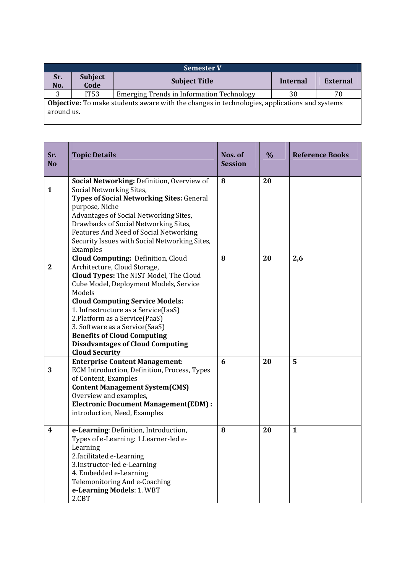| <b>Semester V</b>                                                                                          |                        |                                                  |          |                 |  |  |
|------------------------------------------------------------------------------------------------------------|------------------------|--------------------------------------------------|----------|-----------------|--|--|
| Sr.<br>No.                                                                                                 | <b>Subject</b><br>Code | <b>Subject Title</b>                             | Internal | <b>External</b> |  |  |
| 3                                                                                                          | IT53                   | <b>Emerging Trends in Information Technology</b> | 30       | 70              |  |  |
| Objective: To make students aware with the changes in technologies, applications and systems<br>around us. |                        |                                                  |          |                 |  |  |

| Sr.<br><b>No</b> | <b>Topic Details</b>                                                                                                                                                                                                                                                                                                                                                                                                                     | Nos. of<br><b>Session</b> | $\frac{0}{0}$ | <b>Reference Books</b> |
|------------------|------------------------------------------------------------------------------------------------------------------------------------------------------------------------------------------------------------------------------------------------------------------------------------------------------------------------------------------------------------------------------------------------------------------------------------------|---------------------------|---------------|------------------------|
| $\mathbf{1}$     | Social Networking: Definition, Overview of<br>Social Networking Sites,<br><b>Types of Social Networking Sites: General</b><br>purpose, Niche<br>Advantages of Social Networking Sites,<br>Drawbacks of Social Networking Sites,<br>Features And Need of Social Networking,<br>Security Issues with Social Networking Sites,<br>Examples                                                                                                  | 8                         | 20            |                        |
| $\mathbf{2}$     | <b>Cloud Computing: Definition, Cloud</b><br>Architecture, Cloud Storage,<br>Cloud Types: The NIST Model, The Cloud<br>Cube Model, Deployment Models, Service<br>Models<br><b>Cloud Computing Service Models:</b><br>1. Infrastructure as a Service(IaaS)<br>2. Platform as a Service (PaaS)<br>3. Software as a Service(SaaS)<br><b>Benefits of Cloud Computing</b><br><b>Disadvantages of Cloud Computing</b><br><b>Cloud Security</b> | 8                         | 20            | 2,6                    |
| 3                | <b>Enterprise Content Management:</b><br>ECM Introduction, Definition, Process, Types<br>of Content, Examples<br><b>Content Management System(CMS)</b><br>Overview and examples,<br><b>Electronic Document Management(EDM):</b><br>introduction, Need, Examples                                                                                                                                                                          | 6                         | 20            | 5                      |
| 4                | e-Learning: Definition, Introduction,<br>Types of e-Learning: 1.Learner-led e-<br>Learning<br>2.facilitated e-Learning<br>3.Instructor-led e-Learning<br>4. Embedded e-Learning<br>Telemonitoring And e-Coaching<br>e-Learning Models: 1. WBT<br>2.CBT                                                                                                                                                                                   | 8                         | 20            | $\mathbf{1}$           |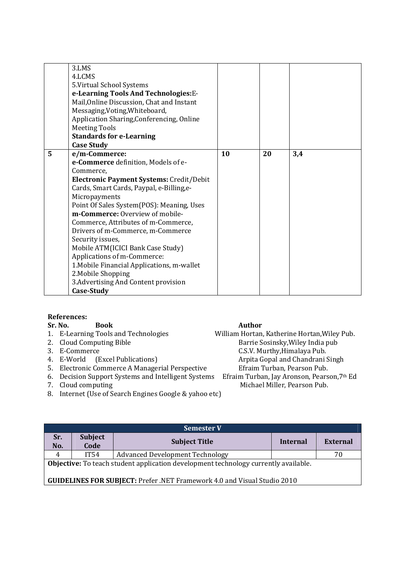|   | 3.LMS<br>4.LCMS<br>5. Virtual School Systems<br>e-Learning Tools And Technologies: E-<br>Mail, Online Discussion, Chat and Instant |    |    |     |
|---|------------------------------------------------------------------------------------------------------------------------------------|----|----|-----|
|   | Messaging, Voting, Whiteboard,<br>Application Sharing, Conferencing, Online                                                        |    |    |     |
|   | <b>Meeting Tools</b>                                                                                                               |    |    |     |
|   | <b>Standards for e-Learning</b>                                                                                                    |    |    |     |
|   | <b>Case Study</b>                                                                                                                  |    |    |     |
| 5 | e/m-Commerce:                                                                                                                      | 10 | 20 | 3,4 |
|   | e-Commerce definition, Models of e-                                                                                                |    |    |     |
|   | Commerce,                                                                                                                          |    |    |     |
|   | Electronic Payment Systems: Credit/Debit                                                                                           |    |    |     |
|   | Cards, Smart Cards, Paypal, e-Billing,e-                                                                                           |    |    |     |
|   | Micropayments                                                                                                                      |    |    |     |
|   | Point Of Sales System(POS): Meaning, Uses                                                                                          |    |    |     |
|   | m-Commerce: Overview of mobile-                                                                                                    |    |    |     |
|   | Commerce, Attributes of m-Commerce,                                                                                                |    |    |     |
|   | Drivers of m-Commerce, m-Commerce                                                                                                  |    |    |     |
|   | Security issues,<br>Mobile ATM(ICICI Bank Case Study)                                                                              |    |    |     |
|   | Applications of m-Commerce:                                                                                                        |    |    |     |
|   | 1. Mobile Financial Applications, m-wallet                                                                                         |    |    |     |
|   | 2. Mobile Shopping                                                                                                                 |    |    |     |
|   | 3. Advertising And Content provision                                                                                               |    |    |     |
|   | Case-Study                                                                                                                         |    |    |     |

# **References:**

#### Sr. No. Book **Book** Author

- 
- 
- 
- 4. E-World (Excel Publications)
- 
- 6. Decision Support Systems and Intelligent Systems<br>7. Cloud computing
- 
- 8. Internet (Use of Search Engines Google & yahoo etc)

1. E-Learning Tools and Technologies William Hortan, Katherine Hortan, Wiley Pub.<br>2. Cloud Computing Bible Barrie Sosinsky, Wiley India pub 2. Cloud Computing Bible Barrie Sosinsky, Wiley India pub<br>
3. E-Commerce C.S.V. Murthy Himalaya Pub. C.S.V. Murthy, Himalaya Pub.<br>Arpita Gopal and Chandrani Singh 5. Electronic Commerce A Managerial Perspective Efraim Turban, Pearson Pub.<br>6. Decision Support Systems and Intelligent Systems Efraim Turban, Jay Aronson, Pearson, 7<sup>th</sup> Ed Michael Miller, Pearson Pub.

| <b>Semester V</b>                                                                   |                |                                        |          |          |  |  |
|-------------------------------------------------------------------------------------|----------------|----------------------------------------|----------|----------|--|--|
| Sr.                                                                                 | <b>Subject</b> | <b>Subject Title</b>                   | Internal | External |  |  |
| No.                                                                                 | Code           |                                        |          |          |  |  |
| 4                                                                                   | IT54           | <b>Advanced Development Technology</b> |          | 70       |  |  |
| Objective: To teach student application development technology currently available. |                |                                        |          |          |  |  |
| <b>GUIDELINES FOR SUBJECT: Prefer .NET Framework 4.0 and Visual Studio 2010</b>     |                |                                        |          |          |  |  |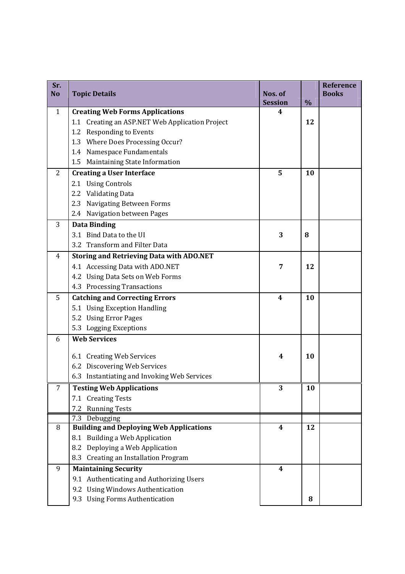| Sr.<br><b>No</b> | <b>Topic Details</b>                            | Nos. of        |      | <b>Reference</b><br><b>Books</b> |
|------------------|-------------------------------------------------|----------------|------|----------------------------------|
|                  |                                                 | <b>Session</b> | $\%$ |                                  |
| $\mathbf{1}$     | <b>Creating Web Forms Applications</b>          | 4              |      |                                  |
|                  | 1.1 Creating an ASP.NET Web Application Project |                | 12   |                                  |
|                  | <b>Responding to Events</b><br>1.2              |                |      |                                  |
|                  | 1.3 Where Does Processing Occur?                |                |      |                                  |
|                  | 1.4 Namespace Fundamentals                      |                |      |                                  |
|                  | Maintaining State Information<br>1.5            |                |      |                                  |
| $\overline{2}$   | <b>Creating a User Interface</b>                | 5              | 10   |                                  |
|                  | 2.1 Using Controls                              |                |      |                                  |
|                  | 2.2 Validating Data                             |                |      |                                  |
|                  | 2.3 Navigating Between Forms                    |                |      |                                  |
|                  | 2.4 Navigation between Pages                    |                |      |                                  |
| 3                | <b>Data Binding</b>                             |                |      |                                  |
|                  | 3.1 Bind Data to the UI                         | 3              | 8    |                                  |
|                  | 3.2 Transform and Filter Data                   |                |      |                                  |
| 4                | <b>Storing and Retrieving Data with ADO.NET</b> |                |      |                                  |
|                  | 4.1 Accessing Data with ADO.NET                 | 7              | 12   |                                  |
|                  | 4.2 Using Data Sets on Web Forms                |                |      |                                  |
|                  | 4.3 Processing Transactions                     |                |      |                                  |
| 5                | <b>Catching and Correcting Errors</b>           | 4              | 10   |                                  |
|                  | 5.1 Using Exception Handling                    |                |      |                                  |
|                  | 5.2 Using Error Pages                           |                |      |                                  |
|                  | 5.3 Logging Exceptions                          |                |      |                                  |
| 6                | <b>Web Services</b>                             |                |      |                                  |
|                  | 6.1 Creating Web Services                       | 4              | 10   |                                  |
|                  | 6.2 Discovering Web Services                    |                |      |                                  |
|                  | 6.3 Instantiating and Invoking Web Services     |                |      |                                  |
| 7                | <b>Testing Web Applications</b>                 | 3              | 10   |                                  |
|                  | 7.1 Creating Tests                              |                |      |                                  |
|                  | <b>Running Tests</b><br>7.2                     |                |      |                                  |
|                  | 7.3 Debugging                                   |                |      |                                  |
| 8                | <b>Building and Deploying Web Applications</b>  | 4              | 12   |                                  |
|                  | 8.1 Building a Web Application                  |                |      |                                  |
|                  | Deploying a Web Application<br>8.2              |                |      |                                  |
|                  | 8.3 Creating an Installation Program            |                |      |                                  |
| 9                | <b>Maintaining Security</b>                     | 4              |      |                                  |
|                  | 9.1 Authenticating and Authorizing Users        |                |      |                                  |
|                  | 9.2 Using Windows Authentication                |                |      |                                  |
|                  | 9.3 Using Forms Authentication                  |                | 8    |                                  |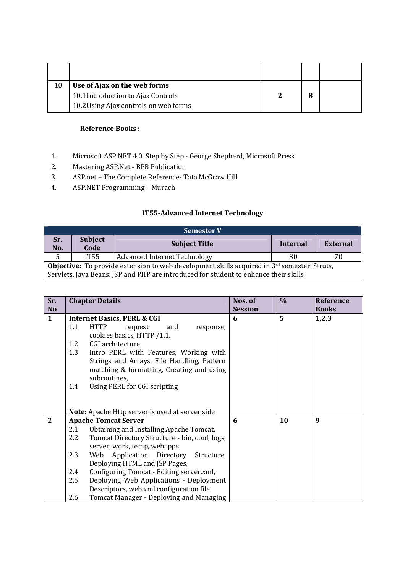| Use of Ajax on the web forms          |   |  |
|---------------------------------------|---|--|
| 10.1 Introduction to Ajax Controls    | 8 |  |
| 10.2 Using Ajax controls on web forms |   |  |

# **Reference Books :**

- 1. Microsoft ASP.NET 4.0 Step by Step George Shepherd, Microsoft Press
- 2. Mastering ASP.Net BPB Publication
- 3. ASP.net The Complete Reference- Tata McGraw Hill
- 4. ASP.NET Programming Murach

# **IT55-Advanced Internet Technology**

|                                                                                                                                                                                                  | <b>Semester V</b>      |                                     |          |                 |  |  |
|--------------------------------------------------------------------------------------------------------------------------------------------------------------------------------------------------|------------------------|-------------------------------------|----------|-----------------|--|--|
| Sr.<br>No.                                                                                                                                                                                       | <b>Subject</b><br>Code | <b>Subject Title</b>                | Internal | <b>External</b> |  |  |
| 5                                                                                                                                                                                                | IT55                   | <b>Advanced Internet Technology</b> | 30       | 70              |  |  |
| <b>Objective:</b> To provide extension to web development skills acquired in $3^{rd}$ semester. Struts,<br>Servlets, Java Beans, JSP and PHP are introduced for student to enhance their skills. |                        |                                     |          |                 |  |  |

| Sr.          |     | <b>Chapter Details</b>                          | Nos. of        | $\%$ | <b>Reference</b> |
|--------------|-----|-------------------------------------------------|----------------|------|------------------|
| <b>No</b>    |     |                                                 | <b>Session</b> |      | <b>Books</b>     |
| $\mathbf{1}$ |     | <b>Internet Basics, PERL &amp; CGI</b>          | 6              | 5    | 1,2,3            |
|              | 1.1 | <b>HTTP</b><br>and<br>request<br>response,      |                |      |                  |
|              |     | cookies basics, HTTP /1.1,                      |                |      |                  |
|              | 1.2 | CGI architecture                                |                |      |                  |
|              | 1.3 | Intro PERL with Features, Working with          |                |      |                  |
|              |     | Strings and Arrays, File Handling, Pattern      |                |      |                  |
|              |     | matching & formatting, Creating and using       |                |      |                  |
|              |     | subroutines,                                    |                |      |                  |
|              | 1.4 | Using PERL for CGI scripting                    |                |      |                  |
|              |     |                                                 |                |      |                  |
|              |     |                                                 |                |      |                  |
|              |     | Note: Apache Http server is used at server side |                |      |                  |
| $\mathbf{2}$ |     | <b>Apache Tomcat Server</b>                     | 6              | 10   | 9                |
|              | 2.1 | Obtaining and Installing Apache Tomcat,         |                |      |                  |
|              | 2.2 | Tomcat Directory Structure - bin, conf, logs,   |                |      |                  |
|              |     | server, work, temp, webapps,                    |                |      |                  |
|              | 2.3 | Web Application Directory Structure,            |                |      |                  |
|              |     | Deploying HTML and JSP Pages,                   |                |      |                  |
|              | 2.4 | Configuring Tomcat - Editing server.xml,        |                |      |                  |
|              | 2.5 | Deploying Web Applications - Deployment         |                |      |                  |
|              |     | Descriptors, web.xml configuration file         |                |      |                  |
|              | 2.6 | Tomcat Manager - Deploying and Managing         |                |      |                  |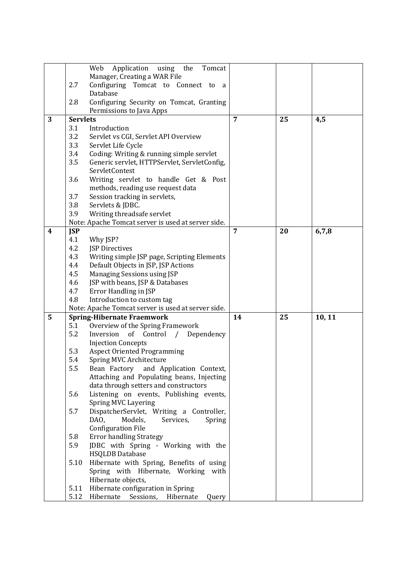|                         |                 | Web<br>Application<br>using<br>the<br>Tomcat           |                |    |        |
|-------------------------|-----------------|--------------------------------------------------------|----------------|----|--------|
|                         |                 | Manager, Creating a WAR File                           |                |    |        |
|                         | 2.7             | Configuring Tomcat to Connect to a                     |                |    |        |
|                         |                 | Database                                               |                |    |        |
|                         | 2.8             | Configuring Security on Tomcat, Granting               |                |    |        |
|                         |                 | Permissions to Java Apps                               |                |    |        |
| 3                       | <b>Servlets</b> |                                                        | $\overline{7}$ | 25 | 4,5    |
|                         | 3.1             | Introduction                                           |                |    |        |
|                         | 3.2             | Servlet vs CGI, Servlet API Overview                   |                |    |        |
|                         | 3.3             | Servlet Life Cycle                                     |                |    |        |
|                         | 3.4             | Coding: Writing & running simple servlet               |                |    |        |
|                         | 3.5             | Generic servlet, HTTPServlet, ServletConfig,           |                |    |        |
|                         |                 | ServletContest                                         |                |    |        |
|                         | 3.6             | Writing servlet to handle Get & Post                   |                |    |        |
|                         |                 | methods, reading use request data                      |                |    |        |
|                         | 3.7             | Session tracking in servlets,                          |                |    |        |
|                         | 3.8             | Servlets & JDBC.                                       |                |    |        |
|                         | 3.9             | Writing threadsafe servlet                             |                |    |        |
|                         |                 | Note: Apache Tomcat server is used at server side.     |                |    |        |
| $\overline{\mathbf{4}}$ | <b>JSP</b>      |                                                        | $\overline{7}$ | 20 | 6,7,8  |
|                         | 4.1             | Why JSP?                                               |                |    |        |
|                         | 4.2             | <b>JSP Directives</b>                                  |                |    |        |
|                         | 4.3             | Writing simple JSP page, Scripting Elements            |                |    |        |
|                         | 4.4             | Default Objects in JSP, JSP Actions                    |                |    |        |
|                         | 4.5             | Managing Sessions using JSP                            |                |    |        |
|                         | 4.6             | JSP with beans, JSP & Databases                        |                |    |        |
|                         | 4.7             | Error Handling in JSP                                  |                |    |        |
|                         | 4.8             | Introduction to custom tag                             |                |    |        |
|                         |                 | Note: Apache Tomcat server is used at server side.     |                |    |        |
| 5                       |                 | <b>Spring-Hibernate Fraemwork</b>                      | 14             | 25 | 10, 11 |
|                         | 5.1             | Overview of the Spring Framework                       |                |    |        |
|                         | 5.2             | Inversion<br>Control<br>of<br>$\sqrt{2}$<br>Dependency |                |    |        |
|                         |                 | <b>Injection Concepts</b>                              |                |    |        |
|                         | 5.3             | <b>Aspect Oriented Programming</b>                     |                |    |        |
|                         | 5.4             | Spring MVC Architecture                                |                |    |        |
|                         | 5.5             | Bean Factory and Application Context,                  |                |    |        |
|                         |                 | Attaching and Populating beans, Injecting              |                |    |        |
|                         |                 | data through setters and constructors                  |                |    |        |
|                         | 5.6             | Listening on events, Publishing events,                |                |    |        |
|                         |                 | Spring MVC Layering                                    |                |    |        |
|                         | 5.7             | DispatcherServlet, Writing a Controller,               |                |    |        |
|                         |                 | DAO.<br>Models,<br>Services,<br>Spring                 |                |    |        |
|                         |                 | <b>Configuration File</b>                              |                |    |        |
|                         | 5.8             | <b>Error handling Strategy</b>                         |                |    |        |
|                         | 5.9             | JDBC with Spring - Working with the                    |                |    |        |
|                         |                 | <b>HSQLDB</b> Database                                 |                |    |        |
|                         | 5.10            | Hibernate with Spring, Benefits of using               |                |    |        |
|                         |                 | Spring with Hibernate, Working with                    |                |    |        |
|                         |                 | Hibernate objects,                                     |                |    |        |
|                         | 5.11            | Hibernate configuration in Spring                      |                |    |        |
|                         | 5.12            | Hibernate<br>Sessions,<br>Hibernate<br>Query           |                |    |        |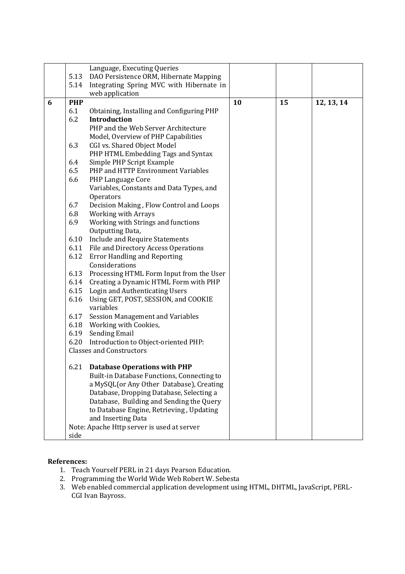|   |            | Language, Executing Queries                                             |    |    |            |
|---|------------|-------------------------------------------------------------------------|----|----|------------|
|   | 5.13       | DAO Persistence ORM, Hibernate Mapping                                  |    |    |            |
|   | 5.14       | Integrating Spring MVC with Hibernate in                                |    |    |            |
|   |            | web application                                                         |    |    |            |
| 6 | <b>PHP</b> |                                                                         | 10 | 15 | 12, 13, 14 |
|   | 6.1        | Obtaining, Installing and Configuring PHP                               |    |    |            |
|   | 6.2        | <b>Introduction</b>                                                     |    |    |            |
|   |            | PHP and the Web Server Architecture                                     |    |    |            |
|   |            | Model, Overview of PHP Capabilities                                     |    |    |            |
|   | 6.3        | CGI vs. Shared Object Model                                             |    |    |            |
|   |            | PHP HTML Embedding Tags and Syntax                                      |    |    |            |
|   | 6.4        | Simple PHP Script Example                                               |    |    |            |
|   | 6.5        | PHP and HTTP Environment Variables                                      |    |    |            |
|   | 6.6        | PHP Language Core                                                       |    |    |            |
|   |            | Variables, Constants and Data Types, and                                |    |    |            |
|   |            | Operators                                                               |    |    |            |
|   | 6.7        | Decision Making, Flow Control and Loops                                 |    |    |            |
|   | 6.8        | <b>Working with Arrays</b>                                              |    |    |            |
|   | 6.9        | Working with Strings and functions                                      |    |    |            |
|   |            | Outputting Data,                                                        |    |    |            |
|   | 6.10       | Include and Require Statements                                          |    |    |            |
|   |            | 6.11 File and Directory Access Operations                               |    |    |            |
|   | 6.12       | <b>Error Handling and Reporting</b>                                     |    |    |            |
|   |            | Considerations                                                          |    |    |            |
|   |            | 6.13 Processing HTML Form Input from the User                           |    |    |            |
|   |            | 6.14 Creating a Dynamic HTML Form with PHP                              |    |    |            |
|   |            | 6.15 Login and Authenticating Users                                     |    |    |            |
|   | 6.16       | Using GET, POST, SESSION, and COOKIE                                    |    |    |            |
|   |            | variables                                                               |    |    |            |
|   | 6.17       | <b>Session Management and Variables</b>                                 |    |    |            |
|   |            | 6.18 Working with Cookies,                                              |    |    |            |
|   |            | 6.19 Sending Email                                                      |    |    |            |
|   | 6.20       | Introduction to Object-oriented PHP:<br><b>Classes and Constructors</b> |    |    |            |
|   |            |                                                                         |    |    |            |
|   |            | 6.21 Database Operations with PHP                                       |    |    |            |
|   |            | Built-in Database Functions, Connecting to                              |    |    |            |
|   |            | a MySQL(or Any Other Database), Creating                                |    |    |            |
|   |            | Database, Dropping Database, Selecting a                                |    |    |            |
|   |            | Database, Building and Sending the Query                                |    |    |            |
|   |            | to Database Engine, Retrieving, Updating                                |    |    |            |
|   |            | and Inserting Data                                                      |    |    |            |
|   |            | Note: Apache Http server is used at server                              |    |    |            |
|   | side       |                                                                         |    |    |            |

# **References:**

- 1. Teach Yourself PERL in 21 days Pearson Education.
- 2. Programming the World Wide Web Robert W. Sebesta
- 3. Web enabled commercial application development using HTML, DHTML, JavaScript, PERL-CGI Ivan Bayross.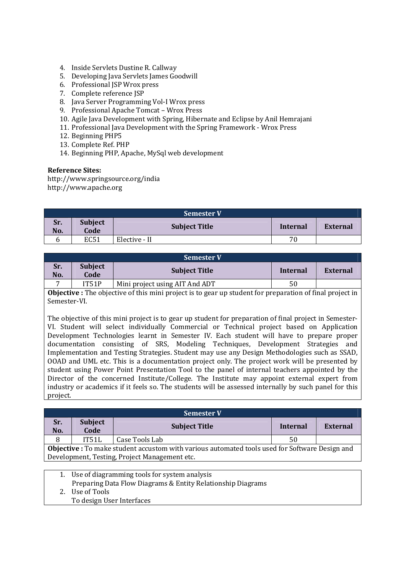- 4. Inside Servlets Dustine R. Callway
- 5. Developing Java Servlets James Goodwill
- 6. Professional JSP Wrox press
- 7. Complete reference JSP
- 8. Java Server Programming Vol-I Wrox press
- 9. Professional Apache Tomcat Wrox Press
- 10. Agile Java Development with Spring, Hibernate and Eclipse by Anil Hemrajani
- 11. Professional Java Development with the Spring Framework Wrox Press
- 12. Beginning PHP5
- 13. Complete Ref. PHP
- 14. Beginning PHP, Apache, MySql web development

#### **Reference Sites:**

http://www.springsource.org/india http://www.apache.org

|            | <b>Semester V</b>      |                      |          |                 |  |  |
|------------|------------------------|----------------------|----------|-----------------|--|--|
| Sr.<br>No. | <b>Subject</b><br>Code | <b>Subject Title</b> | Internal | <b>External</b> |  |  |
| n          | <b>EC51</b>            | Elective - II        | 70       |                 |  |  |

|            | <b>Semester V</b>      |                                |          |          |  |  |
|------------|------------------------|--------------------------------|----------|----------|--|--|
| Sr.<br>No. | <b>Subject</b><br>Code | <b>Subject Title</b>           | Internal | External |  |  |
|            | IT51P                  | Mini project using AIT And ADT | 50       |          |  |  |

**Objective :** The objective of this mini project is to gear up student for preparation of final project in Semester-VI.

The objective of this mini project is to gear up student for preparation of final project in Semester-VI. Student will select individually Commercial or Technical project based on Application Development Technologies learnt in Semester IV. Each student will have to prepare proper documentation consisting of SRS, Modeling Techniques, Development Strategies and Implementation and Testing Strategies. Student may use any Design Methodologies such as SSAD, OOAD and UML etc. This is a documentation project only. The project work will be presented by student using Power Point Presentation Tool to the panel of internal teachers appointed by the Director of the concerned Institute/College. The Institute may appoint external expert from industry or academics if it feels so. The students will be assessed internally by such panel for this project.

| <b>Semester V</b>                                                                                     |                        |                      |          |          |  |
|-------------------------------------------------------------------------------------------------------|------------------------|----------------------|----------|----------|--|
| Sr.<br>No.                                                                                            | <b>Subject</b><br>Code | <b>Subject Title</b> | Internal | External |  |
| 8                                                                                                     | IT51L                  | Case Tools Lab       | 50       |          |  |
| <b>Objective</b> : To make student accustom with various automated tools used for Software Design and |                        |                      |          |          |  |
| Development, Testing, Project Management etc.                                                         |                        |                      |          |          |  |
|                                                                                                       |                        |                      |          |          |  |

1. Use of diagramming tools for system analysis

Preparing Data Flow Diagrams & Entity Relationship Diagrams

2. Use of Tools

To design User Interfaces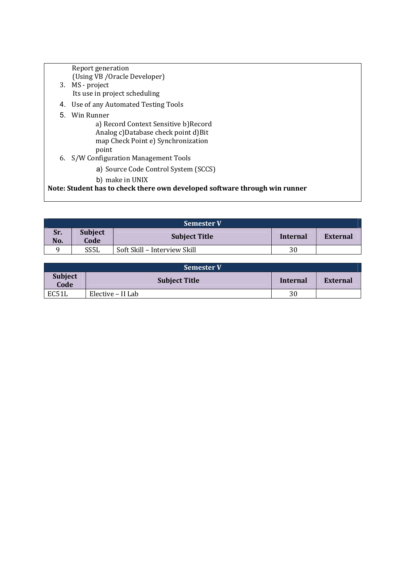|   | Report generation                                                          |
|---|----------------------------------------------------------------------------|
|   | (Using VB / Oracle Developer)                                              |
|   | 3. MS - project                                                            |
|   | Its use in project scheduling                                              |
|   | 4. Use of any Automated Testing Tools                                      |
| 5 | Win Runner                                                                 |
|   | a) Record Context Sensitive b) Record                                      |
|   | Analog c)Database check point d)Bit                                        |
|   | map Check Point e) Synchronization                                         |
|   | point                                                                      |
|   | 6. S/W Configuration Management Tools                                      |
|   | a) Source Code Control System (SCCS)                                       |
|   | b) make in UNIX                                                            |
|   | Note: Student has to check there own developed software through win runner |
|   |                                                                            |

|            | <b>Semester V</b>             |                              |          |          |  |
|------------|-------------------------------|------------------------------|----------|----------|--|
| Sr.<br>No. | <b>Subject</b><br><b>Code</b> | <b>Subject Title</b>         | Internal | External |  |
|            | SS <sub>5</sub> L             | Soft Skill - Interview Skill | 30       |          |  |

| <b>Semester V</b>      |                      |    |                 |  |  |  |
|------------------------|----------------------|----|-----------------|--|--|--|
| <b>Subject</b><br>Code | <b>Subject Title</b> |    | <b>External</b> |  |  |  |
| EC51L                  | Elective – II Lab    | 30 |                 |  |  |  |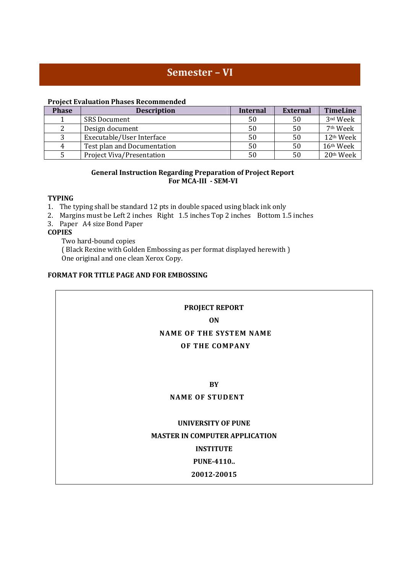# **Semester – VI**

#### **Project Evaluation Phases Recommended**

| <b>Phase</b> | <b>Description</b>          | <b>Internal</b> | <b>External</b> | <b>TimeLine</b>      |
|--------------|-----------------------------|-----------------|-----------------|----------------------|
|              | <b>SRS Document</b>         | 50              | 50              | 3 <sup>nd</sup> Week |
|              | Design document             | 50              | 50              | 7 <sup>th</sup> Week |
|              | Executable/User Interface   | 50              | 50              | 12th Week            |
| 4            | Test plan and Documentation | 50              | 50              | 16th Week            |
|              | Project Viva/Presentation   |                 | 50              | 20th Week            |

#### **General Instruction Regarding Preparation of Project Report For MCA-III - SEM-VI**

#### **TYPING**

- 1. The typing shall be standard 12 pts in double spaced using black ink only
- 2. Margins must be Left 2 inches Right 1.5 inches Top 2 inches Bottom 1.5 inches
- 3. Paper A4 size Bond Paper

# **COPIES**

Two hard-bound copies

( Black Rexine with Golden Embossing as per format displayed herewith ) One original and one clean Xerox Copy.

### **FORMAT FOR TITLE PAGE AND FOR EMBOSSING**

# **PROJECT REPORT**

#### **ON**

# **NAME OF THE SYSTEM NAME**

#### **OF THE COMPANY**

# **BY**

# **NAME OF STUDENT**

# **UNIVERSITY OF PUNE MASTER IN COMPUTER APPLICATION**

# **INSTITUTE**

# **PUNE-4110..**

#### **20012-20015**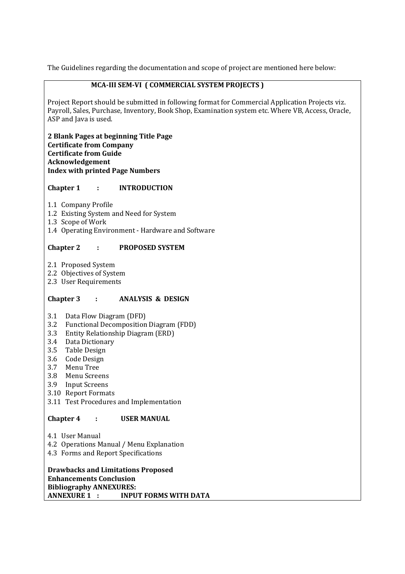The Guidelines regarding the documentation and scope of project are mentioned here below:

### **MCA-III SEM-VI ( COMMERCIAL SYSTEM PROJECTS )**

Project Report should be submitted in following format for Commercial Application Projects viz. Payroll, Sales, Purchase, Inventory, Book Shop, Examination system etc. Where VB, Access, Oracle, ASP and Java is used.

#### **2 Blank Pages at beginning Title Page Certificate from Company Certificate from Guide Acknowledgement Index with printed Page Numbers**

**Chapter 1 : INTRODUCTION** 

- 1.1 Company Profile
- 1.2 Existing System and Need for System
- 1.3 Scope of Work
- 1.4 Operating Environment Hardware and Software

# **Chapter 2 : PROPOSED SYSTEM**

- 2.1 Proposed System
- 2.2 Objectives of System
- 2.3 User Requirements

# **Chapter 3 : ANALYSIS & DESIGN**

- 
- 3.1 Data Flow Diagram (DFD)<br>3.2 Functional Decomposition 3.2 Functional Decomposition Diagram (FDD)
- 3.3 Entity Relationship Diagram (ERD)
- 3.4 Data Dictionary
- 3.5 Table Design
- 3.6 Code Design
- 3.7 Menu Tree
- 3.8 Menu Screens
- 3.9 Input Screens
- 3.10 Report Formats
- 3.11 Test Procedures and Implementation

# **Chapter 4 : USER MANUAL**

- 4.1 User Manual
- 4.2 Operations Manual / Menu Explanation
- 4.3 Forms and Report Specifications

**Drawbacks and Limitations Proposed Enhancements Conclusion Bibliography ANNEXURES: ANNEXURE 1 : INPUT FORMS WITH DATA**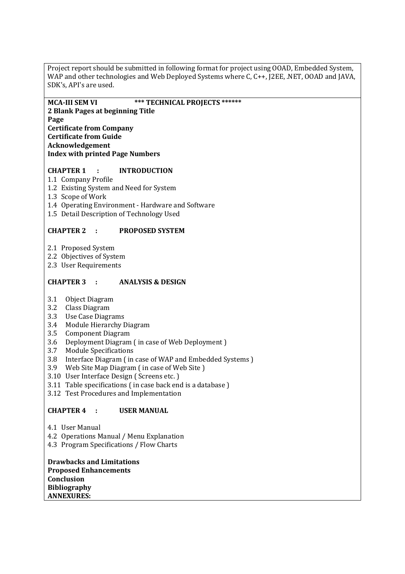Project report should be submitted in following format for project using OOAD, Embedded System, WAP and other technologies and Web Deployed Systems where C, C++, J2EE, .NET, OOAD and JAVA, SDK's, API's are used.

**MCA-III SEM VI \*\*\* TECHNICAL PROJECTS \*\*\*\*\*\* 2 Blank Pages at beginning Title Page Certificate from Company Certificate from Guide Acknowledgement Index with printed Page Numbers** 

### **CHAPTER 1 : INTRODUCTION**

- 1.1 Company Profile
- 1.2 Existing System and Need for System
- 1.3 Scope of Work
- 1.4 Operating Environment Hardware and Software
- 1.5 Detail Description of Technology Used

#### **CHAPTER 2 : PROPOSED SYSTEM**

- 2.1 Proposed System
- 2.2 Objectives of System
- 2.3 User Requirements

#### **CHAPTER 3 : ANALYSIS & DESIGN**

- 3.1 Object Diagram
- 3.2 Class Diagram
- 3.3 Use Case Diagrams
- 3.4 Module Hierarchy Diagram
- 3.5 Component Diagram
- 3.6 Deployment Diagram ( in case of Web Deployment )
- 3.7 Module Specifications
- 3.8 Interface Diagram ( in case of WAP and Embedded Systems )
- 3.9 Web Site Map Diagram ( in case of Web Site )
- 3.10 User Interface Design ( Screens etc. )
- 3.11 Table specifications ( in case back end is a database )
- 3.12 Test Procedures and Implementation

#### **CHAPTER 4 : USER MANUAL**

- 4.1 User Manual
- 4.2 Operations Manual / Menu Explanation
- 4.3 Program Specifications / Flow Charts

**Drawbacks and Limitations Proposed Enhancements Conclusion Bibliography ANNEXURES:**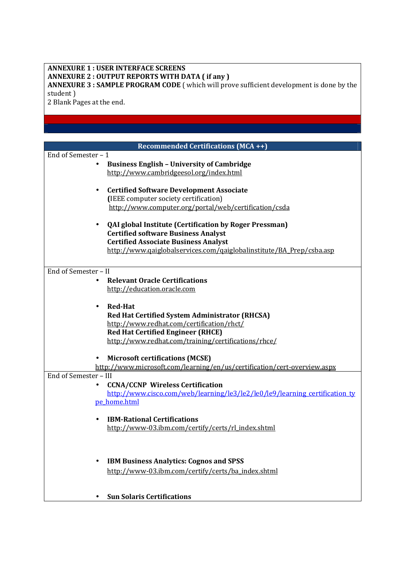#### **ANNEXURE 1 : USER INTERFACE SCREENS ANNEXURE 2 : OUTPUT REPORTS WITH DATA ( if any ) ANNEXURE 3 : SAMPLE PROGRAM CODE** ( which will prove sufficient development is done by the student )

2 Blank Pages at the end.

|                       | <b>Recommended Certifications (MCA ++)</b>                                  |
|-----------------------|-----------------------------------------------------------------------------|
| End of Semester - 1   |                                                                             |
|                       | <b>Business English - University of Cambridge</b>                           |
|                       | http://www.cambridgeesol.org/index.html                                     |
|                       |                                                                             |
|                       | <b>Certified Software Development Associate</b><br>٠                        |
|                       | (IEEE computer society certification)                                       |
|                       | http://www.computer.org/portal/web/certification/csda                       |
|                       |                                                                             |
|                       | <b>QAI global Institute (Certification by Roger Pressman)</b>               |
|                       | <b>Certified software Business Analyst</b>                                  |
|                       | <b>Certified Associate Business Analyst</b>                                 |
|                       | http://www.gaiglobalservices.com/gaiglobalinstitute/BA_Prep/csba.asp        |
|                       |                                                                             |
| End of Semester - II  |                                                                             |
|                       | <b>Relevant Oracle Certifications</b><br>$\bullet$                          |
|                       | http://education.oracle.com                                                 |
|                       |                                                                             |
|                       | <b>Red-Hat</b>                                                              |
|                       | Red Hat Certified System Administrator (RHCSA)                              |
|                       | http://www.redhat.com/certification/rhct/                                   |
|                       | <b>Red Hat Certified Engineer (RHCE)</b>                                    |
|                       | http://www.redhat.com/training/certifications/rhce/                         |
|                       |                                                                             |
|                       | <b>Microsoft certifications (MCSE)</b>                                      |
|                       | http://www.microsoft.com/learning/en/us/certification/cert-overview.aspx    |
| End of Semester - III |                                                                             |
|                       | <b>CCNA/CCNP Wireless Certification</b><br>$\bullet$                        |
|                       | http://www.cisco.com/web/learning/le3/le2/le0/le9/learning certification ty |
|                       | pe home.html                                                                |
|                       |                                                                             |
|                       | <b>IBM-Rational Certifications</b>                                          |
|                       | http://www-03.ibm.com/certify/certs/rl_index.shtml                          |
|                       |                                                                             |
|                       |                                                                             |
|                       | <b>IBM Business Analytics: Cognos and SPSS</b>                              |
|                       | http://www-03.ibm.com/certify/certs/ba_index.shtml                          |
|                       |                                                                             |
|                       |                                                                             |
|                       | <b>Sun Solaris Certifications</b>                                           |
|                       |                                                                             |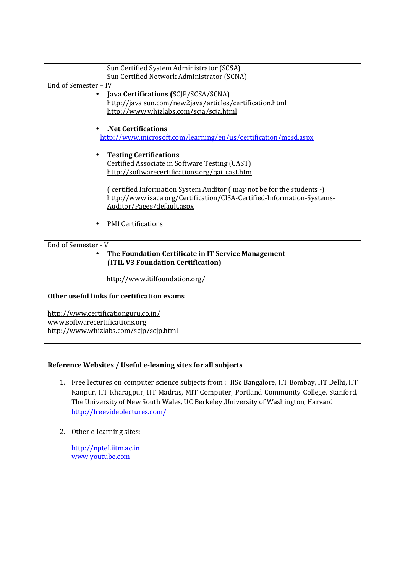| Sun Certified System Administrator (SCSA)<br>Sun Certified Network Administrator (SCNA)                |  |  |
|--------------------------------------------------------------------------------------------------------|--|--|
| End of Semester - IV                                                                                   |  |  |
| Java Certifications (SCJP/SCSA/SCNA)<br>$\bullet$                                                      |  |  |
| http://java.sun.com/new2java/articles/certification.html                                               |  |  |
| http://www.whizlabs.com/scja/scja.html                                                                 |  |  |
| <b>Net Certifications.</b>                                                                             |  |  |
| http://www.microsoft.com/learning/en/us/certification/mcsd.aspx                                        |  |  |
| <b>Testing Certifications</b><br>$\bullet$                                                             |  |  |
| Certified Associate in Software Testing (CAST)                                                         |  |  |
| http://softwarecertifications.org/qai_cast.htm                                                         |  |  |
| (certified Information System Auditor (may not be for the students -)                                  |  |  |
| http://www.isaca.org/Certification/CISA-Certified-Information-Systems-                                 |  |  |
| Auditor/Pages/default.aspx                                                                             |  |  |
| <b>PMI</b> Certifications                                                                              |  |  |
| End of Semester - V                                                                                    |  |  |
| The Foundation Certificate in IT Service Management<br>$\bullet$<br>(ITIL V3 Foundation Certification) |  |  |
|                                                                                                        |  |  |
| http://www.itilfoundation.org/                                                                         |  |  |
| Other useful links for certification exams                                                             |  |  |
| http://www.certificationguru.co.in/                                                                    |  |  |
| www.softwarecertifications.org                                                                         |  |  |
| http://www.whizlabs.com/scjp/scjp.html                                                                 |  |  |
|                                                                                                        |  |  |

# **Reference Websites / Useful e-leaning sites for all subjects**

- 1. Free lectures on computer science subjects from : IISc Bangalore, IIT Bombay, IIT Delhi, IIT Kanpur, IIT Kharagpur, IIT Madras, MIT Computer, Portland Community College, Stanford, The University of New South Wales, UC Berkeley ,University of Washington, Harvard http://freevideolectures.com/
- 2. Other e-learning sites:

http://nptel.iitm.ac.in www.youtube.com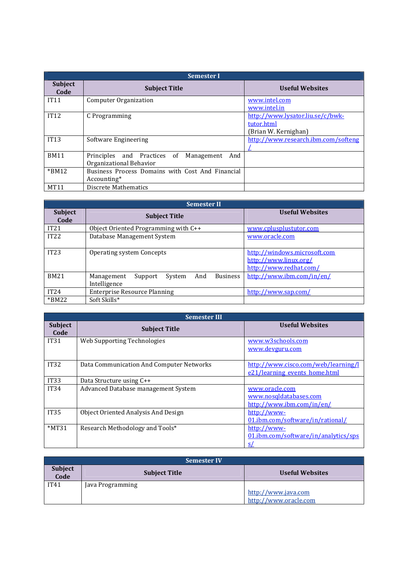| <b>Semester I</b>      |                                                                             |                                                                        |
|------------------------|-----------------------------------------------------------------------------|------------------------------------------------------------------------|
| <b>Subject</b><br>Code | <b>Subject Title</b>                                                        | <b>Useful Websites</b>                                                 |
| IT11                   | <b>Computer Organization</b>                                                | www.intel.com<br>www.intel.in                                          |
| IT12                   | C Programming                                                               | http://www.lysator.liu.se/c/bwk-<br>tutor.html<br>(Brian W. Kernighan) |
| IT13                   | Software Engineering                                                        | http://www.research.ibm.com/softeng                                    |
| <b>BM11</b>            | Principles and Practices of<br>Management<br>And<br>Organizational Behavior |                                                                        |
| $*BM12$                | Business Process Domains with Cost And Financial<br>Accounting*             |                                                                        |
| <b>MT11</b>            | Discrete Mathematics                                                        |                                                                        |

| <b>Semester II</b>     |                                                                           |                                                                                 |
|------------------------|---------------------------------------------------------------------------|---------------------------------------------------------------------------------|
| <b>Subject</b><br>Code | <b>Subject Title</b>                                                      | <b>Useful Websites</b>                                                          |
| IT21                   | Object Oriented Programming with C++                                      | www.cplusplustutor.com                                                          |
| IT22                   | Database Management System                                                | www.oracle.com                                                                  |
| IT23                   | <b>Operating system Concepts</b>                                          | http://windows.microsoft.com<br>http://www.linux.org/<br>http://www.redhat.com/ |
| <b>BM21</b>            | <b>Business</b><br>And<br>Management<br>System<br>Support<br>Intelligence | http://www.ibm.com/in/en/                                                       |
| IT24                   | Enterprise Resource Planning                                              | http://www.sap.com/                                                             |
| $*BM22$                | Soft Skills*                                                              |                                                                                 |

| <b>Semester III</b>    |                                          |                                      |
|------------------------|------------------------------------------|--------------------------------------|
| <b>Subject</b><br>Code | <b>Subject Title</b>                     | <b>Useful Websites</b>               |
| IT31                   | Web Supporting Technologies              | www.w3schools.com                    |
|                        |                                          | www.devguru.com                      |
|                        |                                          |                                      |
| IT <sub>32</sub>       | Data Communication And Computer Networks | http://www.cisco.com/web/learning/l  |
|                        |                                          | e21/learning events home.html        |
| <b>IT33</b>            | Data Structure using C++                 |                                      |
| <b>IT34</b>            | Advanced Database management System      | www.oracle.com                       |
|                        |                                          | www.nosqldatabases.com               |
|                        |                                          | http://www.ibm.com/in/en/            |
| <b>IT35</b>            | Object Oriented Analysis And Design      | http://www-                          |
|                        |                                          | 01.ibm.com/software/in/rational/     |
| $*MT31$                | Research Methodology and Tools*          | http://www-                          |
|                        |                                          | 01.ibm.com/software/in/analytics/sps |
|                        |                                          | <u>s/</u>                            |

| <b>Semester IV</b>     |                  |                      |                                              |
|------------------------|------------------|----------------------|----------------------------------------------|
| <b>Subject</b><br>Code |                  | <b>Subject Title</b> | <b>Useful Websites</b>                       |
| IT41                   | Java Programming |                      |                                              |
|                        |                  |                      | http://www.java.com<br>http://www.oracle.com |